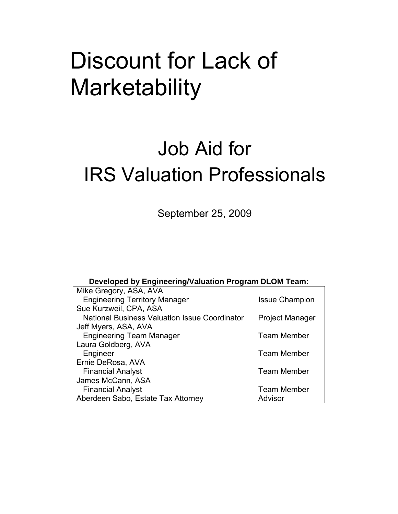# Discount for Lack of **Marketability**

# Job Aid for IRS Valuation Professionals

September 25, 2009

#### **Developed by Engineering/Valuation Program DLOM Team:**

| Mike Gregory, ASA, AVA                               |                        |
|------------------------------------------------------|------------------------|
| <b>Engineering Territory Manager</b>                 | <b>Issue Champion</b>  |
| Sue Kurzweil, CPA, ASA                               |                        |
| <b>National Business Valuation Issue Coordinator</b> | <b>Project Manager</b> |
| Jeff Myers, ASA, AVA                                 |                        |
| <b>Engineering Team Manager</b>                      | <b>Team Member</b>     |
| Laura Goldberg, AVA                                  |                        |
| Engineer                                             | <b>Team Member</b>     |
| Ernie DeRosa, AVA                                    |                        |
| <b>Financial Analyst</b>                             | <b>Team Member</b>     |
| James McCann, ASA                                    |                        |
| <b>Financial Analyst</b>                             | <b>Team Member</b>     |
| Aberdeen Sabo, Estate Tax Attorney                   | Advisor                |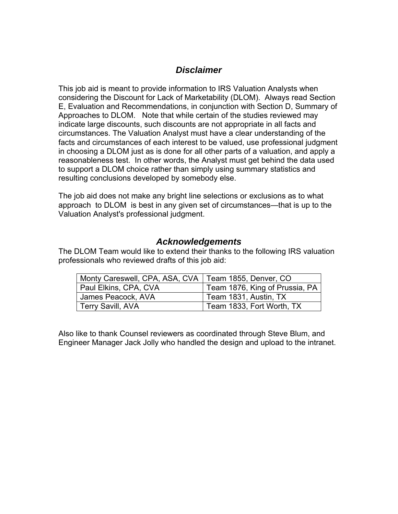## *Disclaimer*

This job aid is meant to provide information to IRS Valuation Analysts when considering the Discount for Lack of Marketability (DLOM). Always read Section E, Evaluation and Recommendations, in conjunction with Section D, Summary of Approaches to DLOM. Note that while certain of the studies reviewed may indicate large discounts, such discounts are not appropriate in all facts and circumstances. The Valuation Analyst must have a clear understanding of the facts and circumstances of each interest to be valued, use professional judgment in choosing a DLOM just as is done for all other parts of a valuation, and apply a reasonableness test. In other words, the Analyst must get behind the data used to support a DLOM choice rather than simply using summary statistics and resulting conclusions developed by somebody else.

The job aid does not make any bright line selections or exclusions as to what approach to DLOM is best in any given set of circumstances—that is up to the Valuation Analyst's professional judgment.

### *Acknowledgements*

The DLOM Team would like to extend their thanks to the following IRS valuation professionals who reviewed drafts of this job aid:

| Monty Careswell, CPA, ASA, CVA   Team 1855, Denver, CO |                                |
|--------------------------------------------------------|--------------------------------|
| Paul Elkins, CPA, CVA                                  | Team 1876, King of Prussia, PA |
| James Peacock, AVA                                     | Team 1831, Austin, TX          |
| Terry Savill, AVA                                      | Team 1833, Fort Worth, TX      |

Also like to thank Counsel reviewers as coordinated through Steve Blum, and Engineer Manager Jack Jolly who handled the design and upload to the intranet.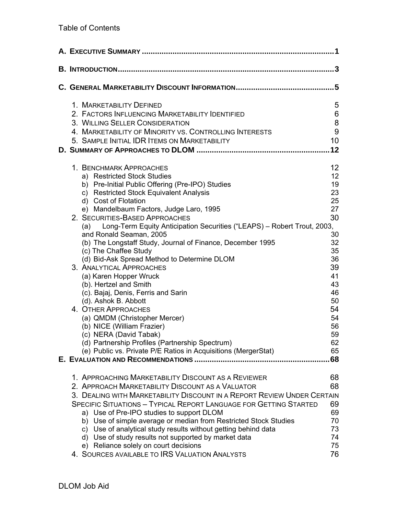|                                                                                     | 3               |
|-------------------------------------------------------------------------------------|-----------------|
|                                                                                     |                 |
| 1. MARKETABILITY DEFINED                                                            | 5               |
| 2. FACTORS INFLUENCING MARKETABILITY IDENTIFIED                                     | 6               |
| 3. WILLING SELLER CONSIDERATION                                                     | 8               |
| 4. MARKETABILITY OF MINORITY VS. CONTROLLING INTERESTS                              | 9               |
| 5. SAMPLE INITIAL IDR ITEMS ON MARKETABILITY                                        | 10              |
|                                                                                     | 12              |
| 1. BENCHMARK APPROACHES                                                             | 12 <sup>°</sup> |
| a) Restricted Stock Studies                                                         | 12 <sub>2</sub> |
| b) Pre-Initial Public Offering (Pre-IPO) Studies                                    | 19              |
| c) Restricted Stock Equivalent Analysis                                             | 23              |
| d) Cost of Flotation                                                                | 25              |
| e) Mandelbaum Factors, Judge Laro, 1995                                             | 27              |
| 2. SECURITIES-BASED APPROACHES                                                      | 30              |
| Long-Term Equity Anticipation Securities ("LEAPS) - Robert Trout, 2003,<br>(a)      |                 |
| and Ronald Seaman, 2005                                                             | 30              |
| (b) The Longstaff Study, Journal of Finance, December 1995<br>(c) The Chaffee Study | 32<br>35        |
| (d) Bid-Ask Spread Method to Determine DLOM                                         | 36              |
| 3. ANALYTICAL APPROACHES                                                            | 39              |
| (a) Karen Hopper Wruck                                                              | 41              |
| (b). Hertzel and Smith                                                              | 43              |
| (c). Bajaj, Denis, Ferris and Sarin                                                 | 46              |
| (d). Ashok B. Abbott                                                                | 50              |
| 4. OTHER APPROACHES                                                                 | 54              |
| (a) QMDM (Christopher Mercer)                                                       | 54              |
| (b) NICE (William Frazier)                                                          | 56              |
| (c) NERA (David Tabak)                                                              | 59              |
| (d) Partnership Profiles (Partnership Spectrum)                                     | 62              |
| (e) Public vs. Private P/E Ratios in Acquisitions (MergerStat)                      | 65              |
|                                                                                     | 68              |
| 1. APPROACHING MARKETABILITY DISCOUNT AS A REVIEWER                                 | 68              |
| 2. APPROACH MARKETABILITY DISCOUNT AS A VALUATOR                                    | 68              |
| 3. DEALING WITH MARKETABILITY DISCOUNT IN A REPORT REVIEW UNDER CERTAIN             |                 |
| <b>SPECIFIC SITUATIONS - TYPICAL REPORT LANGUAGE FOR GETTING STARTED</b>            | 69              |
| a) Use of Pre-IPO studies to support DLOM                                           | 69              |
| b) Use of simple average or median from Restricted Stock Studies                    | 70              |
| c) Use of analytical study results without getting behind data                      | 73              |
| d) Use of study results not supported by market data                                | 74              |
| e) Reliance solely on court decisions                                               | 75              |
| 4. SOURCES AVAILABLE TO IRS VALUATION ANALYSTS                                      | 76              |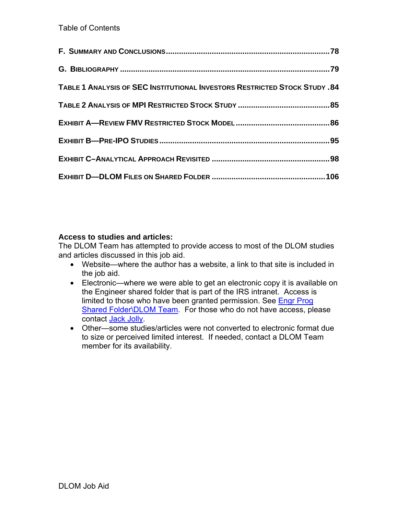| <b>TABLE 1 ANALYSIS OF SEC INSTITUTIONAL INVESTORS RESTRICTED STOCK STUDY .84</b> |  |
|-----------------------------------------------------------------------------------|--|
|                                                                                   |  |
|                                                                                   |  |
|                                                                                   |  |
|                                                                                   |  |
|                                                                                   |  |

## **Access to studies and articles:**

The DLOM Team has attempted to provide access to most of the DLOM studies and articles discussed in this job aid.

- Website—where the author has a website, a link to that site is included in the job aid.
- Electronic—where we were able to get an electronic copy it is available on the Engineer shared folder that is part of the IRS intranet. Access is limited to those who have been granted permission. See Engr Prog Shared Folder\DLOM Team. For those who do not have access, please contact Jack Jolly.
- Other—some studies/articles were not converted to electronic format due to size or perceived limited interest. If needed, contact a DLOM Team member for its availability.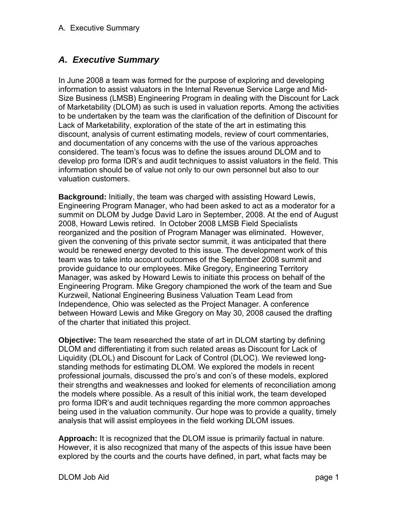# *A. Executive Summary*

In June 2008 a team was formed for the purpose of exploring and developing information to assist valuators in the Internal Revenue Service Large and Mid-Size Business (LMSB) Engineering Program in dealing with the Discount for Lack of Marketability (DLOM) as such is used in valuation reports. Among the activities to be undertaken by the team was the clarification of the definition of Discount for Lack of Marketability, exploration of the state of the art in estimating this discount, analysis of current estimating models, review of court commentaries, and documentation of any concerns with the use of the various approaches considered. The team's focus was to define the issues around DLOM and to develop pro forma IDR's and audit techniques to assist valuators in the field. This information should be of value not only to our own personnel but also to our valuation customers.

**Background:** Initially, the team was charged with assisting Howard Lewis, Engineering Program Manager, who had been asked to act as a moderator for a summit on DLOM by Judge David Laro in September, 2008. At the end of August 2008, Howard Lewis retired. In October 2008 LMSB Field Specialists reorganized and the position of Program Manager was eliminated. However, given the convening of this private sector summit, it was anticipated that there would be renewed energy devoted to this issue. The development work of this team was to take into account outcomes of the September 2008 summit and provide guidance to our employees. Mike Gregory, Engineering Territory Manager, was asked by Howard Lewis to initiate this process on behalf of the Engineering Program. Mike Gregory championed the work of the team and Sue Kurzweil, National Engineering Business Valuation Team Lead from Independence, Ohio was selected as the Project Manager. A conference between Howard Lewis and Mike Gregory on May 30, 2008 caused the drafting of the charter that initiated this project.

**Objective:** The team researched the state of art in DLOM starting by defining DLOM and differentiating it from such related areas as Discount for Lack of Liquidity (DLOL) and Discount for Lack of Control (DLOC). We reviewed longstanding methods for estimating DLOM. We explored the models in recent professional journals, discussed the pro's and con's of these models, explored their strengths and weaknesses and looked for elements of reconciliation among the models where possible. As a result of this initial work, the team developed pro forma IDR's and audit techniques regarding the more common approaches being used in the valuation community. Our hope was to provide a quality, timely analysis that will assist employees in the field working DLOM issues.

**Approach:** It is recognized that the DLOM issue is primarily factual in nature. However, it is also recognized that many of the aspects of this issue have been explored by the courts and the courts have defined, in part, what facts may be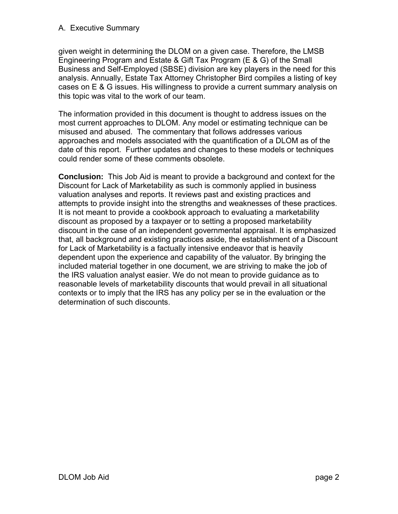#### A. Executive Summary

given weight in determining the DLOM on a given case. Therefore, the LMSB Engineering Program and Estate & Gift Tax Program (E & G) of the Small Business and Self-Employed (SBSE) division are key players in the need for this analysis. Annually, Estate Tax Attorney Christopher Bird compiles a listing of key cases on E & G issues. His willingness to provide a current summary analysis on this topic was vital to the work of our team.

The information provided in this document is thought to address issues on the most current approaches to DLOM. Any model or estimating technique can be misused and abused. The commentary that follows addresses various approaches and models associated with the quantification of a DLOM as of the date of this report. Further updates and changes to these models or techniques could render some of these comments obsolete.

**Conclusion:** This Job Aid is meant to provide a background and context for the Discount for Lack of Marketability as such is commonly applied in business valuation analyses and reports. It reviews past and existing practices and attempts to provide insight into the strengths and weaknesses of these practices. It is not meant to provide a cookbook approach to evaluating a marketability discount as proposed by a taxpayer or to setting a proposed marketability discount in the case of an independent governmental appraisal. It is emphasized that, all background and existing practices aside, the establishment of a Discount for Lack of Marketability is a factually intensive endeavor that is heavily dependent upon the experience and capability of the valuator. By bringing the included material together in one document, we are striving to make the job of the IRS valuation analyst easier. We do not mean to provide guidance as to reasonable levels of marketability discounts that would prevail in all situational contexts or to imply that the IRS has any policy per se in the evaluation or the determination of such discounts.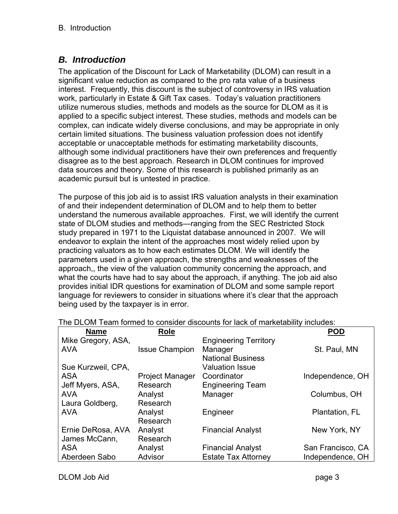# *B. Introduction*

The application of the Discount for Lack of Marketability (DLOM) can result in a significant value reduction as compared to the pro rata value of a business interest. Frequently, this discount is the subject of controversy in IRS valuation work, particularly in Estate & Gift Tax cases. Today's valuation practitioners utilize numerous studies, methods and models as the source for DLOM as it is applied to a specific subject interest. These studies, methods and models can be complex, can indicate widely diverse conclusions, and may be appropriate in only certain limited situations. The business valuation profession does not identify acceptable or unacceptable methods for estimating marketability discounts, although some individual practitioners have their own preferences and frequently disagree as to the best approach. Research in DLOM continues for improved data sources and theory. Some of this research is published primarily as an academic pursuit but is untested in practice.

The purpose of this job aid is to assist IRS valuation analysts in their examination of and their independent determination of DLOM and to help them to better understand the numerous available approaches. First, we will identify the current state of DLOM studies and methods—ranging from the SEC Restricted Stock study prepared in 1971 to the Liquistat database announced in 2007. We will endeavor to explain the intent of the approaches most widely relied upon by practicing valuators as to how each estimates DLOM. We will identify the parameters used in a given approach, the strengths and weaknesses of the approach,, the view of the valuation community concerning the approach, and what the courts have had to say about the approach, if anything. The job aid also provides initial IDR questions for examination of DLOM and some sample report language for reviewers to consider in situations where it's clear that the approach being used by the taxpayer is in error.

| <b>Name</b>        | Role                  |                              | <b>POD</b>        |
|--------------------|-----------------------|------------------------------|-------------------|
| Mike Gregory, ASA, |                       | <b>Engineering Territory</b> |                   |
| <b>AVA</b>         | <b>Issue Champion</b> | Manager                      | St. Paul, MN      |
|                    |                       | <b>National Business</b>     |                   |
| Sue Kurzweil, CPA. |                       | <b>Valuation Issue</b>       |                   |
| <b>ASA</b>         | Project Manager       | Coordinator                  | Independence, OH  |
| Jeff Myers, ASA,   | Research              | <b>Engineering Team</b>      |                   |
| <b>AVA</b>         | Analyst               | Manager                      | Columbus, OH      |
| Laura Goldberg,    | Research              |                              |                   |
| <b>AVA</b>         | Analyst               | Engineer                     | Plantation, FL    |
|                    | Research              |                              |                   |
| Ernie DeRosa, AVA  | Analyst               | <b>Financial Analyst</b>     | New York, NY      |
| James McCann,      | Research              |                              |                   |
| <b>ASA</b>         | Analyst               | <b>Financial Analyst</b>     | San Francisco, CA |
| Aberdeen Sabo      | Advisor               | <b>Estate Tax Attorney</b>   | Independence, OH  |

The DLOM Team formed to consider discounts for lack of marketability includes: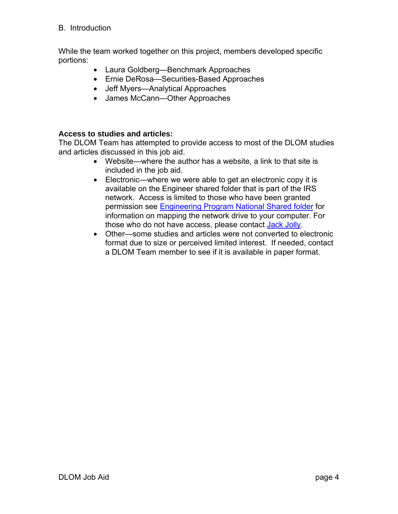#### B. Introduction

While the team worked together on this project, members developed specific portions:

- Laura Goldberg—Benchmark Approaches
- Ernie DeRosa—Securities-Based Approaches
- Jeff Myers—Analytical Approaches
- James McCann—Other Approaches

#### **Access to studies and articles:**

The DLOM Team has attempted to provide access to most of the DLOM studies and articles discussed in this job aid.

- Website—where the author has a website, a link to that site is included in the job aid.
- Electronic—where we were able to get an electronic copy it is available on the Engineer shared folder that is part of the IRS network. Access is limited to those who have been granted permission see Engineering Program National Shared folder for information on mapping the network drive to your computer. For those who do not have access, please contact Jack Jolly.
- Other—some studies and articles were not converted to electronic format due to size or perceived limited interest. If needed, contact a DLOM Team member to see if it is available in paper format.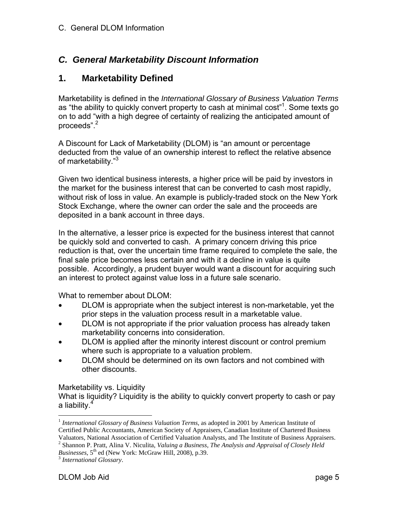# *C. General Marketability Discount Information*

## **1. Marketability Defined**

Marketability is defined in the *International Glossary of Business Valuation Terms* as "the ability to quickly convert property to cash at minimal cost"<sup>1</sup>. Some texts go on to add "with a high degree of certainty of realizing the anticipated amount of proceeds".<sup>2</sup>

A Discount for Lack of Marketability (DLOM) is "an amount or percentage deducted from the value of an ownership interest to reflect the relative absence of marketability."<sup>3</sup>

Given two identical business interests, a higher price will be paid by investors in the market for the business interest that can be converted to cash most rapidly, without risk of loss in value. An example is publicly-traded stock on the New York Stock Exchange, where the owner can order the sale and the proceeds are deposited in a bank account in three days.

In the alternative, a lesser price is expected for the business interest that cannot be quickly sold and converted to cash. A primary concern driving this price reduction is that, over the uncertain time frame required to complete the sale, the final sale price becomes less certain and with it a decline in value is quite possible. Accordingly, a prudent buyer would want a discount for acquiring such an interest to protect against value loss in a future sale scenario.

What to remember about DLOM:

- DLOM is appropriate when the subject interest is non-marketable, yet the prior steps in the valuation process result in a marketable value.
- DLOM is not appropriate if the prior valuation process has already taken marketability concerns into consideration.
- DLOM is applied after the minority interest discount or control premium where such is appropriate to a valuation problem.
- DLOM should be determined on its own factors and not combined with other discounts.

#### Marketability vs. Liquidity

What is liquidity? Liquidity is the ability to quickly convert property to cash or pay a liability.<sup>4</sup>

*Businesses*, 5<sup>th</sup> ed (New York: McGraw Hill, 2008), p.39. <sup>3</sup> *International Glossary*.

 $\overline{a}$ <sup>1</sup> International Glossary of Business Valuation Terms, as adopted in 2001 by American Institute of Certified Public Accountants, American Society of Appraisers, Canadian Institute of Chartered Business Valuators, National Association of Certified Valuation Analysts, and The Institute of Business Appraisers. 2

Shannon P. Pratt, Alina V. Niculita, *Valuing a Business, The Analysis and Appraisal of Closely Held*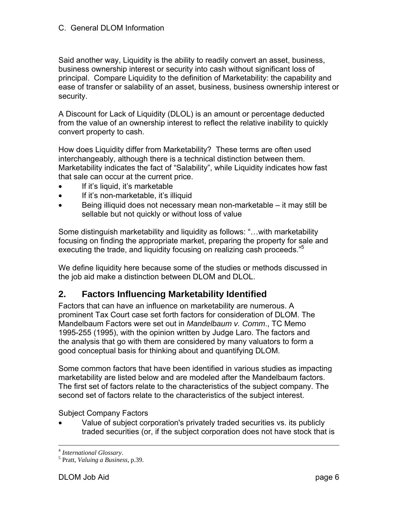#### C. General DLOM Information

Said another way, Liquidity is the ability to readily convert an asset, business, business ownership interest or security into cash without significant loss of principal. Compare Liquidity to the definition of Marketability: the capability and ease of transfer or salability of an asset, business, business ownership interest or security.

A Discount for Lack of Liquidity (DLOL) is an amount or percentage deducted from the value of an ownership interest to reflect the relative inability to quickly convert property to cash.

How does Liquidity differ from Marketability? These terms are often used interchangeably, although there is a technical distinction between them. Marketability indicates the fact of "Salability", while Liquidity indicates how fast that sale can occur at the current price.

- If it's liquid, it's marketable
- If it's non-marketable, it's illiquid
- Being illiquid does not necessary mean non-marketable it may still be sellable but not quickly or without loss of value

Some distinguish marketability and liquidity as follows: "…with marketability focusing on finding the appropriate market, preparing the property for sale and executing the trade, and liquidity focusing on realizing cash proceeds."<sup>5</sup>

We define liquidity here because some of the studies or methods discussed in the job aid make a distinction between DLOM and DLOL.

## **2. Factors Influencing Marketability Identified**

Factors that can have an influence on marketability are numerous. A prominent Tax Court case set forth factors for consideration of DLOM. The Mandelbaum Factors were set out in *Mandelbaum v. Comm*., TC Memo 1995-255 (1995), with the opinion written by Judge Laro. The factors and the analysis that go with them are considered by many valuators to form a good conceptual basis for thinking about and quantifying DLOM.

Some common factors that have been identified in various studies as impacting marketability are listed below and are modeled after the Mandelbaum factors. The first set of factors relate to the characteristics of the subject company. The second set of factors relate to the characteristics of the subject interest.

Subject Company Factors

• Value of subject corporation's privately traded securities vs. its publicly traded securities (or, if the subject corporation does not have stock that is

<sup>&</sup>lt;sup>4</sup> International Glossary.

Pratt, *Valuing a Business*, p.39.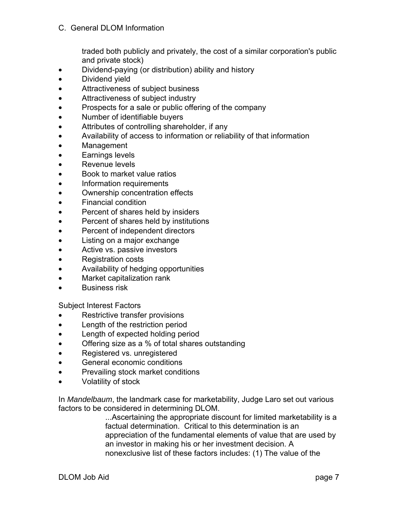traded both publicly and privately, the cost of a similar corporation's public and private stock)

- Dividend-paying (or distribution) ability and history
- Dividend yield
- Attractiveness of subject business
- Attractiveness of subject industry
- Prospects for a sale or public offering of the company
- Number of identifiable buyers
- Attributes of controlling shareholder, if any
- Availability of access to information or reliability of that information
- Management
- Earnings levels
- Revenue levels
- Book to market value ratios
- Information requirements
- Ownership concentration effects
- Financial condition
- Percent of shares held by insiders
- Percent of shares held by institutions
- Percent of independent directors
- Listing on a major exchange
- Active vs. passive investors
- Registration costs
- Availability of hedging opportunities
- Market capitalization rank
- Business risk

Subject Interest Factors

- Restrictive transfer provisions
- Length of the restriction period
- Length of expected holding period
- Offering size as a % of total shares outstanding
- Registered vs. unregistered
- General economic conditions
- Prevailing stock market conditions
- Volatility of stock

In *Mandelbaum*, the landmark case for marketability, Judge Laro set out various factors to be considered in determining DLOM.

...Ascertaining the appropriate discount for limited marketability is a factual determination. Critical to this determination is an appreciation of the fundamental elements of value that are used by an investor in making his or her investment decision. A nonexclusive list of these factors includes: (1) The value of the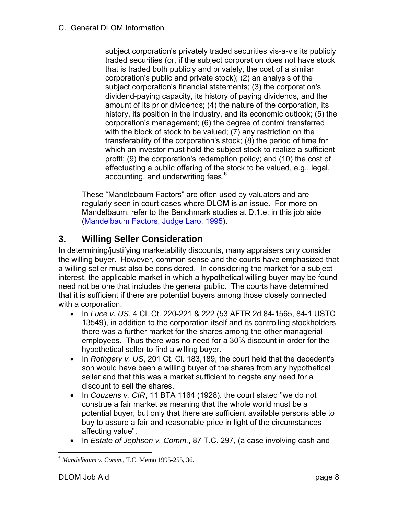subject corporation's privately traded securities vis-a-vis its publicly traded securities (or, if the subject corporation does not have stock that is traded both publicly and privately, the cost of a similar corporation's public and private stock); (2) an analysis of the subject corporation's financial statements; (3) the corporation's dividend-paying capacity, its history of paying dividends, and the amount of its prior dividends; (4) the nature of the corporation, its history, its position in the industry, and its economic outlook; (5) the corporation's management; (6) the degree of control transferred with the block of stock to be valued; (7) any restriction on the transferability of the corporation's stock; (8) the period of time for which an investor must hold the subject stock to realize a sufficient profit; (9) the corporation's redemption policy; and (10) the cost of effectuating a public offering of the stock to be valued, e.g., legal, accounting, and underwriting fees.<sup>6</sup>

These "Mandlebaum Factors" are often used by valuators and are regularly seen in court cases where DLOM is an issue. For more on Mandelbaum, refer to the Benchmark studies at D.1.e. in this job aide (Mandelbaum Factors, Judge Laro, 1995).

# **3. Willing Seller Consideration**

In determining/justifying marketability discounts, many appraisers only consider the willing buyer. However, common sense and the courts have emphasized that a willing seller must also be considered. In considering the market for a subject interest, the applicable market in which a hypothetical willing buyer may be found need not be one that includes the general public. The courts have determined that it is sufficient if there are potential buyers among those closely connected with a corporation.

- In *Luce v. US*, 4 Cl. Ct. 220-221 & 222 (53 AFTR 2d 84-1565, 84-1 USTC 13549), in addition to the corporation itself and its controlling stockholders there was a further market for the shares among the other managerial employees. Thus there was no need for a 30% discount in order for the hypothetical seller to find a willing buyer.
- In *Rothgery v. US*, 201 Ct. Cl. 183,189, the court held that the decedent's son would have been a willing buyer of the shares from any hypothetical seller and that this was a market sufficient to negate any need for a discount to sell the shares.
- In *Couzens v. CIR*, 11 BTA 1164 (1928), the court stated "we do not construe a fair market as meaning that the whole world must be a potential buyer, but only that there are sufficient available persons able to buy to assure a fair and reasonable price in light of the circumstances affecting value".
- In *Estate of Jephson v. Comm.*, 87 T.C. 297, (a case involving cash and

 $\overline{a}$ <sup>6</sup> *Mandelbaum v. Comm*., T.C. Memo 1995-255, 36.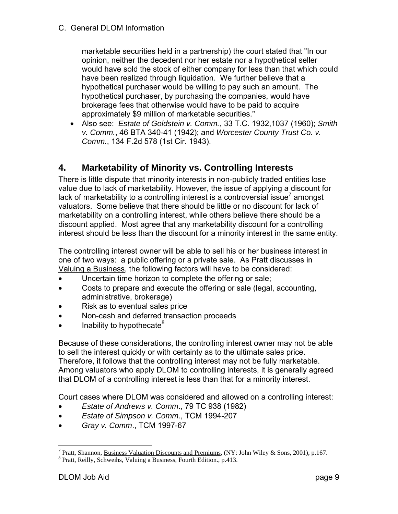C. General DLOM Information

marketable securities held in a partnership) the court stated that "In our opinion, neither the decedent nor her estate nor a hypothetical seller would have sold the stock of either company for less than that which could have been realized through liquidation. We further believe that a hypothetical purchaser would be willing to pay such an amount. The hypothetical purchaser, by purchasing the companies, would have brokerage fees that otherwise would have to be paid to acquire approximately \$9 million of marketable securities."

• Also see: *Estate of Goldstein v. Comm.*, 33 T.C. 1932,1037 (1960); *Smith v. Comm.*, 46 BTA 340-41 (1942); and *Worcester County Trust Co. v. Comm.*, 134 F.2d 578 (1st Cir. 1943).

## **4. Marketability of Minority vs. Controlling Interests**

There is little dispute that minority interests in non-publicly traded entities lose value due to lack of marketability. However, the issue of applying a discount for lack of marketability to a controlling interest is a controversial issue<sup>7</sup> amongst valuators. Some believe that there should be little or no discount for lack of marketability on a controlling interest, while others believe there should be a discount applied. Most agree that any marketability discount for a controlling interest should be less than the discount for a minority interest in the same entity.

The controlling interest owner will be able to sell his or her business interest in one of two ways: a public offering or a private sale. As Pratt discusses in Valuing a Business, the following factors will have to be considered:

- Uncertain time horizon to complete the offering or sale;
- Costs to prepare and execute the offering or sale (legal, accounting, administrative, brokerage)
- Risk as to eventual sales price
- Non-cash and deferred transaction proceeds
- Inability to hypothecate<sup>8</sup>

Because of these considerations, the controlling interest owner may not be able to sell the interest quickly or with certainty as to the ultimate sales price. Therefore, it follows that the controlling interest may not be fully marketable. Among valuators who apply DLOM to controlling interests, it is generally agreed that DLOM of a controlling interest is less than that for a minority interest.

Court cases where DLOM was considered and allowed on a controlling interest:

- *Estate of Andrews v. Comm*., 79 TC 938 (1982)
- *Estate of Simpson v. Comm*., TCM 1994-207
- *Gray v. Comm*., TCM 1997-67

 $\overline{a}$ 

<sup>&</sup>lt;sup>7</sup> Pratt, Shannon, <u>Business Valuation Discounts and Premiums</u>, (NY: John Wiley & Sons, 2001), p.167.

<sup>&</sup>lt;sup>8</sup> Pratt, Reilly, Schweihs, Valuing a Business, Fourth Edition., p.413.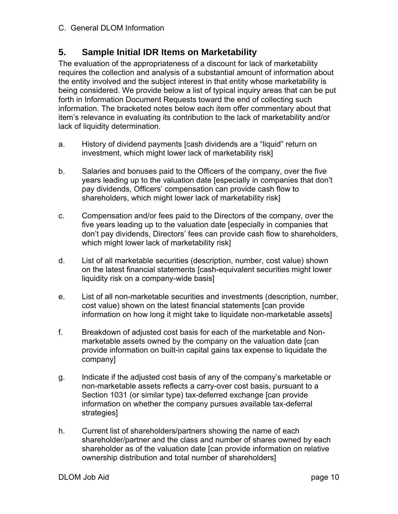# **5. Sample Initial IDR Items on Marketability**

The evaluation of the appropriateness of a discount for lack of marketability requires the collection and analysis of a substantial amount of information about the entity involved and the subject interest in that entity whose marketability is being considered. We provide below a list of typical inquiry areas that can be put forth in Information Document Requests toward the end of collecting such information. The bracketed notes below each item offer commentary about that item's relevance in evaluating its contribution to the lack of marketability and/or lack of liquidity determination.

- a. History of dividend payments [cash dividends are a "liquid" return on investment, which might lower lack of marketability risk]
- b. Salaries and bonuses paid to the Officers of the company, over the five years leading up to the valuation date [especially in companies that don't pay dividends, Officers' compensation can provide cash flow to shareholders, which might lower lack of marketability risk]
- c. Compensation and/or fees paid to the Directors of the company, over the five years leading up to the valuation date [especially in companies that don't pay dividends, Directors' fees can provide cash flow to shareholders, which might lower lack of marketability risk]
- d. List of all marketable securities (description, number, cost value) shown on the latest financial statements [cash-equivalent securities might lower liquidity risk on a company-wide basis]
- e. List of all non-marketable securities and investments (description, number, cost value) shown on the latest financial statements [can provide information on how long it might take to liquidate non-marketable assets]
- f. Breakdown of adjusted cost basis for each of the marketable and Nonmarketable assets owned by the company on the valuation date [can provide information on built-in capital gains tax expense to liquidate the company]
- g. Indicate if the adjusted cost basis of any of the company's marketable or non-marketable assets reflects a carry-over cost basis, pursuant to a Section 1031 (or similar type) tax-deferred exchange [can provide information on whether the company pursues available tax-deferral strategies]
- h. Current list of shareholders/partners showing the name of each shareholder/partner and the class and number of shares owned by each shareholder as of the valuation date [can provide information on relative ownership distribution and total number of shareholders]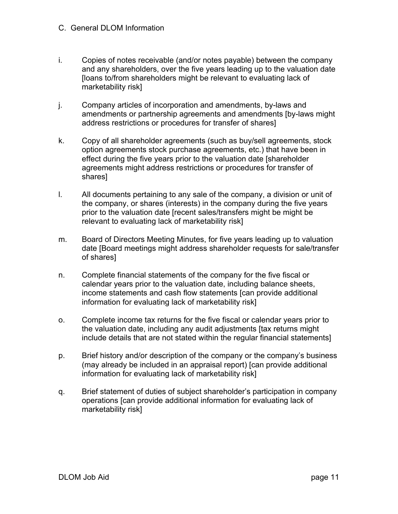- i. Copies of notes receivable (and/or notes payable) between the company and any shareholders, over the five years leading up to the valuation date [loans to/from shareholders might be relevant to evaluating lack of marketability risk]
- j. Company articles of incorporation and amendments, by-laws and amendments or partnership agreements and amendments [by-laws might address restrictions or procedures for transfer of shares]
- k. Copy of all shareholder agreements (such as buy/sell agreements, stock option agreements stock purchase agreements, etc.) that have been in effect during the five years prior to the valuation date [shareholder agreements might address restrictions or procedures for transfer of shares]
- l. All documents pertaining to any sale of the company, a division or unit of the company, or shares (interests) in the company during the five years prior to the valuation date [recent sales/transfers might be might be relevant to evaluating lack of marketability risk]
- m. Board of Directors Meeting Minutes, for five years leading up to valuation date [Board meetings might address shareholder requests for sale/transfer of shares]
- n. Complete financial statements of the company for the five fiscal or calendar years prior to the valuation date, including balance sheets, income statements and cash flow statements [can provide additional information for evaluating lack of marketability risk]
- o. Complete income tax returns for the five fiscal or calendar years prior to the valuation date, including any audit adjustments [tax returns might include details that are not stated within the regular financial statements]
- p. Brief history and/or description of the company or the company's business (may already be included in an appraisal report) [can provide additional information for evaluating lack of marketability risk]
- q. Brief statement of duties of subject shareholder's participation in company operations [can provide additional information for evaluating lack of marketability risk]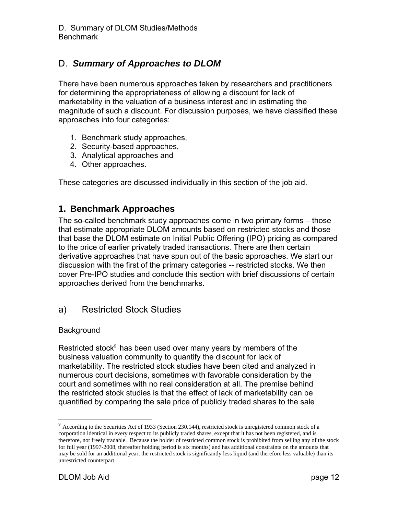# D. *Summary of Approaches to DLOM*

There have been numerous approaches taken by researchers and practitioners for determining the appropriateness of allowing a discount for lack of marketability in the valuation of a business interest and in estimating the magnitude of such a discount. For discussion purposes, we have classified these approaches into four categories:

- 1. Benchmark study approaches,
- 2. Security-based approaches,
- 3. Analytical approaches and
- 4. Other approaches.

These categories are discussed individually in this section of the job aid.

## **1. Benchmark Approaches**

The so-called benchmark study approaches come in two primary forms – those that estimate appropriate DLOM amounts based on restricted stocks and those that base the DLOM estimate on Initial Public Offering (IPO) pricing as compared to the price of earlier privately traded transactions. There are then certain derivative approaches that have spun out of the basic approaches. We start our discussion with the first of the primary categories -- restricted stocks. We then cover Pre-IPO studies and conclude this section with brief discussions of certain approaches derived from the benchmarks.

## a) Restricted Stock Studies

#### **Background**

Restricted stock $9$  has been used over many years by members of the business valuation community to quantify the discount for lack of marketability. The restricted stock studies have been cited and analyzed in numerous court decisions, sometimes with favorable consideration by the court and sometimes with no real consideration at all. The premise behind the restricted stock studies is that the effect of lack of marketability can be quantified by comparing the sale price of publicly traded shares to the sale

 $\overline{a}$ 

<sup>&</sup>lt;sup>9</sup> According to the Securities Act of 1933 (Section 230.144), restricted stock is unregistered common stock of a corporation identical in every respect to its publicly traded shares, except that it has not been registered, and is therefore, not freely tradable. Because the holder of restricted common stock is prohibited from selling any of the stock for full year (1997-2008, thereafter holding period is six months) and has additional constraints on the amounts that may be sold for an additional year, the restricted stock is significantly less liquid (and therefore less valuable) than its unrestricted counterpart.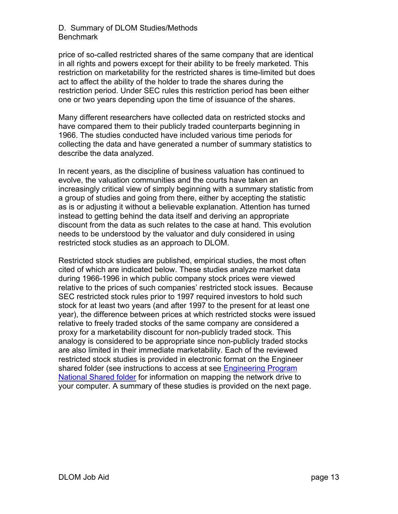price of so-called restricted shares of the same company that are identical in all rights and powers except for their ability to be freely marketed. This restriction on marketability for the restricted shares is time-limited but does act to affect the ability of the holder to trade the shares during the restriction period. Under SEC rules this restriction period has been either one or two years depending upon the time of issuance of the shares.

Many different researchers have collected data on restricted stocks and have compared them to their publicly traded counterparts beginning in 1966. The studies conducted have included various time periods for collecting the data and have generated a number of summary statistics to describe the data analyzed.

In recent years, as the discipline of business valuation has continued to evolve, the valuation communities and the courts have taken an increasingly critical view of simply beginning with a summary statistic from a group of studies and going from there, either by accepting the statistic as is or adjusting it without a believable explanation. Attention has turned instead to getting behind the data itself and deriving an appropriate discount from the data as such relates to the case at hand. This evolution needs to be understood by the valuator and duly considered in using restricted stock studies as an approach to DLOM.

Restricted stock studies are published, empirical studies, the most often cited of which are indicated below. These studies analyze market data during 1966-1996 in which public company stock prices were viewed relative to the prices of such companies' restricted stock issues. Because SEC restricted stock rules prior to 1997 required investors to hold such stock for at least two years (and after 1997 to the present for at least one year), the difference between prices at which restricted stocks were issued relative to freely traded stocks of the same company are considered a proxy for a marketability discount for non-publicly traded stock. This analogy is considered to be appropriate since non-publicly traded stocks are also limited in their immediate marketability. Each of the reviewed restricted stock studies is provided in electronic format on the Engineer shared folder (see instructions to access at see Engineering Program National Shared folder for information on mapping the network drive to your computer. A summary of these studies is provided on the next page.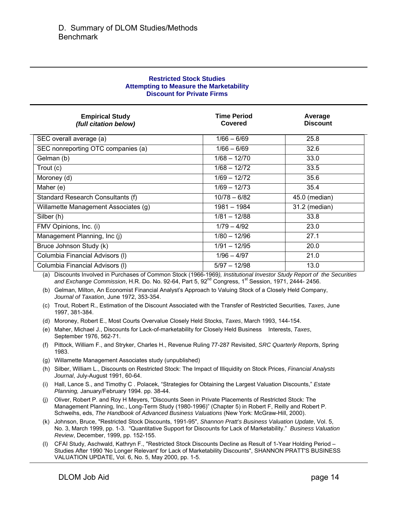| <b>Restricted Stock Studies</b>                |  |  |
|------------------------------------------------|--|--|
| <b>Attempting to Measure the Marketability</b> |  |  |
| <b>Discount for Private Firms</b>              |  |  |

| <b>Empirical Study</b><br>(full citation below) | <b>Time Period</b><br>Covered | Average<br><b>Discount</b> |
|-------------------------------------------------|-------------------------------|----------------------------|
| SEC overall average (a)                         | $1/66 - 6/69$                 | 25.8                       |
| SEC nonreporting OTC companies (a)              | $1/66 - 6/69$                 | 32.6                       |
| Gelman (b)                                      | $1/68 - 12/70$                | 33.0                       |
| Trout (c)                                       | $1/68 - 12/72$                | 33.5                       |
| Moroney (d)                                     | $1/69 - 12/72$                | 35.6                       |
| Maher (e)                                       | $1/69 - 12/73$                | 35.4                       |
| Standard Research Consultants (f)               | $10/78 - 6/82$                | 45.0 (median)              |
| Willamette Management Associates (g)            | 1981 - 1984                   | 31.2 (median)              |
| Silber (h)                                      | $1/81 - 12/88$                | 33.8                       |
| FMV Opinions, Inc. (i)                          | $1/79 - 4/92$                 | 23.0                       |
| Management Planning, Inc (j)                    | $1/80 - 12/96$                | 27.1                       |
| Bruce Johnson Study (k)                         | $1/91 - 12/95$                | 20.0                       |
| Columbia Financial Advisors (I)                 | $1/96 - 4/97$                 | 21.0                       |
| Columbia Financial Advisors (I)                 | $5/97 - 12/98$                | 13.0                       |

(a) Discounts Involved in Purchases of Common Stock (1966-1969*), Institutional Investor Study Report of the Securities*  and Exchange Commission, H.R. Do. No. 92-64, Part 5, 92<sup>nd</sup> Congress, 1<sup>st</sup> Session, 1971, 2444- 2456.

(b) Gelman, Milton, An Economist Financial Analyst's Approach to Valuing Stock of a Closely Held Company, *Journal of Taxation*, June 1972, 353-354.

- (c) Trout, Robert R., Estimation of the Discount Associated with the Transfer of Restricted Securities*, Taxes*, June 1997, 381-384.
- (d) Moroney, Robert E., Most Courts Overvalue Closely Held Stocks, *Taxes*, March 1993, 144-154.
- (e) Maher, Michael J., Discounts for Lack-of-marketability for Closely Held Business Interests, *Taxes*, September 1976, 562-71.
- (f) Pittock, William F., and Stryker, Charles H., Revenue Ruling 77-287 Revisited, *SRC Quarterly Report*s, Spring 1983.
- (g) Willamette Management Associates study (unpublished)
- (h) Silber, William L., Discounts on Restricted Stock: The Impact of Illiquidity on Stock Prices, *Financial Analysts Journal*, July-August 1991, 60-64.
- (i) Hall, Lance S., and Timothy C . Polacek, "Strategies for Obtaining the Largest Valuation Discounts," *Estate Planning,* January/February 1994. pp. 38-44.
- (j) Oliver, Robert P. and Roy H Meyers, "Discounts Seen in Private Placements of Restricted Stock: The Management Planning, Inc., Long-Term Study (1980-1996)" (Chapter 5) in Robert F, Reilly and Robert P. Schweihs, eds, *The Handbook of Advanced Business Valuations* (New York: McGraw-Hill, 2000).
- (k) Johnson, Bruce, "Restricted Stock Discounts, 1991-95", *Shannon Pratt's Business Valuation Update*, Vol. 5, No. 3, March 1999, pp. 1-3. "Quantitative Support for Discounts for Lack of Marketability." *Business Valuation Review*, December, 1999, pp. 152-155.
- (l) CFAI Study, Aschwald, Kathryn F., "Restricted Stock Discounts Decline as Result of 1-Year Holding Period Studies After 1990 'No Longer Relevant' for Lack of Marketability Discounts", SHANNON PRATT'S BUSINESS VALUATION UPDATE, Vol. 6, No. 5, May 2000, pp. 1-5.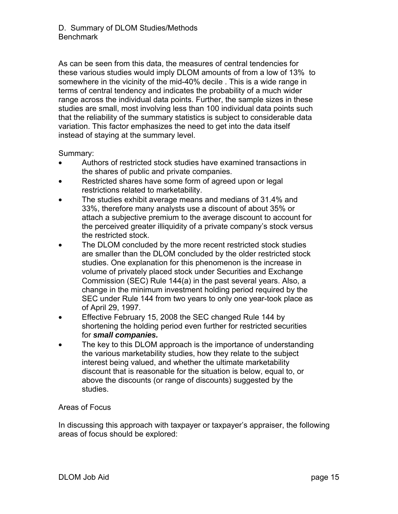As can be seen from this data, the measures of central tendencies for these various studies would imply DLOM amounts of from a low of 13% to somewhere in the vicinity of the mid-40% decile . This is a wide range in terms of central tendency and indicates the probability of a much wider range across the individual data points. Further, the sample sizes in these studies are small, most involving less than 100 individual data points such that the reliability of the summary statistics is subject to considerable data variation. This factor emphasizes the need to get into the data itself instead of staying at the summary level.

Summary:

- Authors of restricted stock studies have examined transactions in the shares of public and private companies.
- Restricted shares have some form of agreed upon or legal restrictions related to marketability.
- The studies exhibit average means and medians of 31.4% and 33%, therefore many analysts use a discount of about 35% or attach a subjective premium to the average discount to account for the perceived greater illiquidity of a private company's stock versus the restricted stock.
- The DLOM concluded by the more recent restricted stock studies are smaller than the DLOM concluded by the older restricted stock studies. One explanation for this phenomenon is the increase in volume of privately placed stock under Securities and Exchange Commission (SEC) Rule 144(a) in the past several years. Also, a change in the minimum investment holding period required by the SEC under Rule 144 from two years to only one year-took place as of April 29, 1997.
- Effective February 15, 2008 the SEC changed Rule 144 by shortening the holding period even further for restricted securities for *small companies.*
- The key to this DLOM approach is the importance of understanding the various marketability studies, how they relate to the subject interest being valued, and whether the ultimate marketability discount that is reasonable for the situation is below, equal to, or above the discounts (or range of discounts) suggested by the studies.

Areas of Focus

In discussing this approach with taxpayer or taxpayer's appraiser, the following areas of focus should be explored: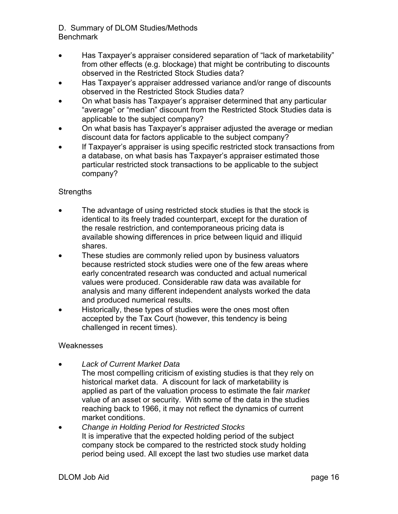- Has Taxpayer's appraiser considered separation of "lack of marketability" from other effects (e.g. blockage) that might be contributing to discounts observed in the Restricted Stock Studies data?
- Has Taxpayer's appraiser addressed variance and/or range of discounts observed in the Restricted Stock Studies data?
- On what basis has Taxpayer's appraiser determined that any particular "average" or "median" discount from the Restricted Stock Studies data is applicable to the subject company?
- On what basis has Taxpayer's appraiser adjusted the average or median discount data for factors applicable to the subject company?
- If Taxpayer's appraiser is using specific restricted stock transactions from a database, on what basis has Taxpayer's appraiser estimated those particular restricted stock transactions to be applicable to the subject company?

#### **Strengths**

- The advantage of using restricted stock studies is that the stock is identical to its freely traded counterpart, except for the duration of the resale restriction, and contemporaneous pricing data is available showing differences in price between liquid and illiquid shares.
- These studies are commonly relied upon by business valuators because restricted stock studies were one of the few areas where early concentrated research was conducted and actual numerical values were produced. Considerable raw data was available for analysis and many different independent analysts worked the data and produced numerical results.
- Historically, these types of studies were the ones most often accepted by the Tax Court (however, this tendency is being challenged in recent times).

#### **Weaknesses**

- *Lack of Current Market Data*
	- The most compelling criticism of existing studies is that they rely on historical market data. A discount for lack of marketability is applied as part of the valuation process to estimate the fair *market* value of an asset or security. With some of the data in the studies reaching back to 1966, it may not reflect the dynamics of current market conditions.
- *Change in Holding Period for Restricted Stocks*  It is imperative that the expected holding period of the subject company stock be compared to the restricted stock study holding period being used. All except the last two studies use market data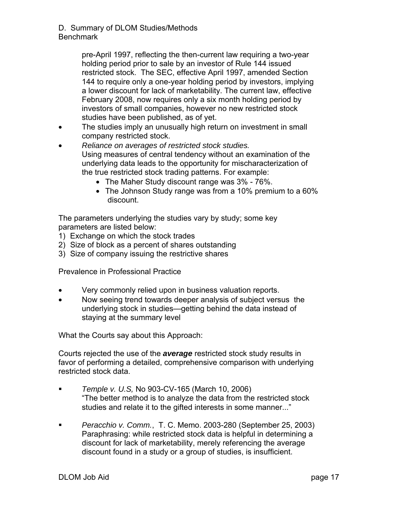pre-April 1997, reflecting the then-current law requiring a two-year holding period prior to sale by an investor of Rule 144 issued restricted stock. The SEC, effective April 1997, amended Section 144 to require only a one-year holding period by investors, implying a lower discount for lack of marketability. The current law, effective February 2008, now requires only a six month holding period by investors of small companies, however no new restricted stock studies have been published, as of yet.

- The studies imply an unusually high return on investment in small company restricted stock.
- *Reliance on averages of restricted stock studies.*  Using measures of central tendency without an examination of the underlying data leads to the opportunity for mischaracterization of the true restricted stock trading patterns. For example:
	- The Maher Study discount range was 3% 76%.
	- The Johnson Study range was from a 10% premium to a 60% discount.

The parameters underlying the studies vary by study; some key parameters are listed below:

- 1) Exchange on which the stock trades
- 2) Size of block as a percent of shares outstanding
- 3) Size of company issuing the restrictive shares

Prevalence in Professional Practice

- Very commonly relied upon in business valuation reports.
- Now seeing trend towards deeper analysis of subject versus the underlying stock in studies—getting behind the data instead of staying at the summary level

What the Courts say about this Approach:

Courts rejected the use of the *average* restricted stock study results in favor of performing a detailed, comprehensive comparison with underlying restricted stock data.

- *Temple v. U.S,* No 903-CV-165 (March 10, 2006) "The better method is to analyze the data from the restricted stock studies and relate it to the gifted interests in some manner..."
- *Peracchio v. Comm.*, T. C. Memo. 2003-280 (September 25, 2003) Paraphrasing: while restricted stock data is helpful in determining a discount for lack of marketability, merely referencing the average discount found in a study or a group of studies, is insufficient.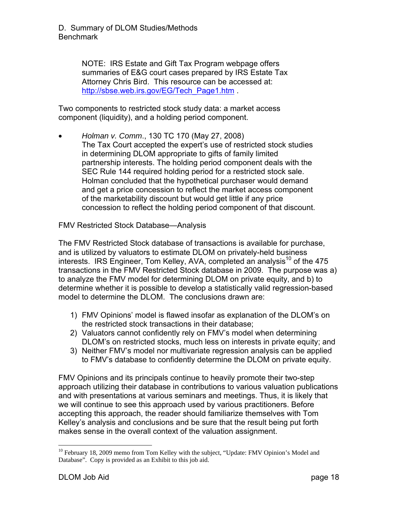NOTE: IRS Estate and Gift Tax Program webpage offers summaries of E&G court cases prepared by IRS Estate Tax Attorney Chris Bird. This resource can be accessed at: http://sbse.web.irs.gov/EG/Tech\_Page1.htm.

Two components to restricted stock study data: a market access component (liquidity), and a holding period component.

• *Holman v. Comm*., 130 TC 170 (May 27, 2008) The Tax Court accepted the expert's use of restricted stock studies in determining DLOM appropriate to gifts of family limited partnership interests. The holding period component deals with the SEC Rule 144 required holding period for a restricted stock sale. Holman concluded that the hypothetical purchaser would demand and get a price concession to reflect the market access component of the marketability discount but would get little if any price concession to reflect the holding period component of that discount.

FMV Restricted Stock Database—Analysis

The FMV Restricted Stock database of transactions is available for purchase, and is utilized by valuators to estimate DLOM on privately-held business interests. IRS Engineer, Tom Kelley, AVA, completed an analysis<sup>10</sup> of the 475 transactions in the FMV Restricted Stock database in 2009. The purpose was a) to analyze the FMV model for determining DLOM on private equity, and b) to determine whether it is possible to develop a statistically valid regression-based model to determine the DLOM. The conclusions drawn are:

- 1) FMV Opinions' model is flawed insofar as explanation of the DLOM's on the restricted stock transactions in their database;
- 2) Valuators cannot confidently rely on FMV's model when determining DLOM's on restricted stocks, much less on interests in private equity; and
- 3) Neither FMV's model nor multivariate regression analysis can be applied to FMV's database to confidently determine the DLOM on private equity.

FMV Opinions and its principals continue to heavily promote their two-step approach utilizing their database in contributions to various valuation publications and with presentations at various seminars and meetings. Thus, it is likely that we will continue to see this approach used by various practitioners. Before accepting this approach, the reader should familiarize themselves with Tom Kelley's analysis and conclusions and be sure that the result being put forth makes sense in the overall context of the valuation assignment.

<sup>&</sup>lt;u>.</u>  $10$  February 18, 2009 memo from Tom Kelley with the subject, "Update: FMV Opinion's Model and Database". Copy is provided as an Exhibit to this job aid.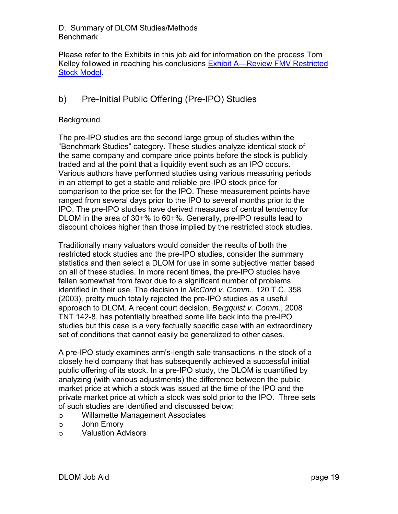Please refer to the Exhibits in this job aid for information on the process Tom Kelley followed in reaching his conclusions Exhibit A—Review FMV Restricted Stock Model.

## b) Pre-Initial Public Offering (Pre-IPO) Studies

#### **Background**

The pre-IPO studies are the second large group of studies within the "Benchmark Studies" category. These studies analyze identical stock of the same company and compare price points before the stock is publicly traded and at the point that a liquidity event such as an IPO occurs. Various authors have performed studies using various measuring periods in an attempt to get a stable and reliable pre-IPO stock price for comparison to the price set for the IPO. These measurement points have ranged from several days prior to the IPO to several months prior to the IPO. The pre-IPO studies have derived measures of central tendency for DLOM in the area of 30+% to 60+%. Generally, pre-IPO results lead to discount choices higher than those implied by the restricted stock studies.

Traditionally many valuators would consider the results of both the restricted stock studies and the pre-IPO studies, consider the summary statistics and then select a DLOM for use in some subjective matter based on all of these studies. In more recent times, the pre-IPO studies have fallen somewhat from favor due to a significant number of problems identified in their use. The decision in *McCord v. Comm*., 120 T.C. 358 (2003), pretty much totally rejected the pre-IPO studies as a useful approach to DLOM. A recent court decision, *Bergquist v. Comm*., 2008 TNT 142-8, has potentially breathed some life back into the pre-IPO studies but this case is a very factually specific case with an extraordinary set of conditions that cannot easily be generalized to other cases.

A pre-IPO study examines arm's-length sale transactions in the stock of a closely held company that has subsequently achieved a successful initial public offering of its stock. In a pre-IPO study, the DLOM is quantified by analyzing (with various adjustments) the difference between the public market price at which a stock was issued at the time of the IPO and the private market price at which a stock was sold prior to the IPO. Three sets of such studies are identified and discussed below:

- o Willamette Management Associates
- o John Emory
- o Valuation Advisors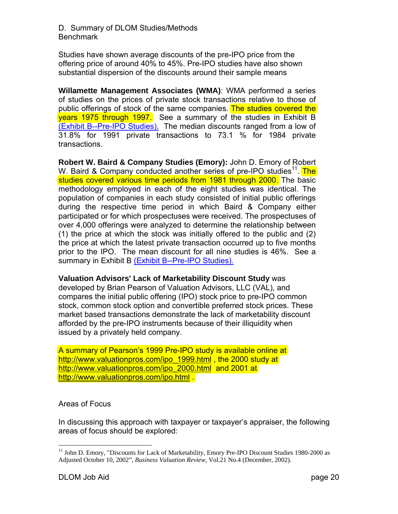Studies have shown average discounts of the pre-IPO price from the offering price of around 40% to 45%. Pre-IPO studies have also shown substantial dispersion of the discounts around their sample means

**Willamette Management Associates (WMA)**: WMA performed a series of studies on the prices of private stock transactions relative to those of public offerings of stock of the same companies. The studies covered the years 1975 through 1997. See a summary of the studies in Exhibit B (Exhibit B--Pre-IPO Studies). The median discounts ranged from a low of 31.8% for 1991 private transactions to 73.1 % for 1984 private transactions.

**Robert W. Baird & Company Studies (Emory):** John D. Emory of Robert W. Baird & Company conducted another series of pre-IPO studies<sup>11</sup>. The studies covered various time periods from 1981 through 2000. The basic methodology employed in each of the eight studies was identical. The population of companies in each study consisted of initial public offerings during the respective time period in which Baird & Company either participated or for which prospectuses were received. The prospectuses of over 4,000 offerings were analyzed to determine the relationship between (1) the price at which the stock was initially offered to the public and (2) the price at which the latest private transaction occurred up to five months prior to the IPO. The mean discount for all nine studies is 46%. See a summary in Exhibit B (Exhibit B--Pre-IPO Studies).

**Valuation Advisors' Lack of Marketability Discount Study** was

developed by Brian Pearson of Valuation Advisors, LLC (VAL), and compares the initial public offering (IPO) stock price to pre-IPO common stock, common stock option and convertible preferred stock prices. These market based transactions demonstrate the lack of marketability discount afforded by the pre-IPO instruments because of their illiquidity when issued by a privately held company.

A summary of Pearson's 1999 Pre-IPO study is available online at http://www.valuationpros.com/ipo\_1999.html, the 2000 study at http://www.yaluationpros.com/ipo\_2000.html\_and 2001 at http://www.valuationpros.com/ipo.html .

#### Areas of Focus

In discussing this approach with taxpayer or taxpayer's appraiser, the following areas of focus should be explored:

<u>.</u>

<sup>&</sup>lt;sup>11</sup> John D. Emory, "Discounts for Lack of Marketability, Emory Pre-IPO Discount Studies 1980-2000 as Adjusted October 10, 2002", *Business Valuation Review*, Vol.21 No.4 (December, 2002).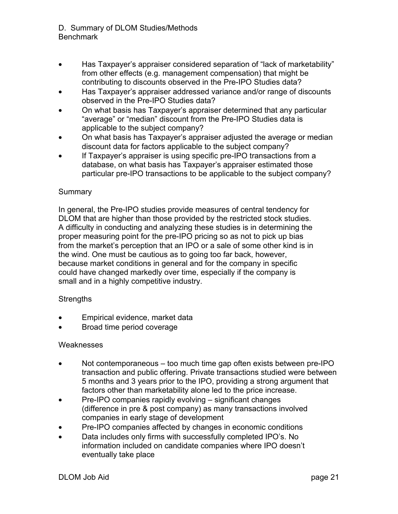- Has Taxpayer's appraiser considered separation of "lack of marketability" from other effects (e.g. management compensation) that might be contributing to discounts observed in the Pre-IPO Studies data?
- Has Taxpayer's appraiser addressed variance and/or range of discounts observed in the Pre-IPO Studies data?
- On what basis has Taxpayer's appraiser determined that any particular "average" or "median" discount from the Pre-IPO Studies data is applicable to the subject company?
- On what basis has Taxpayer's appraiser adjusted the average or median discount data for factors applicable to the subject company?
- If Taxpayer's appraiser is using specific pre-IPO transactions from a database, on what basis has Taxpayer's appraiser estimated those particular pre-IPO transactions to be applicable to the subject company?

#### **Summary**

In general, the Pre-IPO studies provide measures of central tendency for DLOM that are higher than those provided by the restricted stock studies. A difficulty in conducting and analyzing these studies is in determining the proper measuring point for the pre-IPO pricing so as not to pick up bias from the market's perception that an IPO or a sale of some other kind is in the wind. One must be cautious as to going too far back, however, because market conditions in general and for the company in specific could have changed markedly over time, especially if the company is small and in a highly competitive industry.

#### **Strengths**

- Empirical evidence, market data
- Broad time period coverage

#### **Weaknesses**

- Not contemporaneous too much time gap often exists between pre-IPO transaction and public offering. Private transactions studied were between 5 months and 3 years prior to the IPO, providing a strong argument that factors other than marketability alone led to the price increase.
- Pre-IPO companies rapidly evolving significant changes (difference in pre & post company) as many transactions involved companies in early stage of development
- Pre-IPO companies affected by changes in economic conditions
- Data includes only firms with successfully completed IPO's. No information included on candidate companies where IPO doesn't eventually take place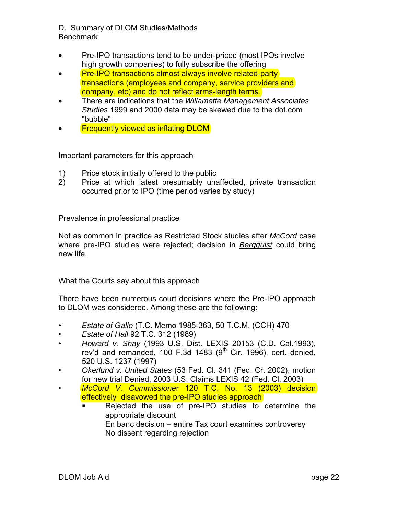- Pre-IPO transactions tend to be under-priced (most IPOs involve high growth companies) to fully subscribe the offering
- Pre-IPO transactions almost always involve related-party transactions (employees and company, service providers and company, etc) and do not reflect arms-length terms.
- There are indications that the *Willamette Management Associates Studies* 1999 and 2000 data may be skewed due to the dot.com "bubble"
- **Frequently viewed as inflating DLOM**

Important parameters for this approach

- 1) Price stock initially offered to the public
- 2) Price at which latest presumably unaffected, private transaction occurred prior to IPO (time period varies by study)

Prevalence in professional practice

Not as common in practice as Restricted Stock studies after *McCord* case where pre-IPO studies were rejected; decision in *Bergquist* could bring new life.

What the Courts say about this approach

There have been numerous court decisions where the Pre-IPO approach to DLOM was considered. Among these are the following:

- *Estate of Gallo* (T.C. Memo 1985-363, 50 T.C.M. (CCH) 470
- *Estate of Hall* 92 T.C. 312 (1989)
- *Howard v. Shay* (1993 U.S. Dist. LEXIS 20153 (C.D. Cal.1993), rev'd and remanded, 100 F.3d 1483  $(9<sup>th</sup>$  Cir. 1996), cert. denied, 520 U.S. 1237 (1997)
- *Okerlund v. United States* (53 Fed. Cl. 341 (Fed. Cr. 2002), motion for new trial Denied, 2003 U.S. Claims LEXIS 42 (Fed. Cl. 2003)
- *McCord V. Commissione*r 120 T.C. No. 13 (2003) decision effectively disavowed the pre-IPO studies approach
	- Rejected the use of pre-IPO studies to determine the appropriate discount En banc decision – entire Tax court examines controversy No dissent regarding rejection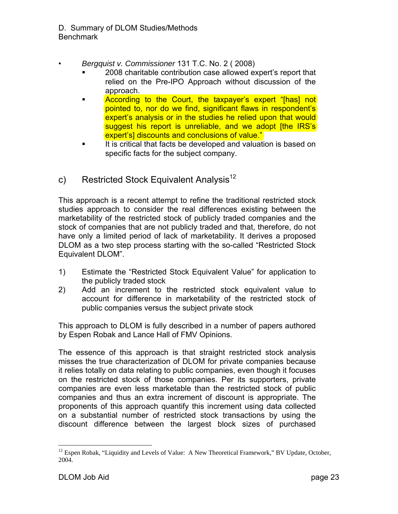- *Bergquist v. Commissioner* 131 T.C. No. 2 ( 2008)
	- 2008 charitable contribution case allowed expert's report that relied on the Pre-IPO Approach without discussion of the approach.
	- According to the Court, the taxpayer's expert "[has] not pointed to, nor do we find, significant flaws in respondent's expert's analysis or in the studies he relied upon that would suggest his report is unreliable, and we adopt [the IRS's] expert's] discounts and conclusions of value."
	- It is critical that facts be developed and valuation is based on specific facts for the subject company.

# c) Restricted Stock Equivalent Analysis<sup>12</sup>

This approach is a recent attempt to refine the traditional restricted stock studies approach to consider the real differences existing between the marketability of the restricted stock of publicly traded companies and the stock of companies that are not publicly traded and that, therefore, do not have only a limited period of lack of marketability. It derives a proposed DLOM as a two step process starting with the so-called "Restricted Stock Equivalent DLOM".

- 1) Estimate the "Restricted Stock Equivalent Value" for application to the publicly traded stock
- 2) Add an increment to the restricted stock equivalent value to account for difference in marketability of the restricted stock of public companies versus the subject private stock

This approach to DLOM is fully described in a number of papers authored by Espen Robak and Lance Hall of FMV Opinions.

The essence of this approach is that straight restricted stock analysis misses the true characterization of DLOM for private companies because it relies totally on data relating to public companies, even though it focuses on the restricted stock of those companies. Per its supporters, private companies are even less marketable than the restricted stock of public companies and thus an extra increment of discount is appropriate. The proponents of this approach quantify this increment using data collected on a substantial number of restricted stock transactions by using the discount difference between the largest block sizes of purchased

 $\overline{a}$  $12$  Espen Robak, "Liquidity and Levels of Value: A New Theoretical Framework," BV Update, October, 2004.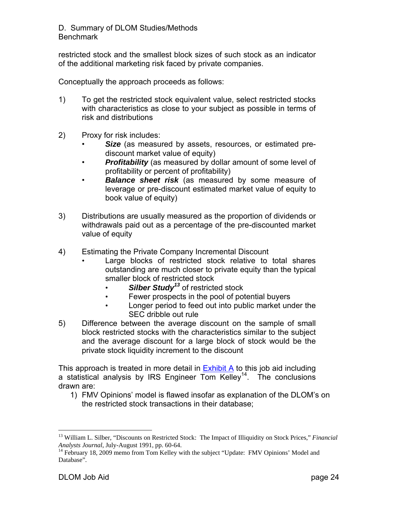restricted stock and the smallest block sizes of such stock as an indicator of the additional marketing risk faced by private companies.

Conceptually the approach proceeds as follows:

- 1) To get the restricted stock equivalent value, select restricted stocks with characteristics as close to your subject as possible in terms of risk and distributions
- 2) Proxy for risk includes:
	- **Size** (as measured by assets, resources, or estimated prediscount market value of equity)
	- *Profitability* (as measured by dollar amount of some level of profitability or percent of profitability)
	- *Balance sheet risk* (as measured by some measure of leverage or pre-discount estimated market value of equity to book value of equity)
- 3) Distributions are usually measured as the proportion of dividends or withdrawals paid out as a percentage of the pre-discounted market value of equity
- 4) Estimating the Private Company Incremental Discount
	- Large blocks of restricted stock relative to total shares outstanding are much closer to private equity than the typical smaller block of restricted stock
		- **Silber Study<sup>13</sup>** of restricted stock
		- Fewer prospects in the pool of potential buyers
		- Longer period to feed out into public market under the SEC dribble out rule
- 5) Difference between the average discount on the sample of small block restricted stocks with the characteristics similar to the subject and the average discount for a large block of stock would be the private stock liquidity increment to the discount

This approach is treated in more detail in Exhibit A to this job aid including a statistical analysis by IRS Engineer  $\overline{Tom}$  Kelley<sup>14</sup>. The conclusions drawn are:

1) FMV Opinions' model is flawed insofar as explanation of the DLOM's on the restricted stock transactions in their database;

 $\overline{a}$ 

<sup>13</sup> William L. Silber, "Discounts on Restricted Stock: The Impact of Illiquidity on Stock Prices," *Financial Analysts Journal*, July-August 1991, pp. 60-64.<br><sup>14</sup> February 18, 2009 memo from Tom Kelley with the subject "Update: FMV Opinions' Model and

Database".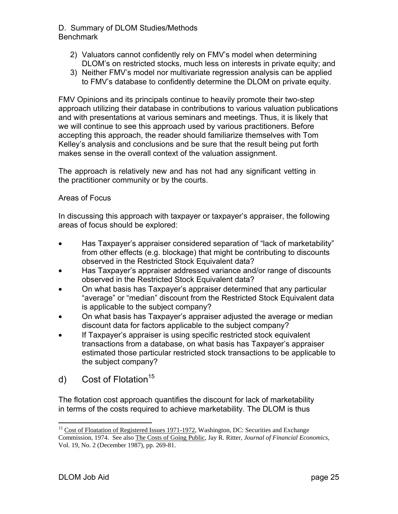- 2) Valuators cannot confidently rely on FMV's model when determining DLOM's on restricted stocks, much less on interests in private equity; and
- 3) Neither FMV's model nor multivariate regression analysis can be applied to FMV's database to confidently determine the DLOM on private equity.

FMV Opinions and its principals continue to heavily promote their two-step approach utilizing their database in contributions to various valuation publications and with presentations at various seminars and meetings. Thus, it is likely that we will continue to see this approach used by various practitioners. Before accepting this approach, the reader should familiarize themselves with Tom Kelley's analysis and conclusions and be sure that the result being put forth makes sense in the overall context of the valuation assignment.

The approach is relatively new and has not had any significant vetting in the practitioner community or by the courts.

#### Areas of Focus

In discussing this approach with taxpayer or taxpayer's appraiser, the following areas of focus should be explored:

- Has Taxpayer's appraiser considered separation of "lack of marketability" from other effects (e.g. blockage) that might be contributing to discounts observed in the Restricted Stock Equivalent data?
- Has Taxpayer's appraiser addressed variance and/or range of discounts observed in the Restricted Stock Equivalent data?
- On what basis has Taxpayer's appraiser determined that any particular "average" or "median" discount from the Restricted Stock Equivalent data is applicable to the subject company?
- On what basis has Taxpayer's appraiser adjusted the average or median discount data for factors applicable to the subject company?
- If Taxpayer's appraiser is using specific restricted stock equivalent transactions from a database, on what basis has Taxpayer's appraiser estimated those particular restricted stock transactions to be applicable to the subject company?
- d) Cost of Flotation<sup>15</sup>

The flotation cost approach quantifies the discount for lack of marketability in terms of the costs required to achieve marketability. The DLOM is thus

 $\overline{a}$ <sup>15</sup> Cost of Floatation of Registered Issues 1971-1972, Washington, DC: Securities and Exchange Commission, 1974. See also The Costs of Going Public, Jay R. Ritter, *Journal of Financial Economics*, Vol. 19, No. 2 (December 1987), pp. 269-81.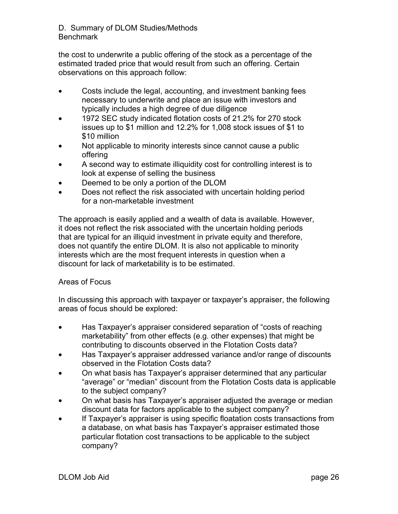the cost to underwrite a public offering of the stock as a percentage of the estimated traded price that would result from such an offering. Certain observations on this approach follow:

- Costs include the legal, accounting, and investment banking fees necessary to underwrite and place an issue with investors and typically includes a high degree of due diligence
- 1972 SEC study indicated flotation costs of 21.2% for 270 stock issues up to \$1 million and 12.2% for 1,008 stock issues of \$1 to \$10 million
- Not applicable to minority interests since cannot cause a public offering
- A second way to estimate illiquidity cost for controlling interest is to look at expense of selling the business
- Deemed to be only a portion of the DLOM
- Does not reflect the risk associated with uncertain holding period for a non-marketable investment

The approach is easily applied and a wealth of data is available. However, it does not reflect the risk associated with the uncertain holding periods that are typical for an illiquid investment in private equity and therefore, does not quantify the entire DLOM. It is also not applicable to minority interests which are the most frequent interests in question when a discount for lack of marketability is to be estimated.

#### Areas of Focus

In discussing this approach with taxpayer or taxpayer's appraiser, the following areas of focus should be explored:

- Has Taxpayer's appraiser considered separation of "costs of reaching" marketability" from other effects (e.g. other expenses) that might be contributing to discounts observed in the Flotation Costs data?
- Has Taxpayer's appraiser addressed variance and/or range of discounts observed in the Flotation Costs data?
- On what basis has Taxpayer's appraiser determined that any particular "average" or "median" discount from the Flotation Costs data is applicable to the subject company?
- On what basis has Taxpayer's appraiser adjusted the average or median discount data for factors applicable to the subject company?
- If Taxpayer's appraiser is using specific floatation costs transactions from a database, on what basis has Taxpayer's appraiser estimated those particular flotation cost transactions to be applicable to the subject company?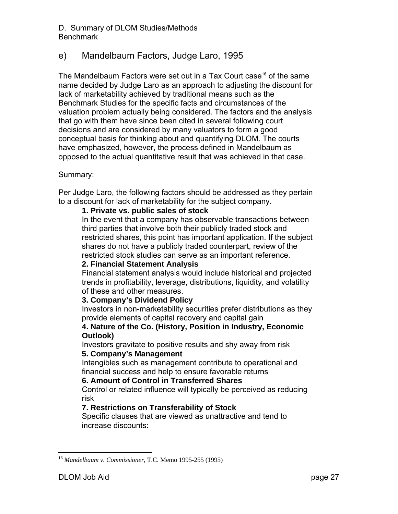### e) Mandelbaum Factors, Judge Laro, 1995

The Mandelbaum Factors were set out in a Tax Court case<sup>16</sup> of the same name decided by Judge Laro as an approach to adjusting the discount for lack of marketability achieved by traditional means such as the Benchmark Studies for the specific facts and circumstances of the valuation problem actually being considered. The factors and the analysis that go with them have since been cited in several following court decisions and are considered by many valuators to form a good conceptual basis for thinking about and quantifying DLOM. The courts have emphasized, however, the process defined in Mandelbaum as opposed to the actual quantitative result that was achieved in that case.

#### Summary:

Per Judge Laro, the following factors should be addressed as they pertain to a discount for lack of marketability for the subject company.

#### **1. Private vs. public sales of stock**

In the event that a company has observable transactions between third parties that involve both their publicly traded stock and restricted shares, this point has important application. If the subject shares do not have a publicly traded counterpart, review of the restricted stock studies can serve as an important reference.

#### **2. Financial Statement Analysis**

Financial statement analysis would include historical and projected trends in profitability, leverage, distributions, liquidity, and volatility of these and other measures.

#### **3. Company's Dividend Policy**

Investors in non-marketability securities prefer distributions as they provide elements of capital recovery and capital gain

#### **4. Nature of the Co. (History, Position in Industry, Economic Outlook)**

Investors gravitate to positive results and shy away from risk **5. Company's Management** 

Intangibles such as management contribute to operational and financial success and help to ensure favorable returns

#### **6. Amount of Control in Transferred Shares**

Control or related influence will typically be perceived as reducing risk

#### **7. Restrictions on Transferability of Stock**

Specific clauses that are viewed as unattractive and tend to increase discounts:

<sup>1</sup> <sup>16</sup> *Mandelbaum v. Commissioner*, T.C. Memo 1995-255 (1995)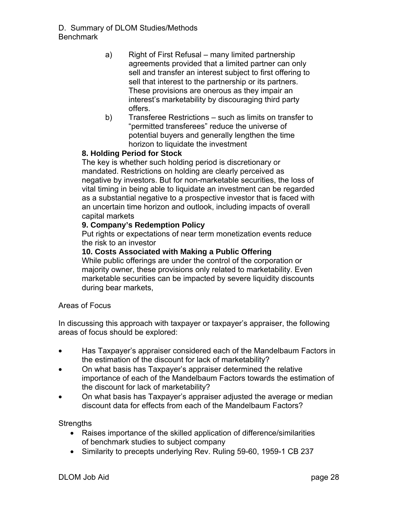- a) Right of First Refusal many limited partnership agreements provided that a limited partner can only sell and transfer an interest subject to first offering to sell that interest to the partnership or its partners. These provisions are onerous as they impair an interest's marketability by discouraging third party offers.
- b) Transferee Restrictions such as limits on transfer to "permitted transferees" reduce the universe of potential buyers and generally lengthen the time horizon to liquidate the investment

#### **8. Holding Period for Stock**

The key is whether such holding period is discretionary or mandated. Restrictions on holding are clearly perceived as negative by investors. But for non-marketable securities, the loss of vital timing in being able to liquidate an investment can be regarded as a substantial negative to a prospective investor that is faced with an uncertain time horizon and outlook, including impacts of overall capital markets

#### **9. Company's Redemption Policy**

Put rights or expectations of near term monetization events reduce the risk to an investor

#### **10. Costs Associated with Making a Public Offering**

While public offerings are under the control of the corporation or majority owner, these provisions only related to marketability. Even marketable securities can be impacted by severe liquidity discounts during bear markets,

#### Areas of Focus

In discussing this approach with taxpayer or taxpayer's appraiser, the following areas of focus should be explored:

- Has Taxpayer's appraiser considered each of the Mandelbaum Factors in the estimation of the discount for lack of marketability?
- On what basis has Taxpayer's appraiser determined the relative importance of each of the Mandelbaum Factors towards the estimation of the discount for lack of marketability?
- On what basis has Taxpayer's appraiser adjusted the average or median discount data for effects from each of the Mandelbaum Factors?

**Strengths** 

- Raises importance of the skilled application of difference/similarities of benchmark studies to subject company
- Similarity to precepts underlying Rev. Ruling 59-60, 1959-1 CB 237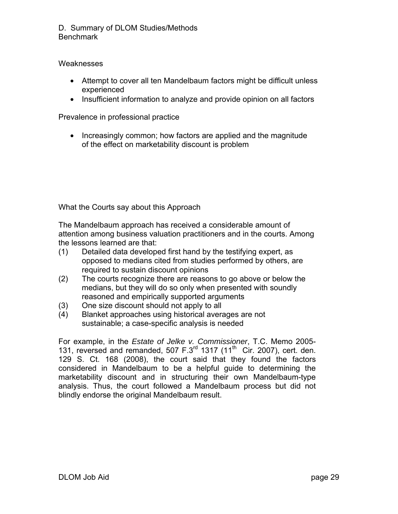#### **Weaknesses**

- Attempt to cover all ten Mandelbaum factors might be difficult unless experienced
- Insufficient information to analyze and provide opinion on all factors

Prevalence in professional practice

• Increasingly common; how factors are applied and the magnitude of the effect on marketability discount is problem

What the Courts say about this Approach

The Mandelbaum approach has received a considerable amount of attention among business valuation practitioners and in the courts. Among the lessons learned are that:

- (1) Detailed data developed first hand by the testifying expert, as opposed to medians cited from studies performed by others, are required to sustain discount opinions
- (2) The courts recognize there are reasons to go above or below the medians, but they will do so only when presented with soundly reasoned and empirically supported arguments
- (3) One size discount should not apply to all
- (4) Blanket approaches using historical averages are not sustainable; a case-specific analysis is needed

For example, in the *Estate of Jelke v. Commissioner*, T.C. Memo 2005- 131, reversed and remanded, 507  $F.3<sup>rd</sup>$  1317 (11<sup>th</sup> Cir. 2007), cert. den. 129 S. Ct. 168 (2008), the court said that they found the factors considered in Mandelbaum to be a helpful guide to determining the marketability discount and in structuring their own Mandelbaum-type analysis. Thus, the court followed a Mandelbaum process but did not blindly endorse the original Mandelbaum result.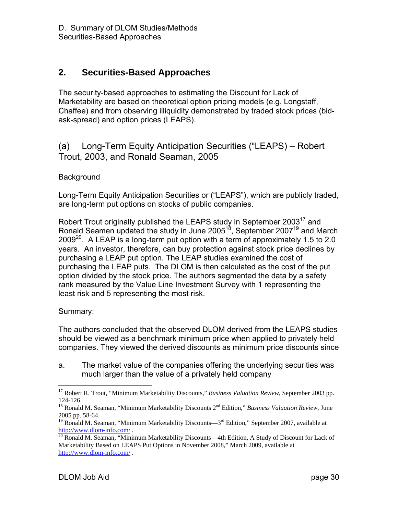## **2. Securities-Based Approaches**

The security-based approaches to estimating the Discount for Lack of Marketability are based on theoretical option pricing models (e.g. Longstaff, Chaffee) and from observing illiquidity demonstrated by traded stock prices (bidask-spread) and option prices (LEAPS).

## (a) Long-Term Equity Anticipation Securities ("LEAPS) – Robert Trout, 2003, and Ronald Seaman, 2005

#### **Background**

Long-Term Equity Anticipation Securities or ("LEAPS"), which are publicly traded, are long-term put options on stocks of public companies.

Robert Trout originally published the LEAPS study in September 2003<sup>17</sup> and Ronald Seamen updated the study in June 2005<sup>18</sup>, September 2007<sup>19</sup> and March 2009<sup>20</sup>. A LEAP is a long-term put option with a term of approximately 1.5 to 2.0 years. An investor, therefore, can buy protection against stock price declines by purchasing a LEAP put option. The LEAP studies examined the cost of purchasing the LEAP puts. The DLOM is then calculated as the cost of the put option divided by the stock price. The authors segmented the data by a safety rank measured by the Value Line Investment Survey with 1 representing the least risk and 5 representing the most risk.

#### Summary:

1

The authors concluded that the observed DLOM derived from the LEAPS studies should be viewed as a benchmark minimum price when applied to privately held companies. They viewed the derived discounts as minimum price discounts since

a. The market value of the companies offering the underlying securities was much larger than the value of a privately held company

<sup>&</sup>lt;sup>17</sup> Robert R. Trout, "Minimum Marketability Discounts," *Business Valuation Review*, September 2003 pp. 124-126.

<sup>&</sup>lt;sup>18</sup> Ronald M. Seaman, "Minimum Marketability Discounts 2<sup>nd</sup> Edition," *Business Valuation Review*, June 2005 pp. 58-64.

<sup>&</sup>lt;sup>19</sup> Ronald M. Seaman, "Minimum Marketability Discounts— $3<sup>rd</sup>$  Edition," September 2007, available at http://www.dlom-info.com/.

 $\frac{1}{20}$  Ronald M. Seaman, "Minimum Marketability Discounts—4th Edition, A Study of Discount for Lack of Marketability Based on LEAPS Put Options in November 2008," March 2009, available at http://www.dlom-info.com/ .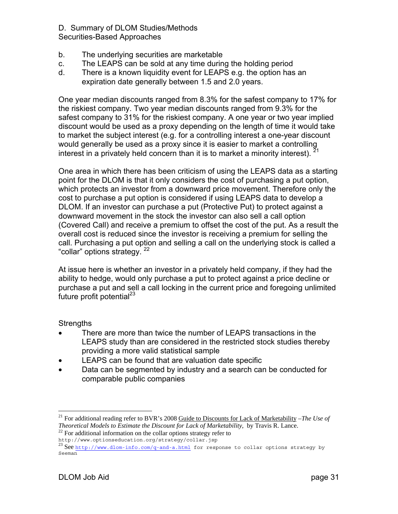#### D. Summary of DLOM Studies/Methods Securities-Based Approaches

- b. The underlying securities are marketable
- c. The LEAPS can be sold at any time during the holding period
- d. There is a known liquidity event for LEAPS e.g. the option has an expiration date generally between 1.5 and 2.0 years.

One year median discounts ranged from 8.3% for the safest company to 17% for the riskiest company. Two year median discounts ranged from 9.3% for the safest company to 31% for the riskiest company. A one year or two year implied discount would be used as a proxy depending on the length of time it would take to market the subject interest (e.g. for a controlling interest a one-year discount would generally be used as a proxy since it is easier to market a controlling interest in a privately held concern than it is to market a minority interest).  $^{21}$ 

One area in which there has been criticism of using the LEAPS data as a starting point for the DLOM is that it only considers the cost of purchasing a put option, which protects an investor from a downward price movement. Therefore only the cost to purchase a put option is considered if using LEAPS data to develop a DLOM. If an investor can purchase a put (Protective Put) to protect against a downward movement in the stock the investor can also sell a call option (Covered Call) and receive a premium to offset the cost of the put. As a result the overall cost is reduced since the investor is receiving a premium for selling the call. Purchasing a put option and selling a call on the underlying stock is called a "collar" options strategy. 22

At issue here is whether an investor in a privately held company, if they had the ability to hedge, would only purchase a put to protect against a price decline or purchase a put and sell a call locking in the current price and foregoing unlimited future profit potential $^{23}$ 

#### **Strengths**

 $\overline{a}$ 

- There are more than twice the number of LEAPS transactions in the LEAPS study than are considered in the restricted stock studies thereby providing a more valid statistical sample
- LEAPS can be found that are valuation date specific
- Data can be segmented by industry and a search can be conducted for comparable public companies

<sup>21</sup> For additional reading refer to BVR's 2008 Guide to Discounts for Lack of Marketability –*The Use of Theoretical Models to Estimate the Discount for Lack of Marketability*, by Travis R. Lance. <sup>22</sup> For additional information on the collar options strategy refer to

http://www.optionseducation.org/strategy/collar.jsp

<sup>23</sup> See http://www.dlom-info.com/q-and-a.html for response to collar options strategy by Seeman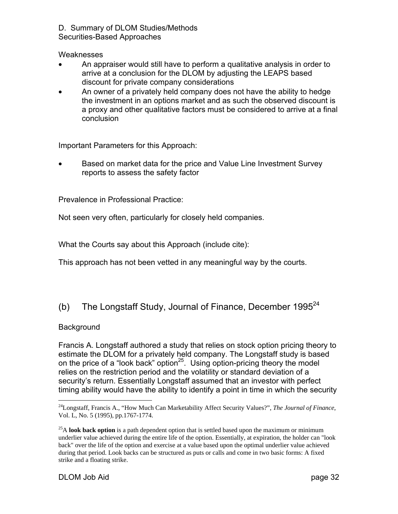D. Summary of DLOM Studies/Methods

Securities-Based Approaches

**Weaknesses** 

- An appraiser would still have to perform a qualitative analysis in order to arrive at a conclusion for the DLOM by adjusting the LEAPS based discount for private company considerations
- An owner of a privately held company does not have the ability to hedge the investment in an options market and as such the observed discount is a proxy and other qualitative factors must be considered to arrive at a final conclusion

Important Parameters for this Approach:

• Based on market data for the price and Value Line Investment Survey reports to assess the safety factor

Prevalence in Professional Practice:

Not seen very often, particularly for closely held companies.

What the Courts say about this Approach (include cite):

This approach has not been vetted in any meaningful way by the courts.

# (b) The Longstaff Study, Journal of Finance, December  $1995^{24}$

#### **Background**

Francis A. Longstaff authored a study that relies on stock option pricing theory to estimate the DLOM for a privately held company. The Longstaff study is based on the price of a "look back" option $25$ . Using option-pricing theory the model relies on the restriction period and the volatility or standard deviation of a security's return. Essentially Longstaff assumed that an investor with perfect timing ability would have the ability to identify a point in time in which the security

 $\overline{a}$ 24Longstaff, Francis A., "How Much Can Marketability Affect Security Values?", *The Journal of Finance*, Vol. L, No. 5 (1995), pp.1767-1774.

<sup>&</sup>lt;sup>25</sup>A **look back option** is a path dependent option that is settled based upon the maximum or minimum underlier value achieved during the entire life of the option. Essentially, at expiration, the holder can "look back" over the life of the option and exercise at a value based upon the optimal underlier value achieved during that period. Look backs can be structured as puts or calls and come in two basic forms: A fixed strike and a floating strike.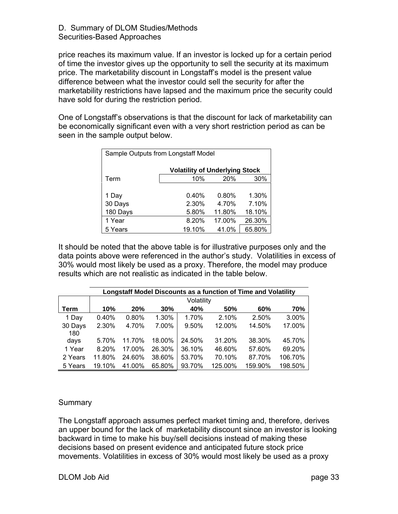price reaches its maximum value. If an investor is locked up for a certain period of time the investor gives up the opportunity to sell the security at its maximum price. The marketability discount in Longstaff's model is the present value difference between what the investor could sell the security for after the marketability restrictions have lapsed and the maximum price the security could have sold for during the restriction period.

One of Longstaff's observations is that the discount for lack of marketability can be economically significant even with a very short restriction period as can be seen in the sample output below.

| Sample Outputs from Longstaff Model |                                       |        |        |  |  |  |  |  |  |
|-------------------------------------|---------------------------------------|--------|--------|--|--|--|--|--|--|
|                                     | <b>Volatility of Underlying Stock</b> |        |        |  |  |  |  |  |  |
| Term                                | 10%                                   | 20%    | 30%    |  |  |  |  |  |  |
|                                     |                                       |        |        |  |  |  |  |  |  |
| 1 Day                               | 0.40%                                 | 0.80%  | 1.30%  |  |  |  |  |  |  |
| 30 Days                             | 2.30%                                 | 4.70%  | 7.10%  |  |  |  |  |  |  |
| 180 Days                            | 5.80%                                 | 11.80% | 18.10% |  |  |  |  |  |  |
| 1 Year                              | 8.20%                                 | 17.00% | 26.30% |  |  |  |  |  |  |
| 5 Years                             | 19.10%                                | 41.0%  | 65.80% |  |  |  |  |  |  |

It should be noted that the above table is for illustrative purposes only and the data points above were referenced in the author's study. Volatilities in excess of 30% would most likely be used as a proxy. Therefore, the model may produce results which are not realistic as indicated in the table below.

|         | Longstaff Model Discounts as a function of Time and Volatility |        |        |        |         |         |         |  |
|---------|----------------------------------------------------------------|--------|--------|--------|---------|---------|---------|--|
|         | Volatility                                                     |        |        |        |         |         |         |  |
| Term    | 10%                                                            | 20%    | 30%    | 40%    | 50%     | 60%     | 70%     |  |
| 1 Day   | 0.40%                                                          | 0.80%  | 1.30%  | 1.70%  | 2.10%   | 2.50%   | 3.00%   |  |
| 30 Days | 2.30%                                                          | 4.70%  | 7.00%  | 9.50%  | 12.00%  | 14.50%  | 17.00%  |  |
| 180     |                                                                |        |        |        |         |         |         |  |
| days    | 5.70%                                                          | 11.70% | 18.00% | 24.50% | 31.20%  | 38.30%  | 45.70%  |  |
| 1 Year  | 8.20%                                                          | 17.00% | 26.30% | 36.10% | 46.60%  | 57.60%  | 69.20%  |  |
| 2 Years | 11.80%                                                         | 24.60% | 38.60% | 53.70% | 70.10%  | 87.70%  | 106.70% |  |
| 5 Years | 19.10%                                                         | 41.00% | 65.80% | 93.70% | 125.00% | 159.90% | 198.50% |  |

#### Summary

The Longstaff approach assumes perfect market timing and, therefore, derives an upper bound for the lack of marketability discount since an investor is looking backward in time to make his buy/sell decisions instead of making these decisions based on present evidence and anticipated future stock price movements. Volatilities in excess of 30% would most likely be used as a proxy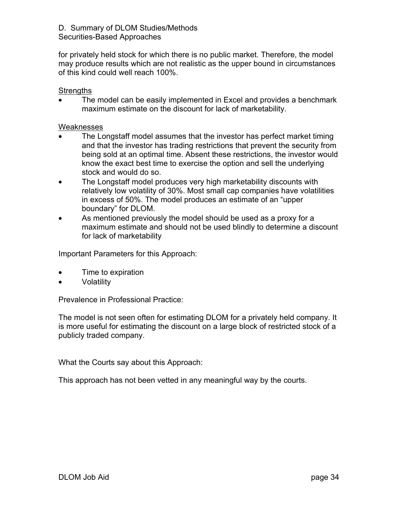# D. Summary of DLOM Studies/Methods

Securities-Based Approaches

for privately held stock for which there is no public market. Therefore, the model may produce results which are not realistic as the upper bound in circumstances of this kind could well reach 100%.

### Strengths

The model can be easily implemented in Excel and provides a benchmark maximum estimate on the discount for lack of marketability.

#### Weaknesses

- The Longstaff model assumes that the investor has perfect market timing and that the investor has trading restrictions that prevent the security from being sold at an optimal time. Absent these restrictions, the investor would know the exact best time to exercise the option and sell the underlying stock and would do so.
- The Longstaff model produces very high marketability discounts with relatively low volatility of 30%. Most small cap companies have volatilities in excess of 50%. The model produces an estimate of an "upper boundary" for DLOM.
- As mentioned previously the model should be used as a proxy for a maximum estimate and should not be used blindly to determine a discount for lack of marketability

Important Parameters for this Approach:

- Time to expiration
- Volatility

Prevalence in Professional Practice:

The model is not seen often for estimating DLOM for a privately held company. It is more useful for estimating the discount on a large block of restricted stock of a publicly traded company.

What the Courts say about this Approach:

This approach has not been vetted in any meaningful way by the courts.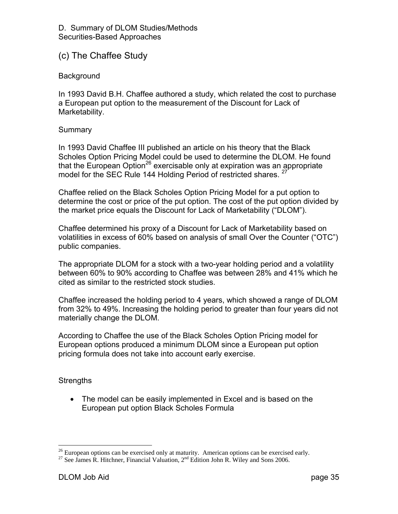## (c) The Chaffee Study

#### **Background**

In 1993 David B.H. Chaffee authored a study, which related the cost to purchase a European put option to the measurement of the Discount for Lack of Marketability.

#### **Summary**

In 1993 David Chaffee III published an article on his theory that the Black Scholes Option Pricing Model could be used to determine the DLOM. He found that the European Option<sup>26</sup> exercisable only at expiration was an appropriate model for the SEC Rule 144 Holding Period of restricted shares. <sup>27</sup>

Chaffee relied on the Black Scholes Option Pricing Model for a put option to determine the cost or price of the put option. The cost of the put option divided by the market price equals the Discount for Lack of Marketability ("DLOM").

Chaffee determined his proxy of a Discount for Lack of Marketability based on volatilities in excess of 60% based on analysis of small Over the Counter ("OTC") public companies.

The appropriate DLOM for a stock with a two-year holding period and a volatility between 60% to 90% according to Chaffee was between 28% and 41% which he cited as similar to the restricted stock studies.

Chaffee increased the holding period to 4 years, which showed a range of DLOM from 32% to 49%. Increasing the holding period to greater than four years did not materially change the DLOM.

According to Chaffee the use of the Black Scholes Option Pricing model for European options produced a minimum DLOM since a European put option pricing formula does not take into account early exercise.

#### **Strengths**

 $\overline{a}$ 

• The model can be easily implemented in Excel and is based on the European put option Black Scholes Formula

 $26$  European options can be exercised only at maturity. American options can be exercised early.

<sup>&</sup>lt;sup>27</sup> See James R. Hitchner, Financial Valuation,  $2<sup>nd</sup>$  Edition John R. Wiley and Sons 2006.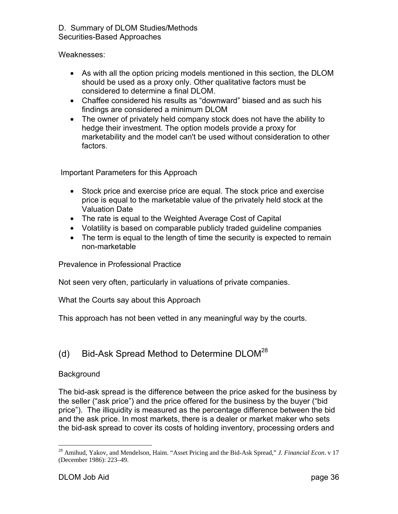Weaknesses:

- As with all the option pricing models mentioned in this section, the DLOM should be used as a proxy only. Other qualitative factors must be considered to determine a final DLOM.
- Chaffee considered his results as "downward" biased and as such his findings are considered a minimum DLOM
- The owner of privately held company stock does not have the ability to hedge their investment. The option models provide a proxy for marketability and the model can't be used without consideration to other factors.

Important Parameters for this Approach

- Stock price and exercise price are equal. The stock price and exercise price is equal to the marketable value of the privately held stock at the Valuation Date
- The rate is equal to the Weighted Average Cost of Capital
- Volatility is based on comparable publicly traded guideline companies
- The term is equal to the length of time the security is expected to remain non-marketable

Prevalence in Professional Practice

Not seen very often, particularly in valuations of private companies.

What the Courts say about this Approach

This approach has not been vetted in any meaningful way by the courts.

## (d) Bid-Ask Spread Method to Determine  $DLOM^{28}$

### **Background**

The bid-ask spread is the difference between the price asked for the business by the seller ("ask price") and the price offered for the business by the buyer ("bid price"). The illiquidity is measured as the percentage difference between the bid and the ask price. In most markets, there is a dealer or market maker who sets the bid-ask spread to cover its costs of holding inventory, processing orders and

<sup>28</sup> Amihud, Yakov, and Mendelson, Haim. "Asset Pricing and the Bid-Ask Spread," *J. Financial Econ*. v 17 (December 1986): 223–49.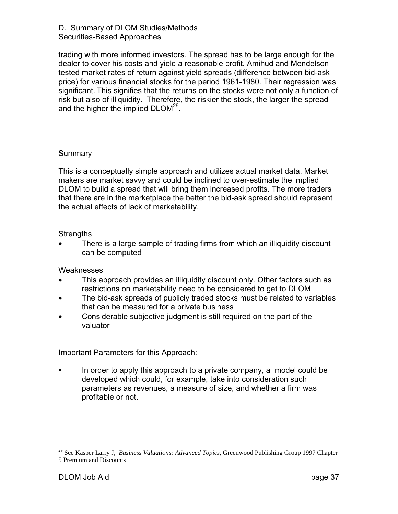trading with more informed investors. The spread has to be large enough for the dealer to cover his costs and yield a reasonable profit. Amihud and Mendelson tested market rates of return against yield spreads (difference between bid-ask price) for various financial stocks for the period 1961-1980. Their regression was significant. This signifies that the returns on the stocks were not only a function of risk but also of illiquidity. Therefore, the riskier the stock, the larger the spread and the higher the implied DLOM<sup>29</sup>.

#### **Summary**

This is a conceptually simple approach and utilizes actual market data. Market makers are market savvy and could be inclined to over-estimate the implied DLOM to build a spread that will bring them increased profits. The more traders that there are in the marketplace the better the bid-ask spread should represent the actual effects of lack of marketability.

#### **Strengths**

There is a large sample of trading firms from which an illiquidity discount can be computed

Weaknesses

- This approach provides an illiquidity discount only. Other factors such as restrictions on marketability need to be considered to get to DLOM
- The bid-ask spreads of publicly traded stocks must be related to variables that can be measured for a private business
- Considerable subjective judgment is still required on the part of the valuator

Important Parameters for this Approach:

In order to apply this approach to a private company, a model could be developed which could, for example, take into consideration such parameters as revenues, a measure of size, and whether a firm was profitable or not.

<sup>29</sup> See Kasper Larry J, *Business Valuations: Advanced Topics,* Greenwood Publishing Group 1997 Chapter 5 Premium and Discounts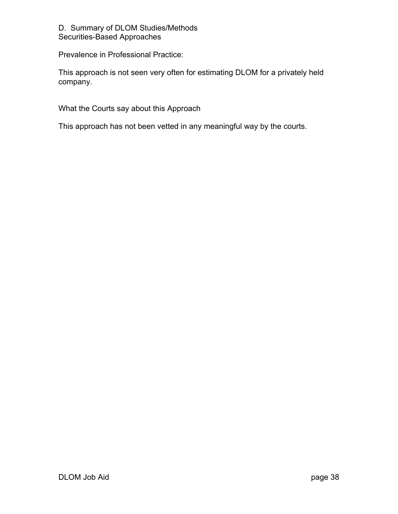Prevalence in Professional Practice:

This approach is not seen very often for estimating DLOM for a privately held company.

What the Courts say about this Approach

This approach has not been vetted in any meaningful way by the courts.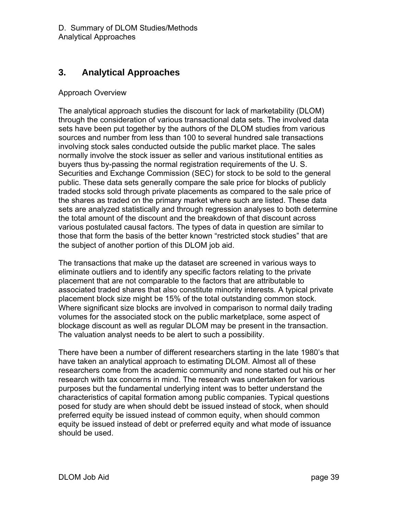## **3. Analytical Approaches**

### Approach Overview

The analytical approach studies the discount for lack of marketability (DLOM) through the consideration of various transactional data sets. The involved data sets have been put together by the authors of the DLOM studies from various sources and number from less than 100 to several hundred sale transactions involving stock sales conducted outside the public market place. The sales normally involve the stock issuer as seller and various institutional entities as buyers thus by-passing the normal registration requirements of the U. S. Securities and Exchange Commission (SEC) for stock to be sold to the general public. These data sets generally compare the sale price for blocks of publicly traded stocks sold through private placements as compared to the sale price of the shares as traded on the primary market where such are listed. These data sets are analyzed statistically and through regression analyses to both determine the total amount of the discount and the breakdown of that discount across various postulated causal factors. The types of data in question are similar to those that form the basis of the better known "restricted stock studies" that are the subject of another portion of this DLOM job aid.

The transactions that make up the dataset are screened in various ways to eliminate outliers and to identify any specific factors relating to the private placement that are not comparable to the factors that are attributable to associated traded shares that also constitute minority interests. A typical private placement block size might be 15% of the total outstanding common stock. Where significant size blocks are involved in comparison to normal daily trading volumes for the associated stock on the public marketplace, some aspect of blockage discount as well as regular DLOM may be present in the transaction. The valuation analyst needs to be alert to such a possibility.

There have been a number of different researchers starting in the late 1980's that have taken an analytical approach to estimating DLOM. Almost all of these researchers come from the academic community and none started out his or her research with tax concerns in mind. The research was undertaken for various purposes but the fundamental underlying intent was to better understand the characteristics of capital formation among public companies. Typical questions posed for study are when should debt be issued instead of stock, when should preferred equity be issued instead of common equity, when should common equity be issued instead of debt or preferred equity and what mode of issuance should be used.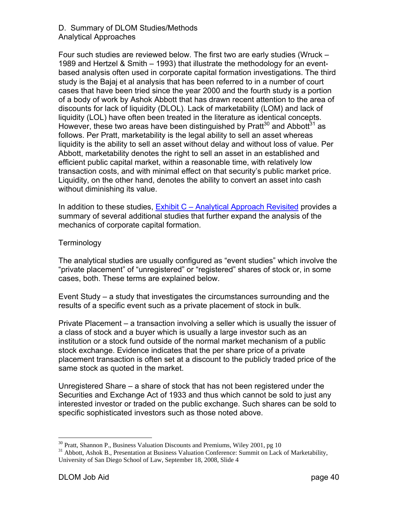Four such studies are reviewed below. The first two are early studies (Wruck – 1989 and Hertzel & Smith – 1993) that illustrate the methodology for an eventbased analysis often used in corporate capital formation investigations. The third study is the Bajaj et al analysis that has been referred to in a number of court cases that have been tried since the year 2000 and the fourth study is a portion of a body of work by Ashok Abbott that has drawn recent attention to the area of discounts for lack of liquidity (DLOL). Lack of marketability (LOM) and lack of liquidity (LOL) have often been treated in the literature as identical concepts. However, these two areas have been distinguished by Pratt<sup>30</sup> and Abbott<sup>31</sup> as follows. Per Pratt, marketability is the legal ability to sell an asset whereas liquidity is the ability to sell an asset without delay and without loss of value. Per Abbott, marketability denotes the right to sell an asset in an established and efficient public capital market, within a reasonable time, with relatively low transaction costs, and with minimal effect on that security's public market price. Liquidity, on the other hand, denotes the ability to convert an asset into cash without diminishing its value.

In addition to these studies, Exhibit C – Analytical Approach Revisited provides a summary of several additional studies that further expand the analysis of the mechanics of corporate capital formation.

#### **Terminology**

The analytical studies are usually configured as "event studies" which involve the "private placement" of "unregistered" or "registered" shares of stock or, in some cases, both. These terms are explained below.

Event Study – a study that investigates the circumstances surrounding and the results of a specific event such as a private placement of stock in bulk.

Private Placement – a transaction involving a seller which is usually the issuer of a class of stock and a buyer which is usually a large investor such as an institution or a stock fund outside of the normal market mechanism of a public stock exchange. Evidence indicates that the per share price of a private placement transaction is often set at a discount to the publicly traded price of the same stock as quoted in the market.

Unregistered Share – a share of stock that has not been registered under the Securities and Exchange Act of 1933 and thus which cannot be sold to just any interested investor or traded on the public exchange. Such shares can be sold to specific sophisticated investors such as those noted above.

 $30$  Pratt, Shannon P., Business Valuation Discounts and Premiums, Wiley 2001, pg 10

<sup>&</sup>lt;sup>31</sup> Abbott, Ashok B., Presentation at Business Valuation Conference: Summit on Lack of Marketability, University of San Diego School of Law, September 18, 2008, Slide 4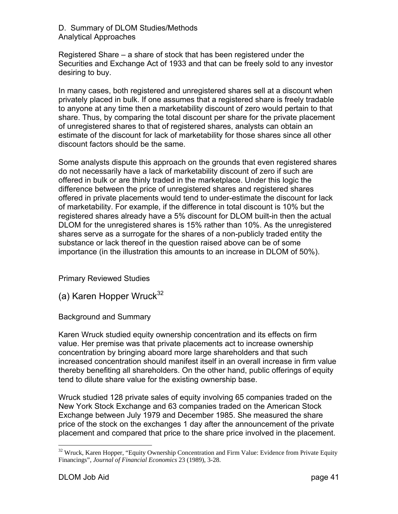Registered Share – a share of stock that has been registered under the Securities and Exchange Act of 1933 and that can be freely sold to any investor desiring to buy.

In many cases, both registered and unregistered shares sell at a discount when privately placed in bulk. If one assumes that a registered share is freely tradable to anyone at any time then a marketability discount of zero would pertain to that share. Thus, by comparing the total discount per share for the private placement of unregistered shares to that of registered shares, analysts can obtain an estimate of the discount for lack of marketability for those shares since all other discount factors should be the same.

Some analysts dispute this approach on the grounds that even registered shares do not necessarily have a lack of marketability discount of zero if such are offered in bulk or are thinly traded in the marketplace. Under this logic the difference between the price of unregistered shares and registered shares offered in private placements would tend to under-estimate the discount for lack of marketability. For example, if the difference in total discount is 10% but the registered shares already have a 5% discount for DLOM built-in then the actual DLOM for the unregistered shares is 15% rather than 10%. As the unregistered shares serve as a surrogate for the shares of a non-publicly traded entity the substance or lack thereof in the question raised above can be of some importance (in the illustration this amounts to an increase in DLOM of 50%).

Primary Reviewed Studies

(a) Karen Hopper Wruck $32$ 

Background and Summary

Karen Wruck studied equity ownership concentration and its effects on firm value. Her premise was that private placements act to increase ownership concentration by bringing aboard more large shareholders and that such increased concentration should manifest itself in an overall increase in firm value thereby benefiting all shareholders. On the other hand, public offerings of equity tend to dilute share value for the existing ownership base.

Wruck studied 128 private sales of equity involving 65 companies traded on the New York Stock Exchange and 63 companies traded on the American Stock Exchange between July 1979 and December 1985. She measured the share price of the stock on the exchanges 1 day after the announcement of the private placement and compared that price to the share price involved in the placement.

 $32$  Wruck, Karen Hopper, "Equity Ownership Concentration and Firm Value: Evidence from Private Equity Financings", *Journal of Financial Economics* 23 (1989), 3-28.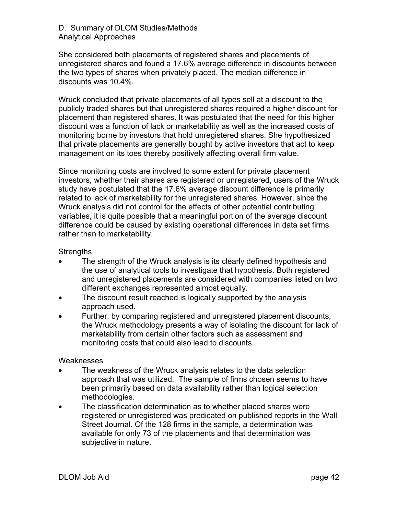She considered both placements of registered shares and placements of unregistered shares and found a 17.6% average difference in discounts between the two types of shares when privately placed. The median difference in discounts was 10.4%.

Wruck concluded that private placements of all types sell at a discount to the publicly traded shares but that unregistered shares required a higher discount for placement than registered shares. It was postulated that the need for this higher discount was a function of lack or marketability as well as the increased costs of monitoring borne by investors that hold unregistered shares. She hypothesized that private placements are generally bought by active investors that act to keep management on its toes thereby positively affecting overall firm value.

Since monitoring costs are involved to some extent for private placement investors, whether their shares are registered or unregistered, users of the Wruck study have postulated that the 17.6% average discount difference is primarily related to lack of marketability for the unregistered shares. However, since the Wruck analysis did not control for the effects of other potential contributing variables, it is quite possible that a meaningful portion of the average discount difference could be caused by existing operational differences in data set firms rather than to marketability.

#### **Strengths**

- The strength of the Wruck analysis is its clearly defined hypothesis and the use of analytical tools to investigate that hypothesis. Both registered and unregistered placements are considered with companies listed on two different exchanges represented almost equally.
- The discount result reached is logically supported by the analysis approach used.
- Further, by comparing registered and unregistered placement discounts, the Wruck methodology presents a way of isolating the discount for lack of marketability from certain other factors such as assessment and monitoring costs that could also lead to discounts.

#### Weaknesses

- The weakness of the Wruck analysis relates to the data selection approach that was utilized. The sample of firms chosen seems to have been primarily based on data availability rather than logical selection methodologies.
- The classification determination as to whether placed shares were registered or unregistered was predicated on published reports in the Wall Street Journal. Of the 128 firms in the sample, a determination was available for only 73 of the placements and that determination was subjective in nature.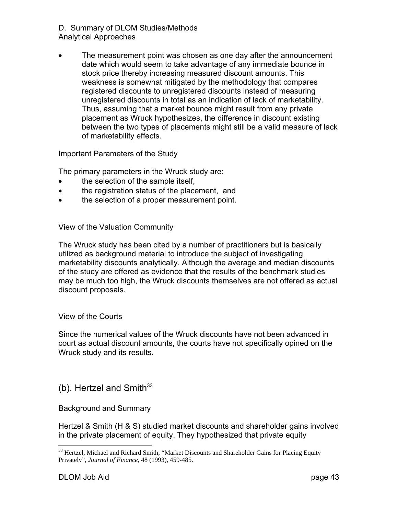• The measurement point was chosen as one day after the announcement date which would seem to take advantage of any immediate bounce in stock price thereby increasing measured discount amounts. This weakness is somewhat mitigated by the methodology that compares registered discounts to unregistered discounts instead of measuring unregistered discounts in total as an indication of lack of marketability. Thus, assuming that a market bounce might result from any private placement as Wruck hypothesizes, the difference in discount existing between the two types of placements might still be a valid measure of lack of marketability effects.

Important Parameters of the Study

The primary parameters in the Wruck study are:

- the selection of the sample itself,
- the registration status of the placement, and
- the selection of a proper measurement point.

View of the Valuation Community

The Wruck study has been cited by a number of practitioners but is basically utilized as background material to introduce the subject of investigating marketability discounts analytically. Although the average and median discounts of the study are offered as evidence that the results of the benchmark studies may be much too high, the Wruck discounts themselves are not offered as actual discount proposals.

View of the Courts

Since the numerical values of the Wruck discounts have not been advanced in court as actual discount amounts, the courts have not specifically opined on the Wruck study and its results.

(b). Hertzel and Smith $33$ 

Background and Summary

Hertzel & Smith (H & S) studied market discounts and shareholder gains involved in the private placement of equity. They hypothesized that private equity

<sup>&</sup>lt;sup>33</sup> Hertzel, Michael and Richard Smith, "Market Discounts and Shareholder Gains for Placing Equity Privately", *Journal of Finance,* 48 (1993), 459-485.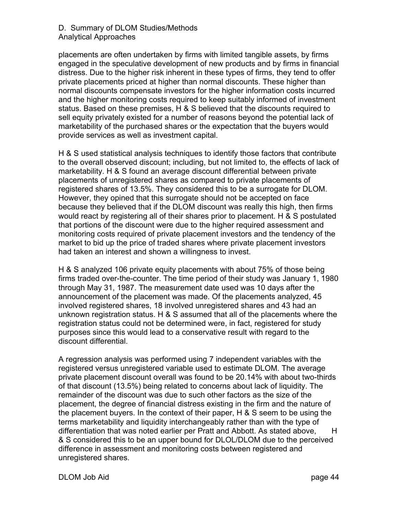placements are often undertaken by firms with limited tangible assets, by firms engaged in the speculative development of new products and by firms in financial distress. Due to the higher risk inherent in these types of firms, they tend to offer private placements priced at higher than normal discounts. These higher than normal discounts compensate investors for the higher information costs incurred and the higher monitoring costs required to keep suitably informed of investment status. Based on these premises, H & S believed that the discounts required to sell equity privately existed for a number of reasons beyond the potential lack of marketability of the purchased shares or the expectation that the buyers would provide services as well as investment capital.

H & S used statistical analysis techniques to identify those factors that contribute to the overall observed discount; including, but not limited to, the effects of lack of marketability. H & S found an average discount differential between private placements of unregistered shares as compared to private placements of registered shares of 13.5%. They considered this to be a surrogate for DLOM. However, they opined that this surrogate should not be accepted on face because they believed that if the DLOM discount was really this high, then firms would react by registering all of their shares prior to placement. H & S postulated that portions of the discount were due to the higher required assessment and monitoring costs required of private placement investors and the tendency of the market to bid up the price of traded shares where private placement investors had taken an interest and shown a willingness to invest.

H & S analyzed 106 private equity placements with about 75% of those being firms traded over-the-counter. The time period of their study was January 1, 1980 through May 31, 1987. The measurement date used was 10 days after the announcement of the placement was made. Of the placements analyzed, 45 involved registered shares, 18 involved unregistered shares and 43 had an unknown registration status. H & S assumed that all of the placements where the registration status could not be determined were, in fact, registered for study purposes since this would lead to a conservative result with regard to the discount differential.

A regression analysis was performed using 7 independent variables with the registered versus unregistered variable used to estimate DLOM. The average private placement discount overall was found to be 20.14% with about two-thirds of that discount (13.5%) being related to concerns about lack of liquidity. The remainder of the discount was due to such other factors as the size of the placement, the degree of financial distress existing in the firm and the nature of the placement buyers. In the context of their paper, H & S seem to be using the terms marketability and liquidity interchangeably rather than with the type of differentiation that was noted earlier per Pratt and Abbott. As stated above, H & S considered this to be an upper bound for DLOL/DLOM due to the perceived difference in assessment and monitoring costs between registered and unregistered shares.

DLOM Job Aid page 44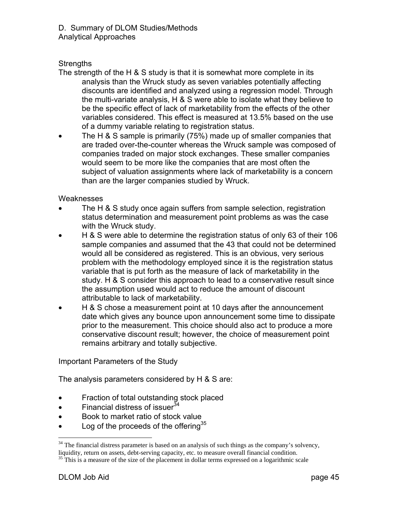### **Strengths**

- The strength of the H & S study is that it is somewhat more complete in its analysis than the Wruck study as seven variables potentially affecting discounts are identified and analyzed using a regression model. Through the multi-variate analysis, H & S were able to isolate what they believe to be the specific effect of lack of marketability from the effects of the other variables considered. This effect is measured at 13.5% based on the use of a dummy variable relating to registration status.
- The H & S sample is primarily (75%) made up of smaller companies that are traded over-the-counter whereas the Wruck sample was composed of companies traded on major stock exchanges. These smaller companies would seem to be more like the companies that are most often the subject of valuation assignments where lack of marketability is a concern than are the larger companies studied by Wruck.

#### Weaknesses

- The H & S study once again suffers from sample selection, registration status determination and measurement point problems as was the case with the Wruck study.
- H & S were able to determine the registration status of only 63 of their 106 sample companies and assumed that the 43 that could not be determined would all be considered as registered. This is an obvious, very serious problem with the methodology employed since it is the registration status variable that is put forth as the measure of lack of marketability in the study. H & S consider this approach to lead to a conservative result since the assumption used would act to reduce the amount of discount attributable to lack of marketability.
- H & S chose a measurement point at 10 days after the announcement date which gives any bounce upon announcement some time to dissipate prior to the measurement. This choice should also act to produce a more conservative discount result; however, the choice of measurement point remains arbitrary and totally subjective.

### Important Parameters of the Study

The analysis parameters considered by H & S are:

- Fraction of total outstanding stock placed
- Financial distress of issuer  $34$
- Book to market ratio of stock value
- Log of the proceeds of the offering  $35$

 $34$  The financial distress parameter is based on an analysis of such things as the company's solvency, liquidity, return on assets, debt-serving capacity, etc. to measure overall financial condition.<br><sup>35</sup> This is a measure of the size of the placement in dollar terms expressed on a logarithmic scale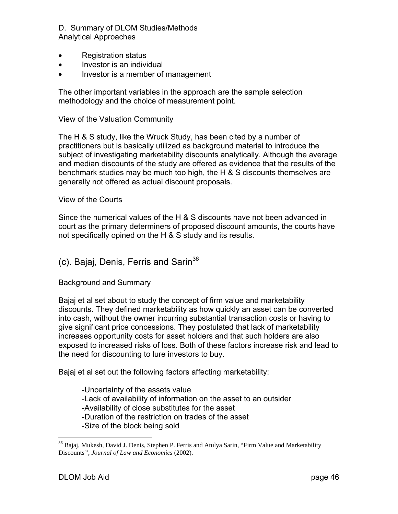- Registration status
- Investor is an individual
- Investor is a member of management

The other important variables in the approach are the sample selection methodology and the choice of measurement point.

#### View of the Valuation Community

The H & S study, like the Wruck Study, has been cited by a number of practitioners but is basically utilized as background material to introduce the subject of investigating marketability discounts analytically. Although the average and median discounts of the study are offered as evidence that the results of the benchmark studies may be much too high, the H & S discounts themselves are generally not offered as actual discount proposals.

#### View of the Courts

Since the numerical values of the H & S discounts have not been advanced in court as the primary determiners of proposed discount amounts, the courts have not specifically opined on the H & S study and its results.

## (c). Bajaj, Denis, Ferris and Sarin $36$

#### Background and Summary

Bajaj et al set about to study the concept of firm value and marketability discounts. They defined marketability as how quickly an asset can be converted into cash, without the owner incurring substantial transaction costs or having to give significant price concessions. They postulated that lack of marketability increases opportunity costs for asset holders and that such holders are also exposed to increased risks of loss. Both of these factors increase risk and lead to the need for discounting to lure investors to buy.

Bajaj et al set out the following factors affecting marketability:

 -Uncertainty of the assets value -Lack of availability of information on the asset to an outsider -Availability of close substitutes for the asset -Duration of the restriction on trades of the asset -Size of the block being sold

<sup>&</sup>lt;sup>36</sup> Bajaj, Mukesh, David J. Denis, Stephen P. Ferris and Atulya Sarin, "Firm Value and Marketability Discounts*"*, *Journal of Law and Economics* (2002).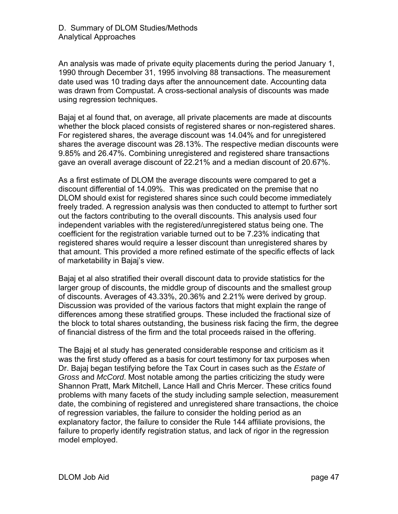An analysis was made of private equity placements during the period January 1, 1990 through December 31, 1995 involving 88 transactions. The measurement date used was 10 trading days after the announcement date. Accounting data was drawn from Compustat. A cross-sectional analysis of discounts was made using regression techniques.

Bajaj et al found that, on average, all private placements are made at discounts whether the block placed consists of registered shares or non-registered shares. For registered shares, the average discount was 14.04% and for unregistered shares the average discount was 28.13%. The respective median discounts were 9.85% and 26.47%. Combining unregistered and registered share transactions gave an overall average discount of 22.21% and a median discount of 20.67%.

As a first estimate of DLOM the average discounts were compared to get a discount differential of 14.09%. This was predicated on the premise that no DLOM should exist for registered shares since such could become immediately freely traded. A regression analysis was then conducted to attempt to further sort out the factors contributing to the overall discounts. This analysis used four independent variables with the registered/unregistered status being one. The coefficient for the registration variable turned out to be 7.23% indicating that registered shares would require a lesser discount than unregistered shares by that amount. This provided a more refined estimate of the specific effects of lack of marketability in Bajaj's view.

Bajaj et al also stratified their overall discount data to provide statistics for the larger group of discounts, the middle group of discounts and the smallest group of discounts. Averages of 43.33%, 20.36% and 2.21% were derived by group. Discussion was provided of the various factors that might explain the range of differences among these stratified groups. These included the fractional size of the block to total shares outstanding, the business risk facing the firm, the degree of financial distress of the firm and the total proceeds raised in the offering.

The Bajaj et al study has generated considerable response and criticism as it was the first study offered as a basis for court testimony for tax purposes when Dr. Bajaj began testifying before the Tax Court in cases such as the *Estate of Gross* and *McCord*. Most notable among the parties criticizing the study were Shannon Pratt, Mark Mitchell, Lance Hall and Chris Mercer. These critics found problems with many facets of the study including sample selection, measurement date, the combining of registered and unregistered share transactions, the choice of regression variables, the failure to consider the holding period as an explanatory factor, the failure to consider the Rule 144 affiliate provisions, the failure to properly identify registration status, and lack of rigor in the regression model employed.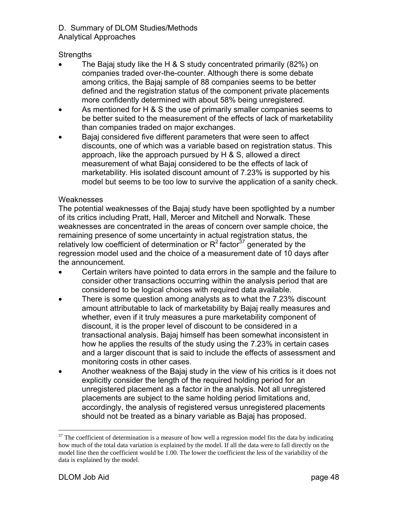### D. Summary of DLOM Studies/Methods

Analytical Approaches

## **Strengths**

- The Bajaj study like the H & S study concentrated primarily (82%) on companies traded over-the-counter. Although there is some debate among critics, the Bajaj sample of 88 companies seems to be better defined and the registration status of the component private placements more confidently determined with about 58% being unregistered.
- As mentioned for H & S the use of primarily smaller companies seems to be better suited to the measurement of the effects of lack of marketability than companies traded on major exchanges.
- Bajaj considered five different parameters that were seen to affect discounts, one of which was a variable based on registration status. This approach, like the approach pursued by H & S, allowed a direct measurement of what Bajaj considered to be the effects of lack of marketability. His isolated discount amount of 7.23% is supported by his model but seems to be too low to survive the application of a sanity check.

#### **Weaknesses**

The potential weaknesses of the Bajaj study have been spotlighted by a number of its critics including Pratt, Hall, Mercer and Mitchell and Norwalk. These weaknesses are concentrated in the areas of concern over sample choice, the remaining presence of some uncertainty in actual registration status, the relatively low coefficient of determination or  $R^2$  factor<sup>37</sup> generated by the regression model used and the choice of a measurement date of 10 days after the announcement.

- Certain writers have pointed to data errors in the sample and the failure to consider other transactions occurring within the analysis period that are considered to be logical choices with required data available.
- There is some question among analysts as to what the 7.23% discount amount attributable to lack of marketability by Bajaj really measures and whether, even if it truly measures a pure marketability component of discount, it is the proper level of discount to be considered in a transactional analysis. Bajaj himself has been somewhat inconsistent in how he applies the results of the study using the 7.23% in certain cases and a larger discount that is said to include the effects of assessment and monitoring costs in other cases.
- Another weakness of the Bajaj study in the view of his critics is it does not explicitly consider the length of the required holding period for an unregistered placement as a factor in the analysis. Not all unregistered placements are subject to the same holding period limitations and, accordingly, the analysis of registered versus unregistered placements should not be treated as a binary variable as Bajaj has proposed.

 $37$  The coefficient of determination is a measure of how well a regression model fits the data by indicating how much of the total data variation is explained by the model. If all the data were to fall directly on the model line then the coefficient would be 1.00. The lower the coefficient the less of the variability of the data is explained by the model.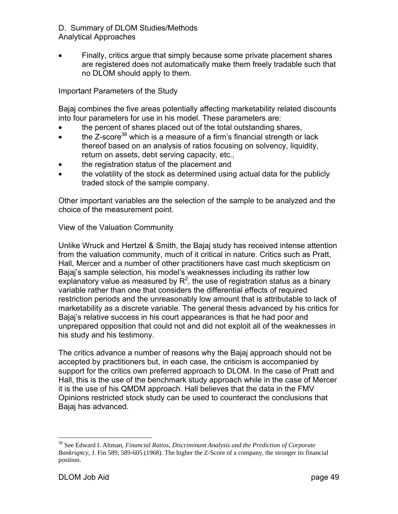• Finally, critics argue that simply because some private placement shares are registered does not automatically make them freely tradable such that no DLOM should apply to them.

Important Parameters of the Study

Bajaj combines the five areas potentially affecting marketability related discounts into four parameters for use in his model. These parameters are:

- the percent of shares placed out of the total outstanding shares,
- the Z-score<sup>38</sup> which is a measure of a firm's financial strength or lack thereof based on an analysis of ratios focusing on solvency, liquidity, return on assets, debt serving capacity, etc.,
- the registration status of the placement and
- the volatility of the stock as determined using actual data for the publicly traded stock of the sample company.

Other important variables are the selection of the sample to be analyzed and the choice of the measurement point.

#### View of the Valuation Community

Unlike Wruck and Hertzel & Smith, the Bajaj study has received intense attention from the valuation community, much of it critical in nature. Critics such as Pratt, Hall, Mercer and a number of other practitioners have cast much skepticism on Bajaj's sample selection, his model's weaknesses including its rather low explanatory value as measured by  $R^2$ , the use of registration status as a binary variable rather than one that considers the differential effects of required restriction periods and the unreasonably low amount that is attributable to lack of marketability as a discrete variable. The general thesis advanced by his critics for Bajaj's relative success in his court appearances is that he had poor and unprepared opposition that could not and did not exploit all of the weaknesses in his study and his testimony.

The critics advance a number of reasons why the Bajaj approach should not be accepted by practitioners but, in each case, the criticism is accompanied by support for the critics own preferred approach to DLOM. In the case of Pratt and Hall, this is the use of the benchmark study approach while in the case of Mercer it is the use of his QMDM approach. Hall believes that the data in the FMV Opinions restricted stock study can be used to counteract the conclusions that Bajaj has advanced.

<sup>38</sup> See Edward I. Altman, *Financial Ratios, Discriminant Analysis and the Prediction of Corporate Bankruptcy*, J. Fin 589, 589-605 (1968). The higher the Z-Score of a company, the stronger its financial position.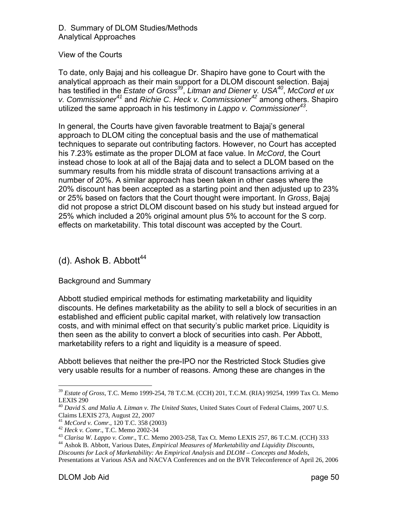#### View of the Courts

To date, only Bajaj and his colleague Dr. Shapiro have gone to Court with the analytical approach as their main support for a DLOM discount selection. Bajaj has testified in the *Estate of Gross<sup>39</sup>*, *Litman and Diener v. USA40*, *McCord et ux v. Commissioner<sup>41</sup>* and *Richie C. Heck v. Commissioner<sup>42</sup>* among others. Shapiro utilized the same approach in his testimony in *Lappo v. Commissioner43.*

In general, the Courts have given favorable treatment to Bajaj's general approach to DLOM citing the conceptual basis and the use of mathematical techniques to separate out contributing factors. However, no Court has accepted his 7.23% estimate as the proper DLOM at face value. In *McCord*, the Court instead chose to look at all of the Bajaj data and to select a DLOM based on the summary results from his middle strata of discount transactions arriving at a number of 20%. A similar approach has been taken in other cases where the 20% discount has been accepted as a starting point and then adjusted up to 23% or 25% based on factors that the Court thought were important. In *Gross*, Bajaj did not propose a strict DLOM discount based on his study but instead argued for 25% which included a 20% original amount plus 5% to account for the S corp. effects on marketability. This total discount was accepted by the Court.

## (d). Ashok B. Abbott $44$

#### Background and Summary

Abbott studied empirical methods for estimating marketability and liquidity discounts. He defines marketability as the ability to sell a block of securities in an established and efficient public capital market, with relatively low transaction costs, and with minimal effect on that security's public market price. Liquidity is then seen as the ability to convert a block of securities into cash. Per Abbott, marketability refers to a right and liquidity is a measure of speed.

Abbott believes that neither the pre-IPO nor the Restricted Stock Studies give very usable results for a number of reasons. Among these are changes in the

<sup>39</sup> *Estate of Gross*, T.C. Memo 1999-254, 78 T.C.M. (CCH) 201, T.C.M. (RIA) 99254, 1999 Tax Ct. Memo LEXIS 290

<sup>40</sup> *David S. and Malia A. Litman v. The United States*, United States Court of Federal Claims, 2007 U.S.

Claims LEXIS 273, August 22, 2007<br><sup>41</sup> McCord v. Comr., 120 T.C. 358 (2003)

<sup>&</sup>lt;sup>42</sup> Heck v. Comr., T.C. Memo 2002-34<br><sup>43</sup> Clarisa W. Lappo v. Comr., T.C. Memo 2003-258, Tax Ct. Memo LEXIS 257, 86 T.C.M. (CCH) 333<br><sup>44</sup> Ashok B. Abbott, Various Dates, *Empirical Measures of Marketability and Liquidity* 

*Discounts for Lack of Marketability: An Empirical Analysis* and *DLOM – Concepts and Models*, Presentations at Various ASA and NACVA Conferences and on the BVR Teleconference of April 26, 2006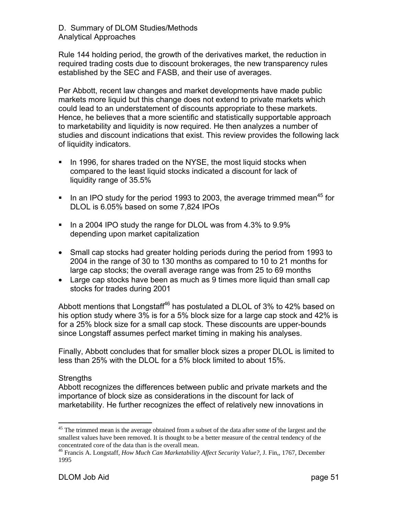Rule 144 holding period, the growth of the derivatives market, the reduction in required trading costs due to discount brokerages, the new transparency rules established by the SEC and FASB, and their use of averages.

Per Abbott, recent law changes and market developments have made public markets more liquid but this change does not extend to private markets which could lead to an understatement of discounts appropriate to these markets. Hence, he believes that a more scientific and statistically supportable approach to marketability and liquidity is now required. He then analyzes a number of studies and discount indications that exist. This review provides the following lack of liquidity indicators.

- In 1996, for shares traded on the NYSE, the most liquid stocks when compared to the least liquid stocks indicated a discount for lack of liquidity range of 35.5%
- In an IPO study for the period 1993 to 2003, the average trimmed mean<sup>45</sup> for DLOL is 6.05% based on some 7,824 IPOs
- In a 2004 IPO study the range for DLOL was from  $4.3\%$  to  $9.9\%$ depending upon market capitalization
- Small cap stocks had greater holding periods during the period from 1993 to 2004 in the range of 30 to 130 months as compared to 10 to 21 months for large cap stocks; the overall average range was from 25 to 69 months
- Large cap stocks have been as much as 9 times more liquid than small cap stocks for trades during 2001

Abbott mentions that Longstaff<sup>46</sup> has postulated a DLOL of 3% to 42% based on his option study where 3% is for a 5% block size for a large cap stock and 42% is for a 25% block size for a small cap stock. These discounts are upper-bounds since Longstaff assumes perfect market timing in making his analyses.

Finally, Abbott concludes that for smaller block sizes a proper DLOL is limited to less than 25% with the DLOL for a 5% block limited to about 15%.

#### **Strengths**

Abbott recognizes the differences between public and private markets and the importance of block size as considerations in the discount for lack of marketability. He further recognizes the effect of relatively new innovations in

 $\overline{a}$ <sup>45</sup> The trimmed mean is the average obtained from a subset of the data after some of the largest and the smallest values have been removed. It is thought to be a better measure of the central tendency of the concentrated core of the data than is the overall mean.

<sup>46</sup> Francis A. Longstaff, *How Much Can Marketability Affect Security Value?*, J. Fin,, 1767, December 1995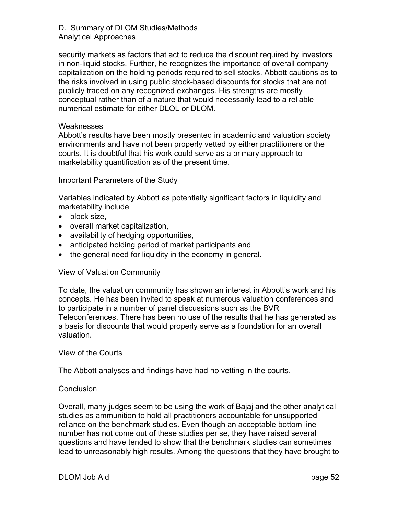security markets as factors that act to reduce the discount required by investors in non-liquid stocks. Further, he recognizes the importance of overall company capitalization on the holding periods required to sell stocks. Abbott cautions as to the risks involved in using public stock-based discounts for stocks that are not publicly traded on any recognized exchanges. His strengths are mostly conceptual rather than of a nature that would necessarily lead to a reliable numerical estimate for either DLOL or DLOM.

#### **Weaknesses**

Abbott's results have been mostly presented in academic and valuation society environments and have not been properly vetted by either practitioners or the courts. It is doubtful that his work could serve as a primary approach to marketability quantification as of the present time.

#### Important Parameters of the Study

Variables indicated by Abbott as potentially significant factors in liquidity and marketability include

- block size,
- overall market capitalization,
- availability of hedging opportunities,
- anticipated holding period of market participants and
- the general need for liquidity in the economy in general.

#### View of Valuation Community

To date, the valuation community has shown an interest in Abbott's work and his concepts. He has been invited to speak at numerous valuation conferences and to participate in a number of panel discussions such as the BVR Teleconferences. There has been no use of the results that he has generated as a basis for discounts that would properly serve as a foundation for an overall valuation.

#### View of the Courts

The Abbott analyses and findings have had no vetting in the courts.

#### **Conclusion**

Overall, many judges seem to be using the work of Bajaj and the other analytical studies as ammunition to hold all practitioners accountable for unsupported reliance on the benchmark studies. Even though an acceptable bottom line number has not come out of these studies per se, they have raised several questions and have tended to show that the benchmark studies can sometimes lead to unreasonably high results. Among the questions that they have brought to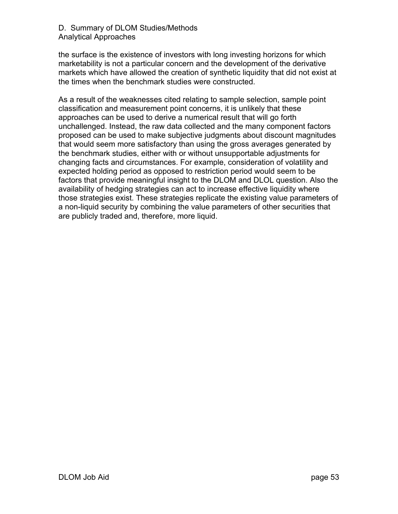the surface is the existence of investors with long investing horizons for which marketability is not a particular concern and the development of the derivative markets which have allowed the creation of synthetic liquidity that did not exist at the times when the benchmark studies were constructed.

As a result of the weaknesses cited relating to sample selection, sample point classification and measurement point concerns, it is unlikely that these approaches can be used to derive a numerical result that will go forth unchallenged. Instead, the raw data collected and the many component factors proposed can be used to make subjective judgments about discount magnitudes that would seem more satisfactory than using the gross averages generated by the benchmark studies, either with or without unsupportable adjustments for changing facts and circumstances. For example, consideration of volatility and expected holding period as opposed to restriction period would seem to be factors that provide meaningful insight to the DLOM and DLOL question. Also the availability of hedging strategies can act to increase effective liquidity where those strategies exist. These strategies replicate the existing value parameters of a non-liquid security by combining the value parameters of other securities that are publicly traded and, therefore, more liquid.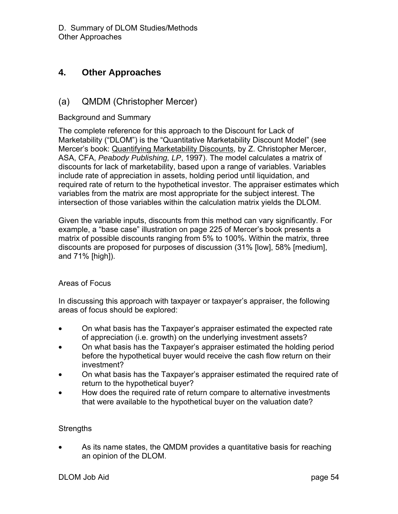## **4. Other Approaches**

## (a) QMDM (Christopher Mercer)

#### Background and Summary

The complete reference for this approach to the Discount for Lack of Marketability ("DLOM") is the "Quantitative Marketability Discount Model" (see Mercer's book: Quantifying Marketability Discounts, by Z. Christopher Mercer, ASA, CFA, *Peabody Publishing, LP*, 1997). The model calculates a matrix of discounts for lack of marketability, based upon a range of variables. Variables include rate of appreciation in assets, holding period until liquidation, and required rate of return to the hypothetical investor. The appraiser estimates which variables from the matrix are most appropriate for the subject interest. The intersection of those variables within the calculation matrix yields the DLOM.

Given the variable inputs, discounts from this method can vary significantly. For example, a "base case" illustration on page 225 of Mercer's book presents a matrix of possible discounts ranging from 5% to 100%. Within the matrix, three discounts are proposed for purposes of discussion (31% [low], 58% [medium], and 71% [high]).

#### Areas of Focus

In discussing this approach with taxpayer or taxpayer's appraiser, the following areas of focus should be explored:

- On what basis has the Taxpayer's appraiser estimated the expected rate of appreciation (i.e. growth) on the underlying investment assets?
- On what basis has the Taxpayer's appraiser estimated the holding period before the hypothetical buyer would receive the cash flow return on their investment?
- On what basis has the Taxpayer's appraiser estimated the required rate of return to the hypothetical buyer?
- How does the required rate of return compare to alternative investments that were available to the hypothetical buyer on the valuation date?

#### **Strengths**

• As its name states, the QMDM provides a quantitative basis for reaching an opinion of the DLOM.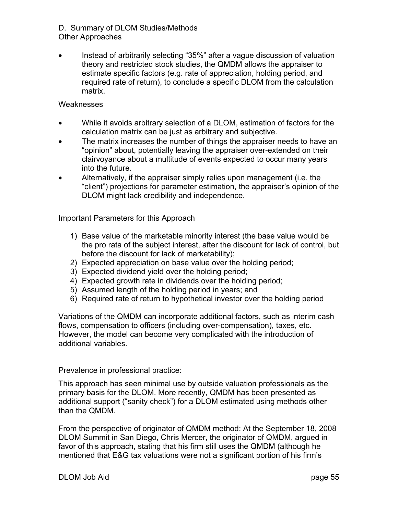• Instead of arbitrarily selecting "35%" after a vague discussion of valuation theory and restricted stock studies, the QMDM allows the appraiser to estimate specific factors (e.g. rate of appreciation, holding period, and required rate of return), to conclude a specific DLOM from the calculation matrix.

#### **Weaknesses**

- While it avoids arbitrary selection of a DLOM, estimation of factors for the calculation matrix can be just as arbitrary and subjective.
- The matrix increases the number of things the appraiser needs to have an "opinion" about, potentially leaving the appraiser over-extended on their clairvoyance about a multitude of events expected to occur many years into the future.
- Alternatively, if the appraiser simply relies upon management (i.e. the "client") projections for parameter estimation, the appraiser's opinion of the DLOM might lack credibility and independence.

Important Parameters for this Approach

- 1) Base value of the marketable minority interest (the base value would be the pro rata of the subject interest, after the discount for lack of control, but before the discount for lack of marketability);
- 2) Expected appreciation on base value over the holding period;
- 3) Expected dividend yield over the holding period;
- 4) Expected growth rate in dividends over the holding period;
- 5) Assumed length of the holding period in years; and
- 6) Required rate of return to hypothetical investor over the holding period

Variations of the QMDM can incorporate additional factors, such as interim cash flows, compensation to officers (including over-compensation), taxes, etc. However, the model can become very complicated with the introduction of additional variables.

#### Prevalence in professional practice:

This approach has seen minimal use by outside valuation professionals as the primary basis for the DLOM. More recently, QMDM has been presented as additional support ("sanity check") for a DLOM estimated using methods other than the QMDM.

From the perspective of originator of QMDM method: At the September 18, 2008 DLOM Summit in San Diego, Chris Mercer, the originator of QMDM, argued in favor of this approach, stating that his firm still uses the QMDM (although he mentioned that E&G tax valuations were not a significant portion of his firm's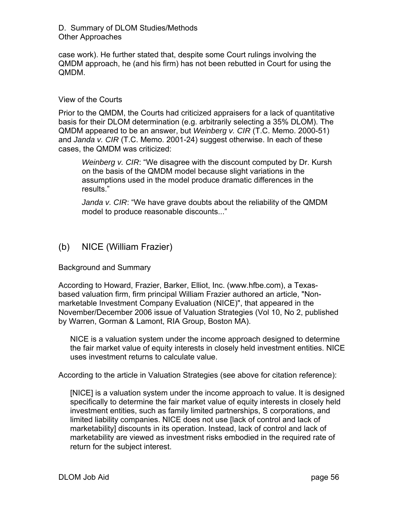case work). He further stated that, despite some Court rulings involving the QMDM approach, he (and his firm) has not been rebutted in Court for using the QMDM.

#### View of the Courts

Prior to the QMDM, the Courts had criticized appraisers for a lack of quantitative basis for their DLOM determination (e.g. arbitrarily selecting a 35% DLOM). The QMDM appeared to be an answer, but *Weinberg v. CIR* (T.C. Memo. 2000-51) and *Janda v. CIR* (T.C. Memo. 2001-24) suggest otherwise. In each of these cases, the QMDM was criticized:

*Weinberg v. CIR*: "We disagree with the discount computed by Dr. Kursh on the basis of the QMDM model because slight variations in the assumptions used in the model produce dramatic differences in the results."

*Janda v. CIR*: "We have grave doubts about the reliability of the QMDM model to produce reasonable discounts..."

## (b) NICE (William Frazier)

Background and Summary

According to Howard, Frazier, Barker, Elliot, Inc. (www.hfbe.com), a Texasbased valuation firm, firm principal William Frazier authored an article, "Nonmarketable Investment Company Evaluation (NICE)", that appeared in the November/December 2006 issue of Valuation Strategies (Vol 10, No 2, published by Warren, Gorman & Lamont, RIA Group, Boston MA).

NICE is a valuation system under the income approach designed to determine the fair market value of equity interests in closely held investment entities. NICE uses investment returns to calculate value.

According to the article in Valuation Strategies (see above for citation reference):

[NICE] is a valuation system under the income approach to value. It is designed specifically to determine the fair market value of equity interests in closely held investment entities, such as family limited partnerships, S corporations, and limited liability companies. NICE does not use [lack of control and lack of marketability] discounts in its operation. Instead, lack of control and lack of marketability are viewed as investment risks embodied in the required rate of return for the subject interest.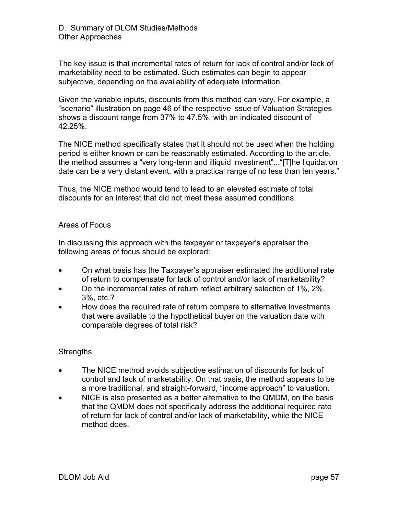The key issue is that incremental rates of return for lack of control and/or lack of marketability need to be estimated. Such estimates can begin to appear subjective, depending on the availability of adequate information.

Given the variable inputs, discounts from this method can vary. For example, a "scenario" illustration on page 46 of the respective issue of Valuation Strategies shows a discount range from 37% to 47.5%, with an indicated discount of 42.25%.

The NICE method specifically states that it should not be used when the holding period is either known or can be reasonably estimated. According to the article, the method assumes a "very long-term and illiquid investment"..."[T]he liquidation date can be a very distant event, with a practical range of no less than ten years."

Thus, the NICE method would tend to lead to an elevated estimate of total discounts for an interest that did not meet these assumed conditions.

#### Areas of Focus

In discussing this approach with the taxpayer or taxpayer's appraiser the following areas of focus should be explored:

- On what basis has the Taxpayer's appraiser estimated the additional rate of return to compensate for lack of control and/or lack of marketability?
- Do the incremental rates of return reflect arbitrary selection of 1%, 2%, 3%, etc.?
- How does the required rate of return compare to alternative investments that were available to the hypothetical buyer on the valuation date with comparable degrees of total risk?

### **Strengths**

- The NICE method avoids subjective estimation of discounts for lack of control and lack of marketability. On that basis, the method appears to be a more traditional, and straight-forward, "income approach" to valuation.
- NICE is also presented as a better alternative to the QMDM, on the basis that the QMDM does not specifically address the additional required rate of return for lack of control and/or lack of marketability, while the NICE method does.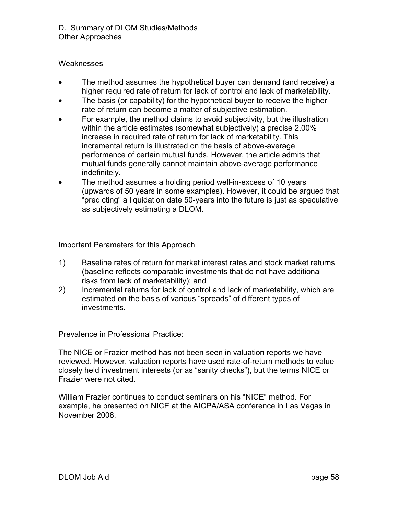#### Weaknesses

- The method assumes the hypothetical buyer can demand (and receive) a higher required rate of return for lack of control and lack of marketability.
- The basis (or capability) for the hypothetical buyer to receive the higher rate of return can become a matter of subjective estimation.
- For example, the method claims to avoid subjectivity, but the illustration within the article estimates (somewhat subjectively) a precise 2.00% increase in required rate of return for lack of marketability. This incremental return is illustrated on the basis of above-average performance of certain mutual funds. However, the article admits that mutual funds generally cannot maintain above-average performance indefinitely.
- The method assumes a holding period well-in-excess of 10 years (upwards of 50 years in some examples). However, it could be argued that "predicting" a liquidation date 50-years into the future is just as speculative as subjectively estimating a DLOM.

Important Parameters for this Approach

- 1) Baseline rates of return for market interest rates and stock market returns (baseline reflects comparable investments that do not have additional risks from lack of marketability); and
- 2) Incremental returns for lack of control and lack of marketability, which are estimated on the basis of various "spreads" of different types of investments.

Prevalence in Professional Practice:

The NICE or Frazier method has not been seen in valuation reports we have reviewed. However, valuation reports have used rate-of-return methods to value closely held investment interests (or as "sanity checks"), but the terms NICE or Frazier were not cited.

William Frazier continues to conduct seminars on his "NICE" method. For example, he presented on NICE at the AICPA/ASA conference in Las Vegas in November 2008.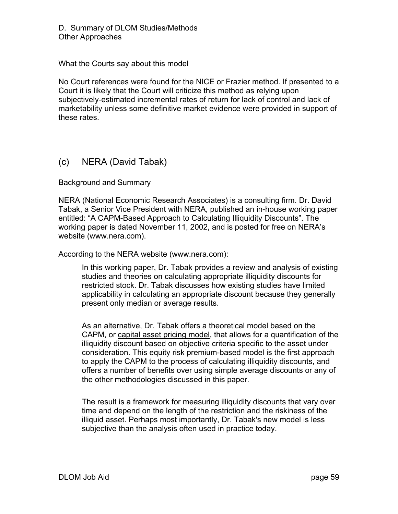What the Courts say about this model

No Court references were found for the NICE or Frazier method. If presented to a Court it is likely that the Court will criticize this method as relying upon subjectively-estimated incremental rates of return for lack of control and lack of marketability unless some definitive market evidence were provided in support of these rates.

## (c) NERA (David Tabak)

Background and Summary

NERA (National Economic Research Associates) is a consulting firm. Dr. David Tabak, a Senior Vice President with NERA, published an in-house working paper entitled: "A CAPM-Based Approach to Calculating Illiquidity Discounts". The working paper is dated November 11, 2002, and is posted for free on NERA's website (www.nera.com).

According to the NERA website (www.nera.com):

In this working paper, Dr. Tabak provides a review and analysis of existing studies and theories on calculating appropriate illiquidity discounts for restricted stock. Dr. Tabak discusses how existing studies have limited applicability in calculating an appropriate discount because they generally present only median or average results.

As an alternative, Dr. Tabak offers a theoretical model based on the CAPM, or capital asset pricing model, that allows for a quantification of the illiquidity discount based on objective criteria specific to the asset under consideration. This equity risk premium-based model is the first approach to apply the CAPM to the process of calculating illiquidity discounts, and offers a number of benefits over using simple average discounts or any of the other methodologies discussed in this paper.

The result is a framework for measuring illiquidity discounts that vary over time and depend on the length of the restriction and the riskiness of the illiquid asset. Perhaps most importantly, Dr. Tabak's new model is less subjective than the analysis often used in practice today.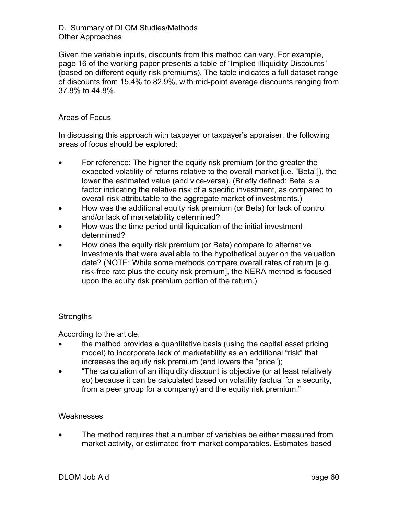Given the variable inputs, discounts from this method can vary. For example, page 16 of the working paper presents a table of "Implied Illiquidity Discounts" (based on different equity risk premiums). The table indicates a full dataset range of discounts from 15.4% to 82.9%, with mid-point average discounts ranging from 37.8% to 44.8%.

#### Areas of Focus

In discussing this approach with taxpayer or taxpayer's appraiser, the following areas of focus should be explored:

- For reference: The higher the equity risk premium (or the greater the expected volatility of returns relative to the overall market [i.e. "Beta"]), the lower the estimated value (and vice-versa). (Briefly defined: Beta is a factor indicating the relative risk of a specific investment, as compared to overall risk attributable to the aggregate market of investments.)
- How was the additional equity risk premium (or Beta) for lack of control and/or lack of marketability determined?
- How was the time period until liquidation of the initial investment determined?
- How does the equity risk premium (or Beta) compare to alternative investments that were available to the hypothetical buyer on the valuation date? (NOTE: While some methods compare overall rates of return [e.g. risk-free rate plus the equity risk premium], the NERA method is focused upon the equity risk premium portion of the return.)

#### **Strengths**

According to the article,

- the method provides a quantitative basis (using the capital asset pricing model) to incorporate lack of marketability as an additional "risk" that increases the equity risk premium (and lowers the "price");
- "The calculation of an illiquidity discount is objective (or at least relatively so) because it can be calculated based on volatility (actual for a security, from a peer group for a company) and the equity risk premium."

#### **Weaknesses**

• The method requires that a number of variables be either measured from market activity, or estimated from market comparables. Estimates based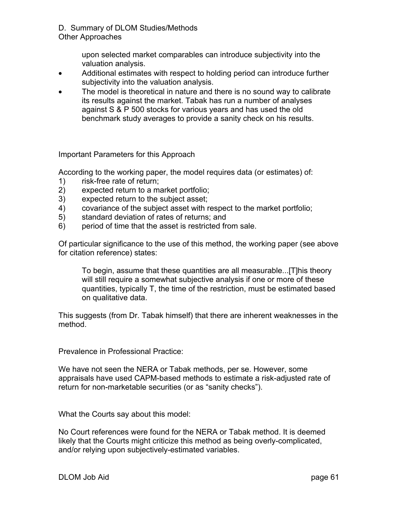> upon selected market comparables can introduce subjectivity into the valuation analysis.

- Additional estimates with respect to holding period can introduce further subjectivity into the valuation analysis.
- The model is theoretical in nature and there is no sound way to calibrate its results against the market. Tabak has run a number of analyses against S & P 500 stocks for various years and has used the old benchmark study averages to provide a sanity check on his results.

Important Parameters for this Approach

According to the working paper, the model requires data (or estimates) of:

- 1) risk-free rate of return;
- 2) expected return to a market portfolio;
- 3) expected return to the subject asset;
- 4) covariance of the subject asset with respect to the market portfolio;
- 5) standard deviation of rates of returns; and
- 6) period of time that the asset is restricted from sale.

Of particular significance to the use of this method, the working paper (see above for citation reference) states:

To begin, assume that these quantities are all measurable...[T]his theory will still require a somewhat subjective analysis if one or more of these quantities, typically T, the time of the restriction, must be estimated based on qualitative data.

This suggests (from Dr. Tabak himself) that there are inherent weaknesses in the method.

Prevalence in Professional Practice:

We have not seen the NERA or Tabak methods, per se. However, some appraisals have used CAPM-based methods to estimate a risk-adjusted rate of return for non-marketable securities (or as "sanity checks").

What the Courts say about this model:

No Court references were found for the NERA or Tabak method. It is deemed likely that the Courts might criticize this method as being overly-complicated, and/or relying upon subjectively-estimated variables.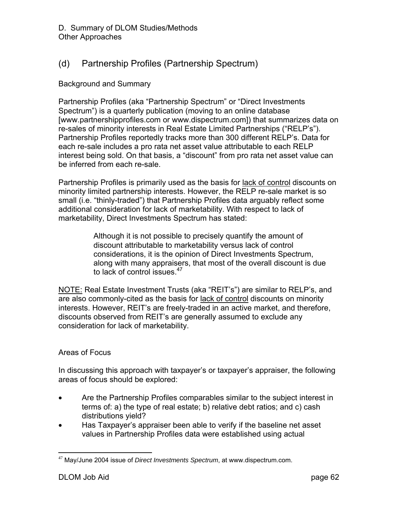## (d) Partnership Profiles (Partnership Spectrum)

#### Background and Summary

Partnership Profiles (aka "Partnership Spectrum" or "Direct Investments Spectrum") is a quarterly publication (moving to an online database [www.partnershipprofiles.com or www.dispectrum.com]) that summarizes data on re-sales of minority interests in Real Estate Limited Partnerships ("RELP's"). Partnership Profiles reportedly tracks more than 300 different RELP's. Data for each re-sale includes a pro rata net asset value attributable to each RELP interest being sold. On that basis, a "discount" from pro rata net asset value can be inferred from each re-sale.

Partnership Profiles is primarily used as the basis for lack of control discounts on minority limited partnership interests. However, the RELP re-sale market is so small (i.e. "thinly-traded") that Partnership Profiles data arguably reflect some additional consideration for lack of marketability. With respect to lack of marketability, Direct Investments Spectrum has stated:

> Although it is not possible to precisely quantify the amount of discount attributable to marketability versus lack of control considerations, it is the opinion of Direct Investments Spectrum, along with many appraisers, that most of the overall discount is due to lack of control issues.<sup>47</sup>

NOTE: Real Estate Investment Trusts (aka "REIT's") are similar to RELP's, and are also commonly-cited as the basis for lack of control discounts on minority interests. However, REIT's are freely-traded in an active market, and therefore, discounts observed from REIT's are generally assumed to exclude any consideration for lack of marketability.

#### Areas of Focus

In discussing this approach with taxpayer's or taxpayer's appraiser, the following areas of focus should be explored:

- Are the Partnership Profiles comparables similar to the subject interest in terms of: a) the type of real estate; b) relative debt ratios; and c) cash distributions yield?
- Has Taxpayer's appraiser been able to verify if the baseline net asset values in Partnership Profiles data were established using actual

 $\overline{a}$ <sup>47</sup> May/June 2004 issue of *Direct Investments Spectrum*, at www.dispectrum.com.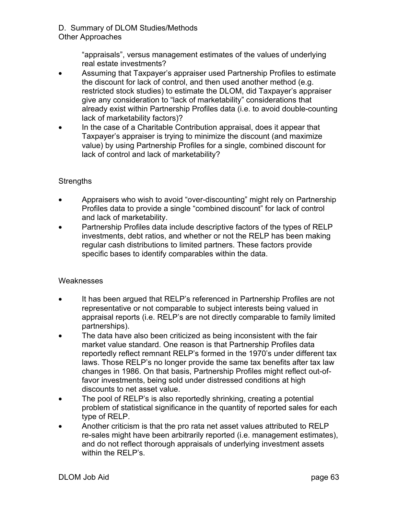> "appraisals", versus management estimates of the values of underlying real estate investments?

- Assuming that Taxpayer's appraiser used Partnership Profiles to estimate the discount for lack of control, and then used another method (e.g. restricted stock studies) to estimate the DLOM, did Taxpayer's appraiser give any consideration to "lack of marketability" considerations that already exist within Partnership Profiles data (i.e. to avoid double-counting lack of marketability factors)?
- In the case of a Charitable Contribution appraisal, does it appear that Taxpayer's appraiser is trying to minimize the discount (and maximize value) by using Partnership Profiles for a single, combined discount for lack of control and lack of marketability?

#### **Strengths**

- Appraisers who wish to avoid "over-discounting" might rely on Partnership Profiles data to provide a single "combined discount" for lack of control and lack of marketability.
- Partnership Profiles data include descriptive factors of the types of RELP investments, debt ratios, and whether or not the RELP has been making regular cash distributions to limited partners. These factors provide specific bases to identify comparables within the data.

#### **Weaknesses**

- It has been argued that RELP's referenced in Partnership Profiles are not representative or not comparable to subject interests being valued in appraisal reports (i.e. RELP's are not directly comparable to family limited partnerships).
- The data have also been criticized as being inconsistent with the fair market value standard. One reason is that Partnership Profiles data reportedly reflect remnant RELP's formed in the 1970's under different tax laws. Those RELP's no longer provide the same tax benefits after tax law changes in 1986. On that basis, Partnership Profiles might reflect out-offavor investments, being sold under distressed conditions at high discounts to net asset value.
- The pool of RELP's is also reportedly shrinking, creating a potential problem of statistical significance in the quantity of reported sales for each type of RELP.
- Another criticism is that the pro rata net asset values attributed to RELP re-sales might have been arbitrarily reported (i.e. management estimates), and do not reflect thorough appraisals of underlying investment assets within the RELP's.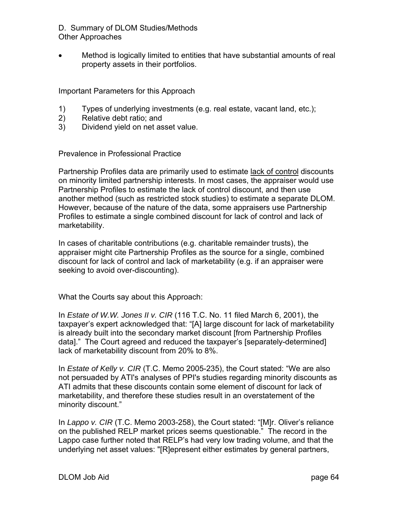• Method is logically limited to entities that have substantial amounts of real property assets in their portfolios.

Important Parameters for this Approach

- 1) Types of underlying investments (e.g. real estate, vacant land, etc.);
- 2) Relative debt ratio; and
- 3) Dividend yield on net asset value.

Prevalence in Professional Practice

Partnership Profiles data are primarily used to estimate lack of control discounts on minority limited partnership interests. In most cases, the appraiser would use Partnership Profiles to estimate the lack of control discount, and then use another method (such as restricted stock studies) to estimate a separate DLOM. However, because of the nature of the data, some appraisers use Partnership Profiles to estimate a single combined discount for lack of control and lack of marketability.

In cases of charitable contributions (e.g. charitable remainder trusts), the appraiser might cite Partnership Profiles as the source for a single, combined discount for lack of control and lack of marketability (e.g. if an appraiser were seeking to avoid over-discounting).

What the Courts say about this Approach:

In *Estate of W.W. Jones II v. CIR* (116 T.C. No. 11 filed March 6, 2001), the taxpayer's expert acknowledged that: "[A] large discount for lack of marketability is already built into the secondary market discount [from Partnership Profiles data]." The Court agreed and reduced the taxpayer's [separately-determined] lack of marketability discount from 20% to 8%.

In *Estate of Kelly v. CIR* (T.C. Memo 2005-235), the Court stated: "We are also not persuaded by ATI's analyses of PPI's studies regarding minority discounts as ATI admits that these discounts contain some element of discount for lack of marketability, and therefore these studies result in an overstatement of the minority discount."

In *Lappo v. CIR* (T.C. Memo 2003-258), the Court stated: "[M]r. Oliver's reliance on the published RELP market prices seems questionable." The record in the Lappo case further noted that RELP's had very low trading volume, and that the underlying net asset values: "[R]epresent either estimates by general partners,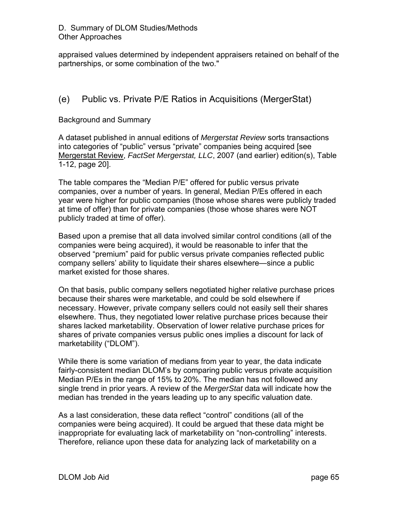appraised values determined by independent appraisers retained on behalf of the partnerships, or some combination of the two."

## (e) Public vs. Private P/E Ratios in Acquisitions (MergerStat)

#### Background and Summary

A dataset published in annual editions of *Mergerstat Review* sorts transactions into categories of "public" versus "private" companies being acquired [see Mergerstat Review, *FactSet Mergerstat, LLC*, 2007 (and earlier) edition(s), Table 1-12, page 20].

The table compares the "Median P/E" offered for public versus private companies, over a number of years. In general, Median P/Es offered in each year were higher for public companies (those whose shares were publicly traded at time of offer) than for private companies (those whose shares were NOT publicly traded at time of offer).

Based upon a premise that all data involved similar control conditions (all of the companies were being acquired), it would be reasonable to infer that the observed "premium" paid for public versus private companies reflected public company sellers' ability to liquidate their shares elsewhere—since a public market existed for those shares.

On that basis, public company sellers negotiated higher relative purchase prices because their shares were marketable, and could be sold elsewhere if necessary. However, private company sellers could not easily sell their shares elsewhere. Thus, they negotiated lower relative purchase prices because their shares lacked marketability. Observation of lower relative purchase prices for shares of private companies versus public ones implies a discount for lack of marketability ("DLOM").

While there is some variation of medians from year to year, the data indicate fairly-consistent median DLOM's by comparing public versus private acquisition Median P/Es in the range of 15% to 20%. The median has not followed any single trend in prior years. A review of the *MergerStat* data will indicate how the median has trended in the years leading up to any specific valuation date.

As a last consideration, these data reflect "control" conditions (all of the companies were being acquired). It could be argued that these data might be inappropriate for evaluating lack of marketability on "non-controlling" interests. Therefore, reliance upon these data for analyzing lack of marketability on a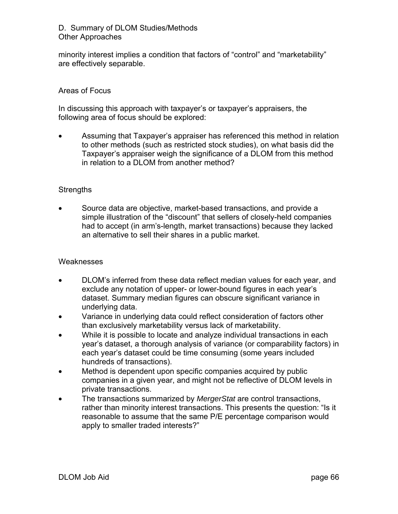minority interest implies a condition that factors of "control" and "marketability" are effectively separable.

#### Areas of Focus

In discussing this approach with taxpayer's or taxpayer's appraisers, the following area of focus should be explored:

• Assuming that Taxpayer's appraiser has referenced this method in relation to other methods (such as restricted stock studies), on what basis did the Taxpayer's appraiser weigh the significance of a DLOM from this method in relation to a DLOM from another method?

#### **Strengths**

• Source data are objective, market-based transactions, and provide a simple illustration of the "discount" that sellers of closely-held companies had to accept (in arm's-length, market transactions) because they lacked an alternative to sell their shares in a public market.

#### **Weaknesses**

- DLOM's inferred from these data reflect median values for each year, and exclude any notation of upper- or lower-bound figures in each year's dataset. Summary median figures can obscure significant variance in underlying data.
- Variance in underlying data could reflect consideration of factors other than exclusively marketability versus lack of marketability.
- While it is possible to locate and analyze individual transactions in each year's dataset, a thorough analysis of variance (or comparability factors) in each year's dataset could be time consuming (some years included hundreds of transactions).
- Method is dependent upon specific companies acquired by public companies in a given year, and might not be reflective of DLOM levels in private transactions.
- The transactions summarized by *MergerStat* are control transactions, rather than minority interest transactions. This presents the question: "Is it reasonable to assume that the same P/E percentage comparison would apply to smaller traded interests?"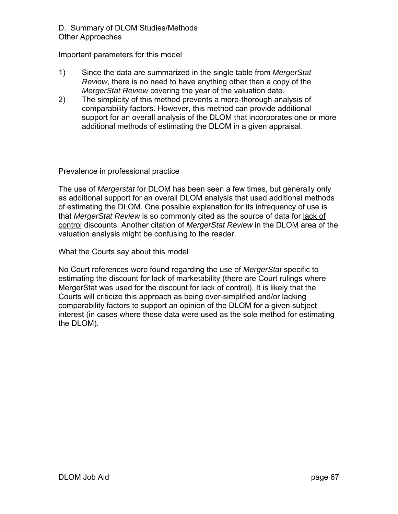Important parameters for this model

- 1) Since the data are summarized in the single table from *MergerStat Review*, there is no need to have anything other than a copy of the *MergerStat Review* covering the year of the valuation date.
- 2) The simplicity of this method prevents a more-thorough analysis of comparability factors. However, this method can provide additional support for an overall analysis of the DLOM that incorporates one or more additional methods of estimating the DLOM in a given appraisal.

Prevalence in professional practice

The use of *Mergerstat* for DLOM has been seen a few times, but generally only as additional support for an overall DLOM analysis that used additional methods of estimating the DLOM. One possible explanation for its infrequency of use is that *MergerStat Review* is so commonly cited as the source of data for lack of control discounts. Another citation of *MergerStat Review* in the DLOM area of the valuation analysis might be confusing to the reader.

What the Courts say about this model

No Court references were found regarding the use of *MergerStat* specific to estimating the discount for lack of marketability (there are Court rulings where MergerStat was used for the discount for lack of control). It is likely that the Courts will criticize this approach as being over-simplified and/or lacking comparability factors to support an opinion of the DLOM for a given subject interest (in cases where these data were used as the sole method for estimating the DLOM).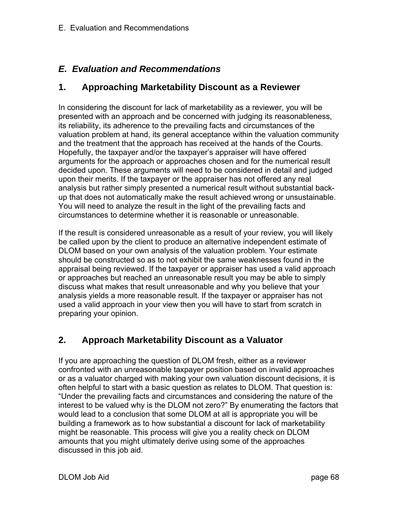## *E. Evaluation and Recommendations*

## **1. Approaching Marketability Discount as a Reviewer**

In considering the discount for lack of marketability as a reviewer, you will be presented with an approach and be concerned with judging its reasonableness, its reliability, its adherence to the prevailing facts and circumstances of the valuation problem at hand, its general acceptance within the valuation community and the treatment that the approach has received at the hands of the Courts. Hopefully, the taxpayer and/or the taxpayer's appraiser will have offered arguments for the approach or approaches chosen and for the numerical result decided upon. These arguments will need to be considered in detail and judged upon their merits. If the taxpayer or the appraiser has not offered any real analysis but rather simply presented a numerical result without substantial backup that does not automatically make the result achieved wrong or unsustainable. You will need to analyze the result in the light of the prevailing facts and circumstances to determine whether it is reasonable or unreasonable.

If the result is considered unreasonable as a result of your review, you will likely be called upon by the client to produce an alternative independent estimate of DLOM based on your own analysis of the valuation problem. Your estimate should be constructed so as to not exhibit the same weaknesses found in the appraisal being reviewed. If the taxpayer or appraiser has used a valid approach or approaches but reached an unreasonable result you may be able to simply discuss what makes that result unreasonable and why you believe that your analysis yields a more reasonable result. If the taxpayer or appraiser has not used a valid approach in your view then you will have to start from scratch in preparing your opinion.

## **2. Approach Marketability Discount as a Valuator**

If you are approaching the question of DLOM fresh, either as a reviewer confronted with an unreasonable taxpayer position based on invalid approaches or as a valuator charged with making your own valuation discount decisions, it is often helpful to start with a basic question as relates to DLOM. That question is: "Under the prevailing facts and circumstances and considering the nature of the interest to be valued why is the DLOM not zero?" By enumerating the factors that would lead to a conclusion that some DLOM at all is appropriate you will be building a framework as to how substantial a discount for lack of marketability might be reasonable. This process will give you a reality check on DLOM amounts that you might ultimately derive using some of the approaches discussed in this job aid.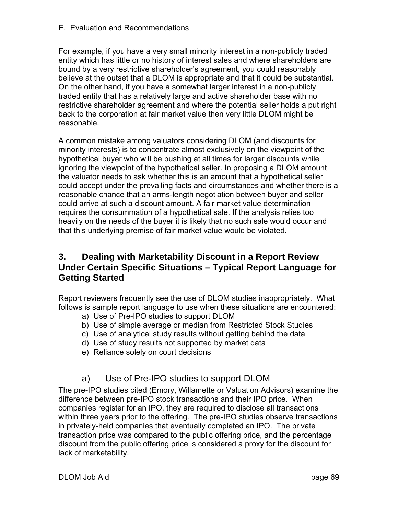For example, if you have a very small minority interest in a non-publicly traded entity which has little or no history of interest sales and where shareholders are bound by a very restrictive shareholder's agreement, you could reasonably believe at the outset that a DLOM is appropriate and that it could be substantial. On the other hand, if you have a somewhat larger interest in a non-publicly traded entity that has a relatively large and active shareholder base with no restrictive shareholder agreement and where the potential seller holds a put right back to the corporation at fair market value then very little DLOM might be reasonable.

A common mistake among valuators considering DLOM (and discounts for minority interests) is to concentrate almost exclusively on the viewpoint of the hypothetical buyer who will be pushing at all times for larger discounts while ignoring the viewpoint of the hypothetical seller. In proposing a DLOM amount the valuator needs to ask whether this is an amount that a hypothetical seller could accept under the prevailing facts and circumstances and whether there is a reasonable chance that an arms-length negotiation between buyer and seller could arrive at such a discount amount. A fair market value determination requires the consummation of a hypothetical sale. If the analysis relies too heavily on the needs of the buyer it is likely that no such sale would occur and that this underlying premise of fair market value would be violated.

# **3. Dealing with Marketability Discount in a Report Review Under Certain Specific Situations – Typical Report Language for Getting Started**

Report reviewers frequently see the use of DLOM studies inappropriately. What follows is sample report language to use when these situations are encountered:

- a) Use of Pre-IPO studies to support DLOM
- b) Use of simple average or median from Restricted Stock Studies
- c) Use of analytical study results without getting behind the data
- d) Use of study results not supported by market data
- e) Reliance solely on court decisions

# a) Use of Pre-IPO studies to support DLOM

The pre-IPO studies cited (Emory, Willamette or Valuation Advisors) examine the difference between pre-IPO stock transactions and their IPO price. When companies register for an IPO, they are required to disclose all transactions within three years prior to the offering. The pre-IPO studies observe transactions in privately-held companies that eventually completed an IPO. The private transaction price was compared to the public offering price, and the percentage discount from the public offering price is considered a proxy for the discount for lack of marketability.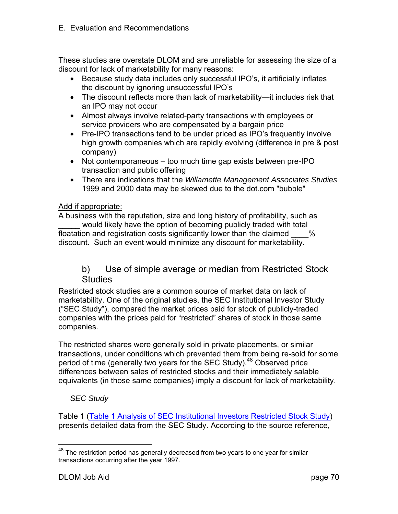These studies are overstate DLOM and are unreliable for assessing the size of a discount for lack of marketability for many reasons:

- Because study data includes only successful IPO's, it artificially inflates the discount by ignoring unsuccessful IPO's
- The discount reflects more than lack of marketability—it includes risk that an IPO may not occur
- Almost always involve related-party transactions with employees or service providers who are compensated by a bargain price
- Pre-IPO transactions tend to be under priced as IPO's frequently involve high growth companies which are rapidly evolving (difference in pre & post company)
- Not contemporaneous too much time gap exists between pre-IPO transaction and public offering
- There are indications that the *Willamette Management Associates Studies* 1999 and 2000 data may be skewed due to the dot.com "bubble"

## Add if appropriate:

A business with the reputation, size and long history of profitability, such as would likely have the option of becoming publicly traded with total floatation and registration costs significantly lower than the claimed  $\sim$  % discount. Such an event would minimize any discount for marketability.

## b) Use of simple average or median from Restricted Stock **Studies**

Restricted stock studies are a common source of market data on lack of marketability. One of the original studies, the SEC Institutional Investor Study ("SEC Study"), compared the market prices paid for stock of publicly-traded companies with the prices paid for "restricted" shares of stock in those same companies.

The restricted shares were generally sold in private placements, or similar transactions, under conditions which prevented them from being re-sold for some period of time (generally two years for the SEC Study).<sup>48</sup> Observed price differences between sales of restricted stocks and their immediately salable equivalents (in those same companies) imply a discount for lack of marketability.

## *SEC Study*

Table 1 (Table 1 Analysis of SEC Institutional Investors Restricted Stock Study) presents detailed data from the SEC Study. According to the source reference,

<u>.</u>

<sup>&</sup>lt;sup>48</sup> The restriction period has generally decreased from two years to one year for similar transactions occurring after the year 1997.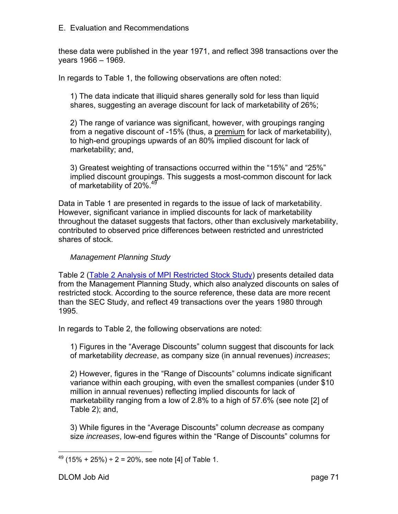these data were published in the year 1971, and reflect 398 transactions over the years 1966 – 1969.

In regards to Table 1, the following observations are often noted:

1) The data indicate that illiquid shares generally sold for less than liquid shares, suggesting an average discount for lack of marketability of 26%;

2) The range of variance was significant, however, with groupings ranging from a negative discount of -15% (thus, a premium for lack of marketability), to high-end groupings upwards of an 80% implied discount for lack of marketability; and,

3) Greatest weighting of transactions occurred within the "15%" and "25%" implied discount groupings. This suggests a most-common discount for lack of marketability of 20%.<sup>49</sup>

Data in Table 1 are presented in regards to the issue of lack of marketability. However, significant variance in implied discounts for lack of marketability throughout the dataset suggests that factors, other than exclusively marketability, contributed to observed price differences between restricted and unrestricted shares of stock.

## *Management Planning Study*

Table 2 (Table 2 Analysis of MPI Restricted Stock Study) presents detailed data from the Management Planning Study, which also analyzed discounts on sales of restricted stock. According to the source reference, these data are more recent than the SEC Study, and reflect 49 transactions over the years 1980 through 1995.

In regards to Table 2, the following observations are noted:

1) Figures in the "Average Discounts" column suggest that discounts for lack of marketability *decrease*, as company size (in annual revenues) *increases*;

2) However, figures in the "Range of Discounts" columns indicate significant variance within each grouping, with even the smallest companies (under \$10 million in annual revenues) reflecting implied discounts for lack of marketability ranging from a low of 2.8% to a high of 57.6% (see note [2] of Table 2); and,

3) While figures in the "Average Discounts" column *decrease* as company size *increases*, low-end figures within the "Range of Discounts" columns for

 $\overline{a}$  $49$  (15% + 25%) ÷ 2 = 20%, see note [4] of Table 1.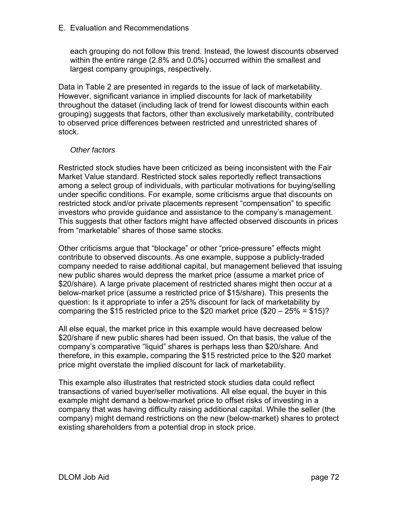each grouping do not follow this trend. Instead, the lowest discounts observed within the entire range (2.8% and 0.0%) occurred within the smallest and largest company groupings, respectively.

Data in Table 2 are presented in regards to the issue of lack of marketability. However, significant variance in implied discounts for lack of marketability throughout the dataset (including lack of trend for lowest discounts within each grouping) suggests that factors, other than exclusively marketability, contributed to observed price differences between restricted and unrestricted shares of stock.

## *Other factors*

Restricted stock studies have been criticized as being inconsistent with the Fair Market Value standard. Restricted stock sales reportedly reflect transactions among a select group of individuals, with particular motivations for buying/selling under specific conditions. For example, some criticisms argue that discounts on restricted stock and/or private placements represent "compensation" to specific investors who provide guidance and assistance to the company's management. This suggests that other factors might have affected observed discounts in prices from "marketable" shares of those same stocks.

Other criticisms argue that "blockage" or other "price-pressure" effects might contribute to observed discounts. As one example, suppose a publicly-traded company needed to raise additional capital, but management believed that issuing new public shares would depress the market price (assume a market price of \$20/share). A large private placement of restricted shares might then occur at a below-market price (assume a restricted price of \$15/share). This presents the question: Is it appropriate to infer a 25% discount for lack of marketability by comparing the \$15 restricted price to the \$20 market price  $(\$20 - 25\% = \$15)?$ 

All else equal, the market price in this example would have decreased below \$20/share if new public shares had been issued. On that basis, the value of the company's comparative "liquid" shares is perhaps less than \$20/share. And therefore, in this example, comparing the \$15 restricted price to the \$20 market price might overstate the implied discount for lack of marketability.

This example also illustrates that restricted stock studies data could reflect transactions of varied buyer/seller motivations. All else equal, the buyer in this example might demand a below-market price to offset risks of investing in a company that was having difficulty raising additional capital. While the seller (the company) might demand restrictions on the new (below-market) shares to protect existing shareholders from a potential drop in stock price.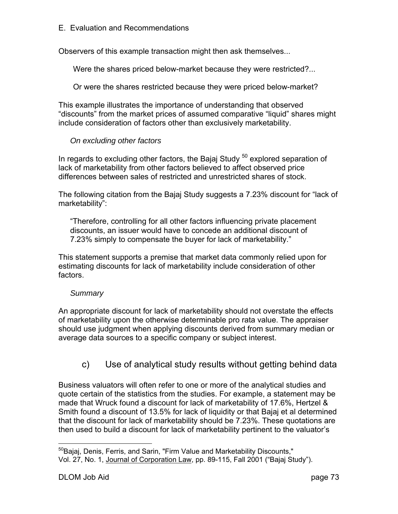Observers of this example transaction might then ask themselves...

Were the shares priced below-market because they were restricted?...

Or were the shares restricted because they were priced below-market?

This example illustrates the importance of understanding that observed "discounts" from the market prices of assumed comparative "liquid" shares might include consideration of factors other than exclusively marketability.

## *On excluding other factors*

In regards to excluding other factors, the Bajaj Study  $50$  explored separation of lack of marketability from other factors believed to affect observed price differences between sales of restricted and unrestricted shares of stock.

The following citation from the Bajaj Study suggests a 7.23% discount for "lack of marketability":

"Therefore, controlling for all other factors influencing private placement discounts, an issuer would have to concede an additional discount of 7.23% simply to compensate the buyer for lack of marketability."

This statement supports a premise that market data commonly relied upon for estimating discounts for lack of marketability include consideration of other factors.

## *Summary*

An appropriate discount for lack of marketability should not overstate the effects of marketability upon the otherwise determinable pro rata value. The appraiser should use judgment when applying discounts derived from summary median or average data sources to a specific company or subject interest.

# c) Use of analytical study results without getting behind data

Business valuators will often refer to one or more of the analytical studies and quote certain of the statistics from the studies. For example, a statement may be made that Wruck found a discount for lack of marketability of 17.6%, Hertzel & Smith found a discount of 13.5% for lack of liquidity or that Bajaj et al determined that the discount for lack of marketability should be 7.23%. These quotations are then used to build a discount for lack of marketability pertinent to the valuator's

 $\overline{a}$ <sup>50</sup>Bajaj, Denis, Ferris, and Sarin, "Firm Value and Marketability Discounts," Vol. 27, No. 1, Journal of Corporation Law, pp. 89-115, Fall 2001 ("Bajaj Study").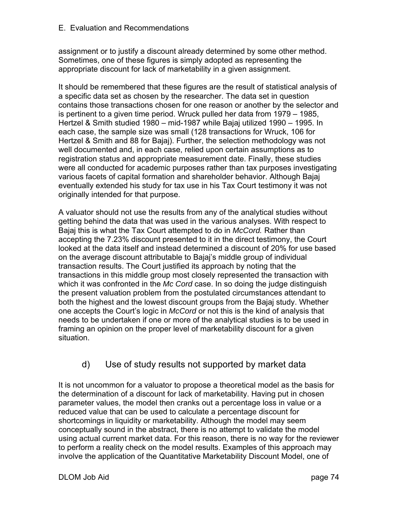assignment or to justify a discount already determined by some other method. Sometimes, one of these figures is simply adopted as representing the appropriate discount for lack of marketability in a given assignment.

It should be remembered that these figures are the result of statistical analysis of a specific data set as chosen by the researcher. The data set in question contains those transactions chosen for one reason or another by the selector and is pertinent to a given time period. Wruck pulled her data from 1979 – 1985, Hertzel & Smith studied 1980 – mid-1987 while Bajaj utilized 1990 – 1995. In each case, the sample size was small (128 transactions for Wruck, 106 for Hertzel & Smith and 88 for Bajaj). Further, the selection methodology was not well documented and, in each case, relied upon certain assumptions as to registration status and appropriate measurement date. Finally, these studies were all conducted for academic purposes rather than tax purposes investigating various facets of capital formation and shareholder behavior. Although Bajaj eventually extended his study for tax use in his Tax Court testimony it was not originally intended for that purpose.

A valuator should not use the results from any of the analytical studies without getting behind the data that was used in the various analyses. With respect to Bajaj this is what the Tax Court attempted to do in *McCord.* Rather than accepting the 7.23% discount presented to it in the direct testimony, the Court looked at the data itself and instead determined a discount of 20% for use based on the average discount attributable to Bajaj's middle group of individual transaction results. The Court justified its approach by noting that the transactions in this middle group most closely represented the transaction with which it was confronted in the *Mc Cord* case. In so doing the judge distinguish the present valuation problem from the postulated circumstances attendant to both the highest and the lowest discount groups from the Bajaj study. Whether one accepts the Court's logic in *McCord* or not this is the kind of analysis that needs to be undertaken if one or more of the analytical studies is to be used in framing an opinion on the proper level of marketability discount for a given situation.

## d) Use of study results not supported by market data

It is not uncommon for a valuator to propose a theoretical model as the basis for the determination of a discount for lack of marketability. Having put in chosen parameter values, the model then cranks out a percentage loss in value or a reduced value that can be used to calculate a percentage discount for shortcomings in liquidity or marketability. Although the model may seem conceptually sound in the abstract, there is no attempt to validate the model using actual current market data. For this reason, there is no way for the reviewer to perform a reality check on the model results. Examples of this approach may involve the application of the Quantitative Marketability Discount Model, one of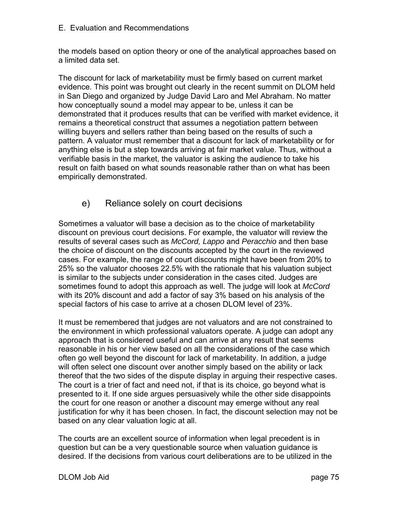the models based on option theory or one of the analytical approaches based on a limited data set.

The discount for lack of marketability must be firmly based on current market evidence. This point was brought out clearly in the recent summit on DLOM held in San Diego and organized by Judge David Laro and Mel Abraham. No matter how conceptually sound a model may appear to be, unless it can be demonstrated that it produces results that can be verified with market evidence, it remains a theoretical construct that assumes a negotiation pattern between willing buyers and sellers rather than being based on the results of such a pattern. A valuator must remember that a discount for lack of marketability or for anything else is but a step towards arriving at fair market value. Thus, without a verifiable basis in the market, the valuator is asking the audience to take his result on faith based on what sounds reasonable rather than on what has been empirically demonstrated.

# e) Reliance solely on court decisions

Sometimes a valuator will base a decision as to the choice of marketability discount on previous court decisions. For example, the valuator will review the results of several cases such as *McCord, Lappo* and *Peracchio* and then base the choice of discount on the discounts accepted by the court in the reviewed cases. For example, the range of court discounts might have been from 20% to 25% so the valuator chooses 22.5% with the rationale that his valuation subject is similar to the subjects under consideration in the cases cited. Judges are sometimes found to adopt this approach as well. The judge will look at *McCord* with its 20% discount and add a factor of say 3% based on his analysis of the special factors of his case to arrive at a chosen DLOM level of 23%.

It must be remembered that judges are not valuators and are not constrained to the environment in which professional valuators operate. A judge can adopt any approach that is considered useful and can arrive at any result that seems reasonable in his or her view based on all the considerations of the case which often go well beyond the discount for lack of marketability. In addition, a judge will often select one discount over another simply based on the ability or lack thereof that the two sides of the dispute display in arguing their respective cases. The court is a trier of fact and need not, if that is its choice, go beyond what is presented to it. If one side argues persuasively while the other side disappoints the court for one reason or another a discount may emerge without any real justification for why it has been chosen. In fact, the discount selection may not be based on any clear valuation logic at all.

The courts are an excellent source of information when legal precedent is in question but can be a very questionable source when valuation guidance is desired. If the decisions from various court deliberations are to be utilized in the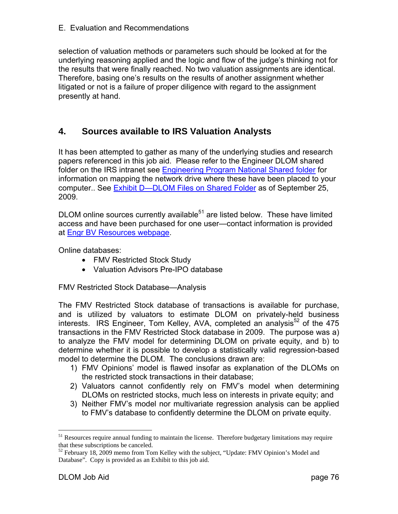selection of valuation methods or parameters such should be looked at for the underlying reasoning applied and the logic and flow of the judge's thinking not for the results that were finally reached. No two valuation assignments are identical. Therefore, basing one's results on the results of another assignment whether litigated or not is a failure of proper diligence with regard to the assignment presently at hand.

# **4. Sources available to IRS Valuation Analysts**

It has been attempted to gather as many of the underlying studies and research papers referenced in this job aid. Please refer to the Engineer DLOM shared folder on the IRS intranet see Engineering Program National Shared folder for information on mapping the network drive where these have been placed to your computer.. See Exhibit D-DLOM Files on Shared Folder as of September 25, 2009.

 $DLOM$  online sources currently available<sup>51</sup> are listed below. These have limited access and have been purchased for one user—contact information is provided at Engr BV Resources webpage.

Online databases:

- FMV Restricted Stock Study
- Valuation Advisors Pre-IPO database

FMV Restricted Stock Database—Analysis

The FMV Restricted Stock database of transactions is available for purchase, and is utilized by valuators to estimate DLOM on privately-held business interests. IRS Engineer, Tom Kelley, AVA, completed an analysis<sup>52</sup> of the 475 transactions in the FMV Restricted Stock database in 2009. The purpose was a) to analyze the FMV model for determining DLOM on private equity, and b) to determine whether it is possible to develop a statistically valid regression-based model to determine the DLOM. The conclusions drawn are:

- 1) FMV Opinions' model is flawed insofar as explanation of the DLOMs on the restricted stock transactions in their database;
- 2) Valuators cannot confidently rely on FMV's model when determining DLOMs on restricted stocks, much less on interests in private equity; and
- 3) Neither FMV's model nor multivariate regression analysis can be applied to FMV's database to confidently determine the DLOM on private equity.

 $<sup>51</sup>$  Resources require annual funding to maintain the license. Therefore budgetary limitations may require</sup> that these subscriptions be canceled.

 $52$  February 18, 2009 memo from Tom Kelley with the subject, "Update: FMV Opinion's Model and Database". Copy is provided as an Exhibit to this job aid.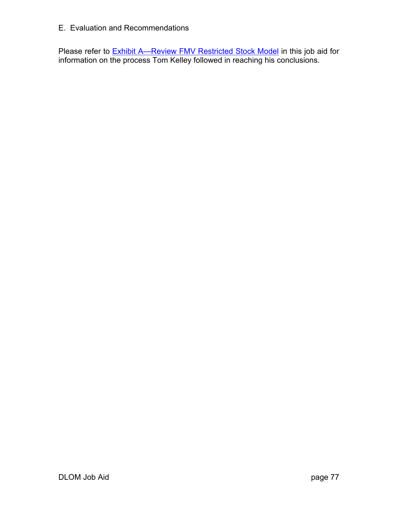Please refer to **Exhibit A—Review FMV Restricted Stock Model** in this job aid for information on the process Tom Kelley followed in reaching his conclusions.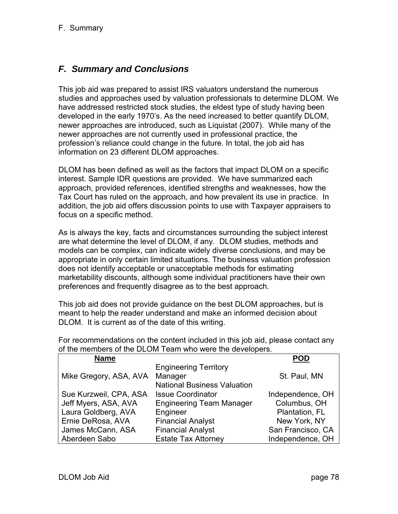# *F. Summary and Conclusions*

This job aid was prepared to assist IRS valuators understand the numerous studies and approaches used by valuation professionals to determine DLOM. We have addressed restricted stock studies, the eldest type of study having been developed in the early 1970's. As the need increased to better quantify DLOM, newer approaches are introduced, such as Liquistat (2007). While many of the newer approaches are not currently used in professional practice, the profession's reliance could change in the future. In total, the job aid has information on 23 different DLOM approaches.

DLOM has been defined as well as the factors that impact DLOM on a specific interest. Sample IDR questions are provided. We have summarized each approach, provided references, identified strengths and weaknesses, how the Tax Court has ruled on the approach, and how prevalent its use in practice. In addition, the job aid offers discussion points to use with Taxpayer appraisers to focus on a specific method.

As is always the key, facts and circumstances surrounding the subject interest are what determine the level of DLOM, if any. DLOM studies, methods and models can be complex, can indicate widely diverse conclusions, and may be appropriate in only certain limited situations. The business valuation profession does not identify acceptable or unacceptable methods for estimating marketability discounts, although some individual practitioners have their own preferences and frequently disagree as to the best approach.

This job aid does not provide guidance on the best DLOM approaches, but is meant to help the reader understand and make an informed decision about DLOM. It is current as of the date of this writing.

For recommendations on the content included in this job aid, please contact any of the members of the DLOM Team who were the developers.

| <b>Name</b>            |                                    | POD               |
|------------------------|------------------------------------|-------------------|
|                        | <b>Engineering Territory</b>       |                   |
| Mike Gregory, ASA, AVA | Manager                            | St. Paul, MN      |
|                        | <b>National Business Valuation</b> |                   |
| Sue Kurzweil, CPA, ASA | <b>Issue Coordinator</b>           | Independence, OH  |
| Jeff Myers, ASA, AVA   | <b>Engineering Team Manager</b>    | Columbus, OH      |
| Laura Goldberg, AVA    | Engineer                           | Plantation, FL    |
| Ernie DeRosa, AVA      | <b>Financial Analyst</b>           | New York, NY      |
| James McCann, ASA      | <b>Financial Analyst</b>           | San Francisco, CA |
| Aberdeen Sabo          | <b>Estate Tax Attorney</b>         | Independence, OH  |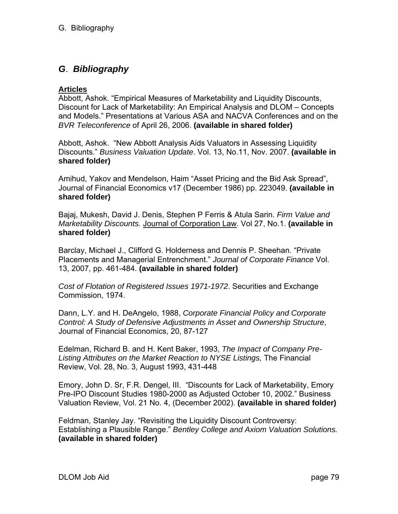## **Articles**

Abbott, Ashok. "Empirical Measures of Marketability and Liquidity Discounts, Discount for Lack of Marketability: An Empirical Analysis and DLOM – Concepts and Models." Presentations at Various ASA and NACVA Conferences and on the *BVR Teleconference* of April 26, 2006. **(available in shared folder)**

Abbott, Ashok. "New Abbott Analysis Aids Valuators in Assessing Liquidity Discounts." *Business Valuation Update*. Vol. 13, No.11, Nov. 2007. **(available in shared folder)**

Amihud, Yakov and Mendelson, Haim "Asset Pricing and the Bid Ask Spread", Journal of Financial Economics v17 (December 1986) pp. 223049. **(available in shared folder)**

Bajaj, Mukesh, David J. Denis, Stephen P Ferris & Atula Sarin. *Firm Value and Marketability Discounts.* Journal of Corporation Law. Vol 27, No.1. **(available in shared folder)**

Barclay, Michael J., Clifford G. Holderness and Dennis P. Sheehan. "Private Placements and Managerial Entrenchment." *Journal of Corporate Finance* Vol. 13, 2007, pp. 461-484. **(available in shared folder)**

*Cost of Flotation of Registered Issues 1971-1972*. Securities and Exchange Commission, 1974.

Dann, L.Y. and H. DeAngelo, 1988, *Corporate Financial Policy and Corporate Control: A Study of Defensive Adjustments in Asset and Ownership Structure*, Journal of Financial Economics, 20, 87-127

Edelman, Richard B. and H. Kent Baker, 1993, *The Impact of Company Pre-Listing Attributes on the Market Reaction to NYSE Listings,* The Financial Review, Vol. 28, No. 3, August 1993, 431-448

Emory, John D. Sr, F.R. Dengel, III. "Discounts for Lack of Marketability, Emory Pre-IPO Discount Studies 1980-2000 as Adjusted October 10, 2002." Business Valuation Review, Vol. 21 No. 4, (December 2002). **(available in shared folder)**

Feldman, Stanley Jay. "Revisiting the Liquidity Discount Controversy: Establishing a Plausible Range." *Bentley College and Axiom Valuation Solutions.*  **(available in shared folder)**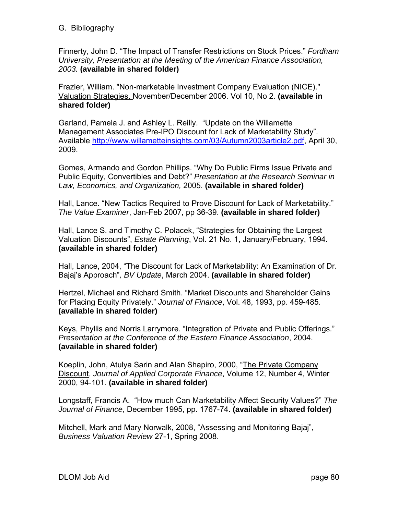Finnerty, John D. "The Impact of Transfer Restrictions on Stock Prices." *Fordham University, Presentation at the Meeting of the American Finance Association, 2003.* **(available in shared folder)**

Frazier, William. "Non-marketable Investment Company Evaluation (NICE)." Valuation Strategies. November/December 2006. Vol 10, No 2. **(available in shared folder)**

Garland, Pamela J. and Ashley L. Reilly. "Update on the Willamette Management Associates Pre-IPO Discount for Lack of Marketability Study". Available http://www.willametteinsights.com/03/Autumn2003article2.pdf, April 30, 2009.

Gomes, Armando and Gordon Phillips. "Why Do Public Firms Issue Private and Public Equity, Convertibles and Debt?" *Presentation at the Research Seminar in Law, Economics, and Organization,* 2005. **(available in shared folder)**

Hall, Lance. "New Tactics Required to Prove Discount for Lack of Marketability." *The Value Examiner*, Jan-Feb 2007, pp 36-39. **(available in shared folder)**

Hall, Lance S. and Timothy C. Polacek, "Strategies for Obtaining the Largest Valuation Discounts", *Estate Planning*, Vol. 21 No. 1, January/February, 1994. **(available in shared folder)**

Hall, Lance, 2004, "The Discount for Lack of Marketability: An Examination of Dr. Bajaj's Approach"*, BV Update*, March 2004. **(available in shared folder)**

Hertzel, Michael and Richard Smith. "Market Discounts and Shareholder Gains for Placing Equity Privately." *Journal of Finance*, Vol. 48, 1993, pp. 459-485. **(available in shared folder)**

Keys, Phyllis and Norris Larrymore. "Integration of Private and Public Offerings." *Presentation at the Conference of the Eastern Finance Association*, 2004. **(available in shared folder)**

Koeplin, John, Atulya Sarin and Alan Shapiro, 2000, "The Private Company Discount, *Journal of Applied Corporate Finance*, Volume 12, Number 4, Winter 2000, 94-101. **(available in shared folder)**

Longstaff, Francis A. "How much Can Marketability Affect Security Values?" *The Journal of Finance*, December 1995, pp. 1767-74. **(available in shared folder)**

Mitchell, Mark and Mary Norwalk, 2008, "Assessing and Monitoring Bajaj", *Business Valuation Review* 27-1, Spring 2008.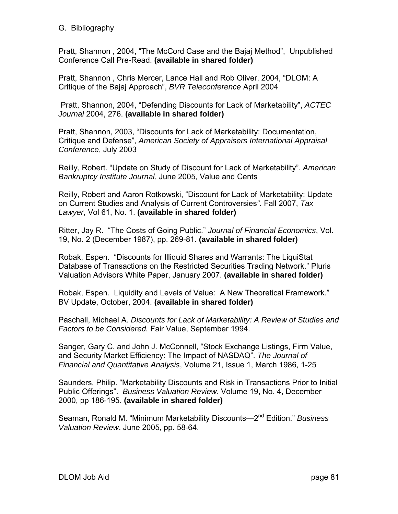Pratt, Shannon , 2004, "The McCord Case and the Bajaj Method", Unpublished Conference Call Pre-Read. **(available in shared folder)**

Pratt, Shannon , Chris Mercer, Lance Hall and Rob Oliver, 2004, "DLOM: A Critique of the Bajaj Approach", *BVR Teleconference* April 2004

 Pratt, Shannon, 2004, "Defending Discounts for Lack of Marketability", *ACTEC Journal* 2004, 276. **(available in shared folder)**

Pratt, Shannon, 2003, "Discounts for Lack of Marketability: Documentation, Critique and Defense", *American Society of Appraisers International Appraisal Conference*, July 2003

Reilly, Robert. "Update on Study of Discount for Lack of Marketability". *American Bankruptcy Institute Journal*, June 2005, Value and Cents

Reilly, Robert and Aaron Rotkowski, "Discount for Lack of Marketability: Update on Current Studies and Analysis of Current Controversies*".* Fall 2007, *Tax Lawyer*, Vol 61, No. 1. **(available in shared folder)**

Ritter, Jay R. "The Costs of Going Public." *Journal of Financial Economics*, Vol. 19, No. 2 (December 1987), pp. 269-81. **(available in shared folder)**

Robak, Espen. "Discounts for Illiquid Shares and Warrants: The LiquiStat Database of Transactions on the Restricted Securities Trading Network." Pluris Valuation Advisors White Paper, January 2007. **(available in shared folder)**

Robak, Espen. Liquidity and Levels of Value: A New Theoretical Framework." BV Update, October, 2004. **(available in shared folder)**

Paschall, Michael A. *Discounts for Lack of Marketability: A Review of Studies and Factors to be Considered.* Fair Value, September 1994.

Sanger, Gary C. and John J. McConnell, "Stock Exchange Listings, Firm Value, and Security Market Efficiency: The Impact of NASDAQ". *The Journal of Financial and Quantitative Analysis*, Volume 21, Issue 1, March 1986, 1-25

Saunders, Philip. "Marketability Discounts and Risk in Transactions Prior to Initial Public Offerings". *Business Valuation Review*. Volume 19, No. 4, December 2000, pp 186-195. **(available in shared folder)**

Seaman, Ronald M. "Minimum Marketability Discounts—2nd Edition." *Business Valuation Review*. June 2005, pp. 58-64.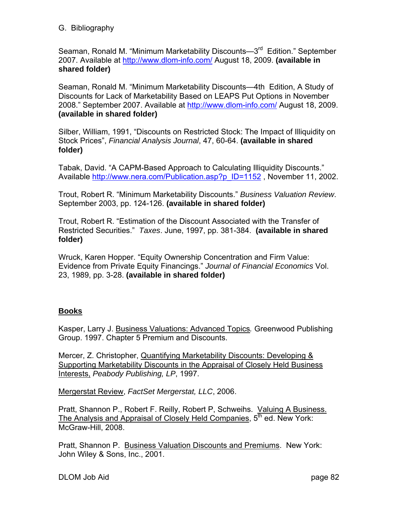Seaman, Ronald M. "Minimum Marketability Discounts—3<sup>rd</sup> Edition." September 2007. Available at http://www.dlom-info.com/ August 18, 2009. **(available in shared folder)**

Seaman, Ronald M. "Minimum Marketability Discounts—4th Edition, A Study of Discounts for Lack of Marketability Based on LEAPS Put Options in November 2008." September 2007. Available at http://www.dlom-info.com/ August 18, 2009. **(available in shared folder)**

Silber, William, 1991, "Discounts on Restricted Stock: The Impact of Illiquidity on Stock Prices", *Financial Analysis Journal*, 47, 60-64. **(available in shared folder)**

Tabak, David. "A CAPM-Based Approach to Calculating Illiquidity Discounts." Available http://www.nera.com/Publication.asp?p\_ID=1152, November 11, 2002.

Trout, Robert R. "Minimum Marketability Discounts." *Business Valuation Review*. September 2003, pp. 124-126. **(available in shared folder)**

Trout, Robert R. "Estimation of the Discount Associated with the Transfer of Restricted Securities." *Taxes*. June, 1997, pp. 381-384. **(available in shared folder)**

Wruck, Karen Hopper. "Equity Ownership Concentration and Firm Value: Evidence from Private Equity Financings." *Journal of Financial Economics* Vol. 23, 1989, pp. 3-28. **(available in shared folder)**

## **Books**

Kasper, Larry J. Business Valuations: Advanced Topics*.* Greenwood Publishing Group. 1997. Chapter 5 Premium and Discounts.

Mercer, Z. Christopher, Quantifying Marketability Discounts: Developing & Supporting Marketability Discounts in the Appraisal of Closely Held Business Interests, *Peabody Publishing, LP*, 1997.

Mergerstat Review, *FactSet Mergerstat, LLC*, 2006.

Pratt, Shannon P., Robert F. Reilly, Robert P, Schweihs. Valuing A Business. The Analysis and Appraisal of Closely Held Companies,  $5<sup>th</sup>$  ed. New York: McGraw-Hill, 2008.

Pratt, Shannon P. Business Valuation Discounts and Premiums. New York: John Wiley & Sons, Inc., 2001.

DLOM Job Aid page 82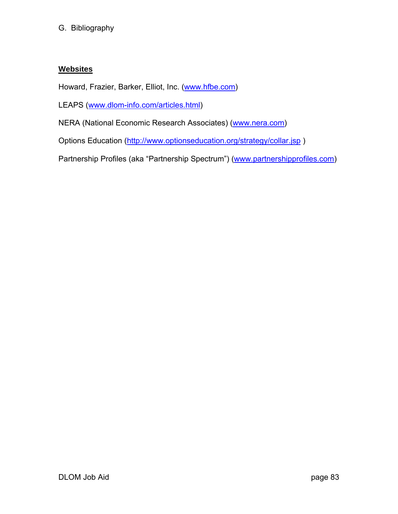## **Websites**

Howard, Frazier, Barker, Elliot, Inc. (www.hfbe.com)

LEAPS (www.dlom-info.com/articles.html)

NERA (National Economic Research Associates) (www.nera.com)

Options Education (http://www.optionseducation.org/strategy/collar.jsp )

Partnership Profiles (aka "Partnership Spectrum") (www.partnershipprofiles.com)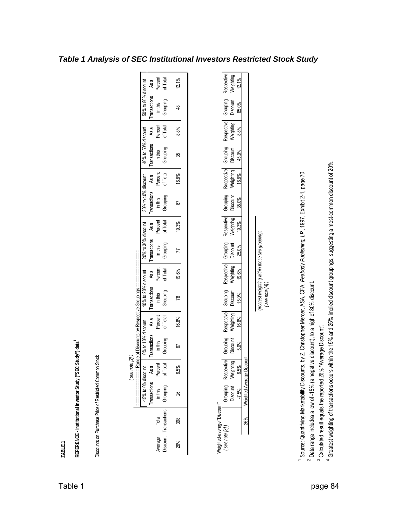| REFERENCE-Institutional Investor Study ("SEC     |                     |                                 |                                 | Study") data                                                |                                  |                                       |                                         |                                               |                                  |                                      |                                         |                                      |                                 |                                |                                  |
|--------------------------------------------------|---------------------|---------------------------------|---------------------------------|-------------------------------------------------------------|----------------------------------|---------------------------------------|-----------------------------------------|-----------------------------------------------|----------------------------------|--------------------------------------|-----------------------------------------|--------------------------------------|---------------------------------|--------------------------------|----------------------------------|
| Discounts on Purchase Price of Restricted Common |                     |                                 | <b>Stock</b>                    |                                                             |                                  |                                       |                                         |                                               |                                  |                                      |                                         |                                      |                                 |                                |                                  |
|                                                  |                     | ==============                  | $($ see note $[2]$              | ange of Discounts by Respective Groupings ================= |                                  |                                       |                                         |                                               |                                  |                                      |                                         |                                      |                                 |                                |                                  |
|                                                  |                     | $-15%$ to 0% discount           |                                 | $0\%$ to 10% discount                                       |                                  | 10% to 20% discount                   |                                         | 20% to 30% discount                           |                                  | 30% to 40% discount                  |                                         | 40% to 50% discount                  |                                 | 50% to 80% discount            |                                  |
| Average                                          | Total               | ransactions<br>in this          | Percent<br>of Total<br>As a     | Transactions<br>in this                                     | Percent<br>As a                  | Transactions<br>$\frac{1}{2}$ in this | Percent<br>As a                         | ransactions<br>$\frac{1}{2}$ in this          | Percent<br>As a                  | <b>Transactions</b><br>$\sin \theta$ | Percent<br>As a                         | <b>Transactions</b><br>$\sin \theta$ | Percent<br>As a                 | <b>Transactions</b><br>in this | Percent<br>As a                  |
| Discount                                         | <b>Transactions</b> | Grouping                        |                                 | Grouping                                                    | of Total                         | Grauping                              | of Total                                | Grouping                                      | of Total                         | Grouping                             | of Total                                | Grouping                             | of Total                        | Grouping                       | of Total                         |
| 26%                                              | 398                 | 26                              | 6.5%                            | 57                                                          | 16.8%                            | 78                                    | 19.6%                                   | 77                                            | 19.3%                            | 5                                    | 16.8%                                   | 35                                   | 8.8%                            | $\frac{8}{4}$                  | 12.1%                            |
|                                                  |                     |                                 |                                 |                                                             |                                  |                                       |                                         |                                               |                                  |                                      |                                         |                                      |                                 |                                |                                  |
| Weighted-average "Discount"                      |                     |                                 |                                 |                                                             |                                  |                                       |                                         |                                               |                                  |                                      |                                         |                                      |                                 |                                |                                  |
| $($ see note $[3]$                               |                     | Grouping<br>Discount<br>$-7.5%$ | Respective<br>Weighting<br>6.5% | Grouping<br>Discount<br>5.0%                                | Respective<br>Weighting<br>16.8% | Grouping<br>Discount<br>15.0%         | <b>Respective</b><br>Weighting<br>19.6% | Grouping<br>Discount<br>25.0%                 | Respective<br>Weighting<br>19.3% | Grouping<br>Discount<br>35.0%        | <b>Respective</b><br>Weighting<br>16.8% | Grouping<br>Discount<br>45.0%        | Respective<br>Weighting<br>8.8% | Grouping<br>Discount<br>65.0%  | Respective<br>Weighting<br>12.1% |
|                                                  | 26%                 | Weighted-Average Discount       |                                 |                                                             |                                  |                                       |                                         |                                               |                                  |                                      |                                         |                                      |                                 |                                |                                  |
|                                                  |                     |                                 |                                 |                                                             |                                  | $($ see note $[4]$                    |                                         | greatest weighting within these two groupings |                                  |                                      |                                         |                                      |                                 |                                |                                  |
|                                                  |                     |                                 |                                 |                                                             |                                  |                                       |                                         |                                               |                                  |                                      |                                         |                                      |                                 |                                |                                  |

Source: Quantifying Marketability Discounts, by Z. Christopher Mercer, ASA, CFA, Peabody Publishing, LP, 1997, Exhibit 2-1, page 70. Source: Quantifying Marketability Discounts, by Z. Christopher Mercer, ASA, CFA, *Peabody Publishing, LP*, 1997, Exhibit 2-1, page 70.

 $\sim$ Data range includes a low of -15% (a negative discount), to a high of 80% discount.

 $\bar{\ }$ 

<sup>3</sup> Calculated result equals the reported 26% "Average Discount". Calculated result equals the reported 26% "Average Discount".

4 Greatest weighting of transactions occurs within the 15% and 25% implied discount groupings, suggesting a most-common discount of 20%. Greatest weighting of transactions occurs within the 15% and 25% implied discount groupings, suggesting a most-common discount of 20%.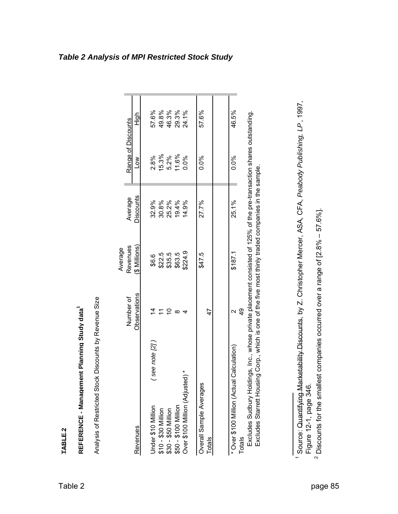|                                           |              | Average          |                  |                                                                   |       |
|-------------------------------------------|--------------|------------------|------------------|-------------------------------------------------------------------|-------|
|                                           | Number of    | Revenues         | Average          | Range of Discounts                                                |       |
| Revenues                                  | Observations | (\$ Millions)    | <b>Discounts</b> | Š                                                                 | High  |
| (22)<br>Under \$10 Million                |              | \$6.6            | 32.9%            | 2.8%                                                              | 57.6% |
| \$10 - \$30 Million                       |              |                  | 30.8%            |                                                                   | 49.8% |
| \$30 - \$50 Million                       |              | \$22.5<br>\$35.5 | 25.2%            | $\begin{array}{l} 15.3\% \\ 5.2\% \\ 11.6\% \\ 0.0\% \end{array}$ | 46.3% |
| \$50 - \$100 Million                      | ∞            | \$63.5           | 19.4%            |                                                                   | 29.3% |
| Over \$100 Million (Adjusted) *           |              | \$224.9          | 14.9%            |                                                                   | 24.1% |
| Overall Sample Averages                   |              | \$47.5           | 27.7%            | 0.0%                                                              | 57.6% |
| Totals                                    | 47           |                  |                  |                                                                   |       |
| * Over \$100 Million (Actual Calculation) |              | \$187.1          | 25.1%            | 0.0%                                                              | 46.5% |
| Totals                                    | q9           |                  |                  |                                                                   |       |

Excludes Sudbury Holdings, Inc., whose private placement consisted of 125% of the pre-transaction shares outstanding.<br>Excludes Starrett Housing Corp., which is one of the five most thinly traded companies in the sample. Excludes Sudbury Holdings, Inc., whose private placement consisted of 125% of the pre-transaction shares outstanding. Excludes Starrett Housing Corp., which is one of the five most thinly traded companies in the sample.

#### *Table 2 Analysis of MPI Restricted Stock Study*

**TABLE 2 REFERENCE - Mana**

**gement Plannin**

Analysis of Restricted Stock Discounts by Revenue Size

Analysis of Restricted Stock Discounts by Revenue Size

**g Stud**

**y data1**

Source: Quantifying Marketability Discounts, by Z. Christopher Mercer, ASA, CFA, *Peabody Publishing, LP*, 1997, Source: Quantifying Marketability Discounts, by Z. Christopher Mercer, ASA, CFA, Peabody Publishing, LP, 1997, p a ge 346. gure 12-1, iT  $\bar{}$ 

 $\mathbf{\Omega}$ Discounts for the smallest com panies occurred over a ran ge of [2.8% – 57.6%].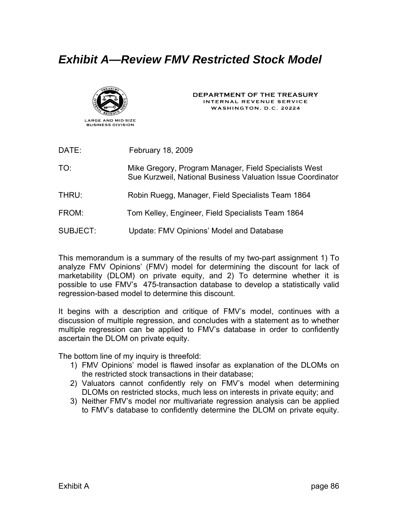# *Exhibit A—Review FMV Restricted Stock Model*



DEPARTMENT OF THE TREASURY INTERNAL REVENUE SERVICE WASHINGTON, D.C. 20224

| DATE:           | February 18, 2009                                                                                                    |
|-----------------|----------------------------------------------------------------------------------------------------------------------|
| TO:             | Mike Gregory, Program Manager, Field Specialists West<br>Sue Kurzweil, National Business Valuation Issue Coordinator |
| THRU:           | Robin Ruegg, Manager, Field Specialists Team 1864                                                                    |
| FROM:           | Tom Kelley, Engineer, Field Specialists Team 1864                                                                    |
| <b>SUBJECT:</b> | Update: FMV Opinions' Model and Database                                                                             |

This memorandum is a summary of the results of my two-part assignment 1) To analyze FMV Opinions' (FMV) model for determining the discount for lack of marketability (DLOM) on private equity, and 2) To determine whether it is possible to use FMV's 475-transaction database to develop a statistically valid regression-based model to determine this discount.

It begins with a description and critique of FMV's model, continues with a discussion of multiple regression, and concludes with a statement as to whether multiple regression can be applied to FMV's database in order to confidently ascertain the DLOM on private equity.

The bottom line of my inquiry is threefold:

- 1) FMV Opinions' model is flawed insofar as explanation of the DLOMs on the restricted stock transactions in their database;
- 2) Valuators cannot confidently rely on FMV's model when determining DLOMs on restricted stocks, much less on interests in private equity; and
- 3) Neither FMV's model nor multivariate regression analysis can be applied to FMV's database to confidently determine the DLOM on private equity.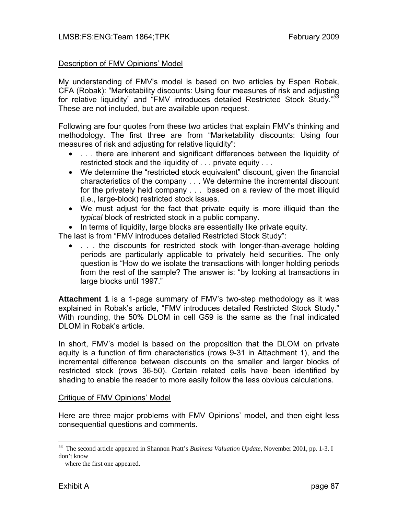#### Description of FMV Opinions' Model

My understanding of FMV's model is based on two articles by Espen Robak, CFA (Robak): "Marketability discounts: Using four measures of risk and adjusting for relative liquidity" and "FMV introduces detailed Restricted Stock Study."<sup>53</sup> These are not included, but are available upon request.

Following are four quotes from these two articles that explain FMV's thinking and methodology. The first three are from "Marketability discounts: Using four measures of risk and adjusting for relative liquidity":

- . . . there are inherent and significant differences between the liquidity of restricted stock and the liquidity of . . . private equity . . .
- We determine the "restricted stock equivalent" discount, given the financial characteristics of the company . . . We determine the incremental discount for the privately held company . . . based on a review of the most illiquid (i.e., large-block) restricted stock issues.
- We must adjust for the fact that private equity is more illiquid than the *typical* block of restricted stock in a public company.
- In terms of liquidity, large blocks are essentially like private equity.

The last is from "FMV introduces detailed Restricted Stock Study":

• . . . the discounts for restricted stock with longer-than-average holding periods are particularly applicable to privately held securities. The only question is "How do we isolate the transactions with longer holding periods from the rest of the sample? The answer is: "by looking at transactions in large blocks until 1997."

**Attachment 1** is a 1-page summary of FMV's two-step methodology as it was explained in Robak's article, "FMV introduces detailed Restricted Stock Study." With rounding, the 50% DLOM in cell G59 is the same as the final indicated DLOM in Robak's article.

In short, FMV's model is based on the proposition that the DLOM on private equity is a function of firm characteristics (rows 9-31 in Attachment 1), and the incremental difference between discounts on the smaller and larger blocks of restricted stock (rows 36-50). Certain related cells have been identified by shading to enable the reader to more easily follow the less obvious calculations.

#### Critique of FMV Opinions' Model

Here are three major problems with FMV Opinions' model, and then eight less consequential questions and comments.

<sup>53</sup> The second article appeared in Shannon Pratt's *Business Valuation Update*, November 2001, pp. 1-3. I don't know

where the first one appeared.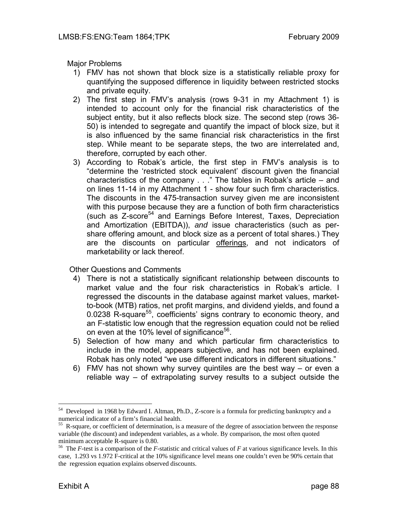Major Problems

- 1) FMV has not shown that block size is a statistically reliable proxy for quantifying the supposed difference in liquidity between restricted stocks and private equity.
- 2) The first step in FMV's analysis (rows 9-31 in my Attachment 1) is intended to account only for the financial risk characteristics of the subject entity, but it also reflects block size. The second step (rows 36- 50) is intended to segregate and quantify the impact of block size, but it is also influenced by the same financial risk characteristics in the first step. While meant to be separate steps, the two are interrelated and, therefore, corrupted by each other.
- 3) According to Robak's article, the first step in FMV's analysis is to "determine the 'restricted stock equivalent' discount given the financial characteristics of the company . . ." The tables in Robak's article – and on lines 11-14 in my Attachment 1 - show four such firm characteristics. The discounts in the 475-transaction survey given me are inconsistent with this purpose because they are a function of both firm characteristics (such as Z-score54 and Earnings Before Interest, Taxes, Depreciation and Amortization (EBITDA)), *and* issue characteristics (such as pershare offering amount, and block size as a percent of total shares.) They are the discounts on particular offerings, and not indicators of marketability or lack thereof.

Other Questions and Comments

- 4) There is not a statistically significant relationship between discounts to market value and the four risk characteristics in Robak's article. I regressed the discounts in the database against market values, marketto-book (MTB) ratios, net profit margins, and dividend yields, and found a 0.0238 R-square<sup>55</sup>, coefficients' signs contrary to economic theory, and an F-statistic low enough that the regression equation could not be relied on even at the 10% level of significance<sup>56</sup>.
- 5) Selection of how many and which particular firm characteristics to include in the model, appears subjective, and has not been explained. Robak has only noted "we use different indicators in different situations."
- 6) FMV has not shown why survey quintiles are the best way or even a reliable way – of extrapolating survey results to a subject outside the

<sup>&</sup>lt;sup>54</sup> Developed in 1968 by Edward I. Altman, Ph.D., Z-score is a formula for predicting bankruptcy and a numerical indicator of a firm's financial health.

<sup>&</sup>lt;sup>55</sup> R-square, or coefficient of determination, is a measure of the degree of association between the response variable (the discount) and independent variables, as a whole. By comparison, the most often quoted minimum acceptable R-square is 0.80.

<sup>56</sup> The *F*-test is a comparison of the *F*-statistic and critical values of *F* at various significance levels. In this case, 1.293 vs 1.972 F-critical at the 10% significance level means one couldn't even be 90% certain that the regression equation explains observed discounts.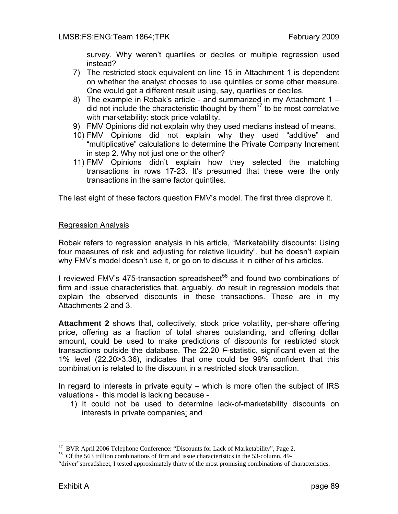survey. Why weren't quartiles or deciles or multiple regression used instead?

- 7) The restricted stock equivalent on line 15 in Attachment 1 is dependent on whether the analyst chooses to use quintiles or some other measure. One would get a different result using, say, quartiles or deciles.
- 8) The example in Robak's article and summarized in my Attachment 1 did not include the characteristic thought by them<sup>57</sup> to be most correlative with marketability: stock price volatility.
- 9) FMV Opinions did not explain why they used medians instead of means.
- 10) FMV Opinions did not explain why they used "additive" and "multiplicative" calculations to determine the Private Company Increment in step 2. Why not just one or the other?
- 11) FMV Opinions didn't explain how they selected the matching transactions in rows 17-23. It's presumed that these were the only transactions in the same factor quintiles.

The last eight of these factors question FMV's model. The first three disprove it.

#### Regression Analysis

Robak refers to regression analysis in his article, "Marketability discounts: Using four measures of risk and adjusting for relative liquidity", but he doesn't explain why FMV's model doesn't use it, or go on to discuss it in either of his articles.

I reviewed FMV's 475-transaction spreadsheet<sup>58</sup> and found two combinations of firm and issue characteristics that, arguably, *do* result in regression models that explain the observed discounts in these transactions. These are in my Attachments 2 and 3.

**Attachment 2** shows that, collectively, stock price volatility, per-share offering price, offering as a fraction of total shares outstanding, and offering dollar amount, could be used to make predictions of discounts for restricted stock transactions outside the database. The 22.20 *F*-statistic, significant even at the 1% level (22.20>3.36), indicates that one could be 99% confident that this combination is related to the discount in a restricted stock transaction.

In regard to interests in private equity – which is more often the subject of IRS valuations - this model is lacking because -

1) It could not be used to determine lack-of-marketability discounts on interests in private companies; and

<sup>&</sup>lt;sup>57</sup> BVR April 2006 Telephone Conference: "Discounts for Lack of Marketability", Page 2.<br><sup>58</sup> Of the 563 trillion combinations of firm and issue characteristics in the 53-column, 49-

<sup>&</sup>quot;driver"spreadsheet, I tested approximately thirty of the most promising combinations of characteristics.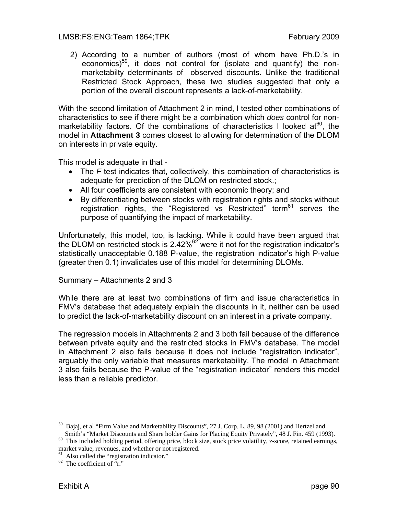#### LMSB:FS:ENG:Team 1864;TPK February 2009

2) According to a number of authors (most of whom have Ph.D.'s in economics)<sup>59</sup>, it does not control for (isolate and quantify) the nonmarketabilty determinants of observed discounts. Unlike the traditional Restricted Stock Approach, these two studies suggested that only a portion of the overall discount represents a lack-of-marketability.

With the second limitation of Attachment 2 in mind, I tested other combinations of characteristics to see if there might be a combination which *does* control for nonmarketability factors. Of the combinations of characteristics I looked at  $60$ , the model in **Attachment 3** comes closest to allowing for determination of the DLOM on interests in private equity.

This model is adequate in that -

- The *F* test indicates that, collectively, this combination of characteristics is adequate for prediction of the DLOM on restricted stock.;
- All four coefficients are consistent with economic theory; and
- By differentiating between stocks with registration rights and stocks without registration rights, the "Registered vs Restricted" term<sup>61</sup> serves the purpose of quantifying the impact of marketability.

Unfortunately, this model, too, is lacking. While it could have been argued that the DLOM on restricted stock is 2.42%62 were it not for the registration indicator's statistically unacceptable 0.188 P-value, the registration indicator's high P-value (greater then 0.1) invalidates use of this model for determining DLOMs.

#### Summary – Attachments 2 and 3

While there are at least two combinations of firm and issue characteristics in FMV's database that adequately explain the discounts in it, neither can be used to predict the lack-of-marketability discount on an interest in a private company.

The regression models in Attachments 2 and 3 both fail because of the difference between private equity and the restricted stocks in FMV's database. The model in Attachment 2 also fails because it does not include "registration indicator", arguably the only variable that measures marketability. The model in Attachment 3 also fails because the P-value of the "registration indicator" renders this model less than a reliable predictor.

 $\overline{a}$ <sup>59</sup> Bajaj, et al "Firm Value and Marketability Discounts", 27 J. Corp. L. 89, 98 (2001) and Hertzel and Smith's "Market Discounts and Share holder Gains for Placing Equity Privately", 48 J. Fin. 459 (1993).

<sup>&</sup>lt;sup>60</sup> This included holding period, offering price, block size, stock price volatility, z-score, retained earnings, market value, revenues, and whether or not registered.

 $<sup>61</sup>$  Also called the "registration indicator."</sup>

 $62$  The coefficient of "r."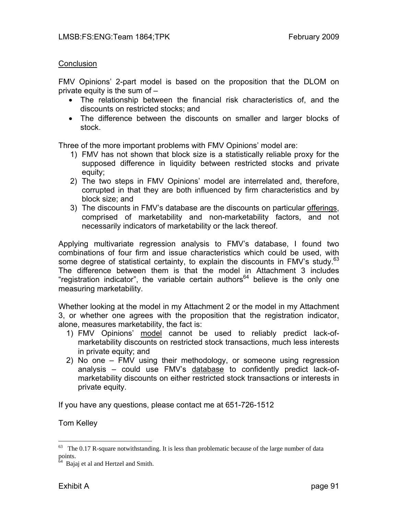#### **Conclusion**

FMV Opinions' 2-part model is based on the proposition that the DLOM on private equity is the sum of –

- The relationship between the financial risk characteristics of, and the discounts on restricted stocks; and
- The difference between the discounts on smaller and larger blocks of stock.

Three of the more important problems with FMV Opinions' model are:

- 1) FMV has not shown that block size is a statistically reliable proxy for the supposed difference in liquidity between restricted stocks and private equity;
- 2) The two steps in FMV Opinions' model are interrelated and, therefore, corrupted in that they are both influenced by firm characteristics and by block size; and
- 3) The discounts in FMV's database are the discounts on particular offerings, comprised of marketability and non-marketability factors, and not necessarily indicators of marketability or the lack thereof.

Applying multivariate regression analysis to FMV's database, I found two combinations of four firm and issue characteristics which could be used, with some degree of statistical certainty, to explain the discounts in FMV's study. $63$ The difference between them is that the model in Attachment 3 includes "registration indicator", the variable certain authors<sup>64</sup> believe is the only one measuring marketability.

Whether looking at the model in my Attachment 2 or the model in my Attachment 3, or whether one agrees with the proposition that the registration indicator, alone, measures marketability, the fact is:

- 1) FMV Opinions' model cannot be used to reliably predict lack-ofmarketability discounts on restricted stock transactions, much less interests in private equity; and
- 2) No one FMV using their methodology, or someone using regression analysis – could use FMV's database to confidently predict lack-ofmarketability discounts on either restricted stock transactions or interests in private equity.

If you have any questions, please contact me at 651-726-1512

Tom Kelley

 $63$  The 0.17 R-square notwithstanding. It is less than problematic because of the large number of data points.

Bajaj et al and Hertzel and Smith.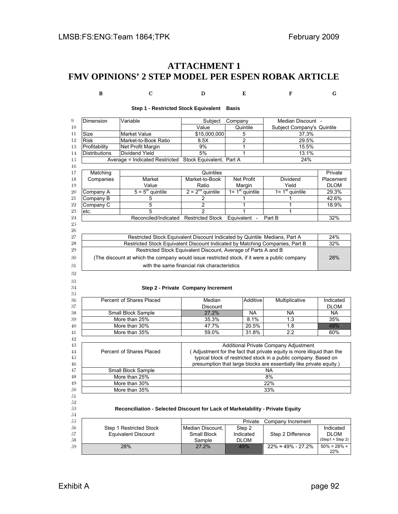## **ATTACHMENT 1 FMV OPINIONS' 2 STEP MODEL PER ESPEN ROBAK ARTICLE**

B C D E F G

| Dimension                                    | Variable                                                                                     | Subject                                                                      | Company                  | Median Discount -                                                                |                                                           |
|----------------------------------------------|----------------------------------------------------------------------------------------------|------------------------------------------------------------------------------|--------------------------|----------------------------------------------------------------------------------|-----------------------------------------------------------|
|                                              |                                                                                              |                                                                              | Quintile                 | Subject Company's Quintile                                                       |                                                           |
|                                              |                                                                                              | Value                                                                        |                          |                                                                                  |                                                           |
| Size                                         | <b>Market Value</b>                                                                          | \$15,000,000                                                                 | 5                        | 37.3%                                                                            |                                                           |
| Risk                                         | Market-to-Book Ratio                                                                         | 8.5X                                                                         | 2                        | 29.5%                                                                            |                                                           |
| Profitability                                | Net Profit Margin                                                                            | 9%                                                                           | 1                        | 15.5%                                                                            |                                                           |
| <b>Distributions</b>                         | Dividend Yield                                                                               | 5%                                                                           | 1                        | 13.1%                                                                            |                                                           |
|                                              | Average = Indicated Restricted                                                               | Stock Equivalent, Part A                                                     |                          | 24%                                                                              |                                                           |
| Matching                                     |                                                                                              | Quintiles                                                                    |                          |                                                                                  | Private                                                   |
| Companies                                    | Market                                                                                       | Market-to-Book                                                               | <b>Net Profit</b>        | Dividend                                                                         | Placement                                                 |
|                                              | Value                                                                                        | Ratio                                                                        | Margin                   | Yield                                                                            | <b>DLOM</b>                                               |
| Company A                                    | $5 = 5th$ quintile                                                                           | $2 = 2^{nd}$ quintile                                                        | $1 = 1st$ quintile       | $1 = 1st$ quintile                                                               | 29.3%                                                     |
| Company B                                    | 5                                                                                            | $\overline{2}$                                                               | 1                        | 1                                                                                | 42.6%                                                     |
| Company C                                    | 5                                                                                            | $\overline{2}$                                                               | 1                        | 1                                                                                | 18.9%                                                     |
| etc.                                         | 5                                                                                            | $\overline{2}$                                                               | 1                        | 1                                                                                |                                                           |
|                                              | Reconciled/Indicated                                                                         | <b>Restricted Stock</b>                                                      |                          | Part B                                                                           | 32%                                                       |
|                                              |                                                                                              |                                                                              | Equivalent               |                                                                                  |                                                           |
|                                              |                                                                                              |                                                                              |                          |                                                                                  |                                                           |
|                                              | Restricted Stock Equivalent Discount Indicated by Quintile Medians, Part A                   |                                                                              |                          |                                                                                  | 24%                                                       |
|                                              |                                                                                              | Restricted Stock Equivalent Discount Indicated by Matching Companies, Part B |                          |                                                                                  | 32%                                                       |
|                                              |                                                                                              | Restricted Stock Equivalent Discount, Average of Parts A and B               |                          |                                                                                  |                                                           |
|                                              |                                                                                              |                                                                              |                          |                                                                                  | 28%                                                       |
|                                              | (The discount at which the company would issue restricted stock, if it were a public company |                                                                              |                          |                                                                                  |                                                           |
| with the same financial risk characteristics |                                                                                              |                                                                              |                          |                                                                                  |                                                           |
|                                              |                                                                                              | Step 2 - Private Company Increment                                           |                          |                                                                                  |                                                           |
|                                              | Percent of Shares Placed                                                                     | Median                                                                       | Additive                 | Multiplicative                                                                   |                                                           |
|                                              |                                                                                              | Discount                                                                     |                          |                                                                                  | <b>DLOM</b>                                               |
|                                              | Small Block Sample                                                                           | 27.2%                                                                        | <b>NA</b>                | <b>NA</b>                                                                        | <b>NA</b>                                                 |
|                                              | More than 25%                                                                                | 35.3%                                                                        | 8.1%                     | 1.3                                                                              | 35%                                                       |
|                                              |                                                                                              | 47.7%                                                                        | 20.5%                    | 1.8                                                                              |                                                           |
|                                              | More than 30%                                                                                | 59.0%                                                                        |                          |                                                                                  | 49%<br>60%                                                |
|                                              | More than 35%                                                                                |                                                                              | 31.8%                    | 2.2                                                                              |                                                           |
|                                              |                                                                                              |                                                                              |                          | Additional Private Company Adjustment                                            |                                                           |
|                                              | Percent of Shares Placed                                                                     |                                                                              |                          | (Adjustment for the fact that private equity is more illiquid than the           |                                                           |
|                                              |                                                                                              |                                                                              |                          | typical block of restricted stock in a public company. Based on                  |                                                           |
|                                              |                                                                                              |                                                                              |                          |                                                                                  |                                                           |
|                                              |                                                                                              |                                                                              |                          | presumption that large blocks are essentially like private equity.)<br><b>NA</b> |                                                           |
|                                              | Small Block Sample<br>More than 25%                                                          |                                                                              |                          |                                                                                  |                                                           |
|                                              |                                                                                              |                                                                              |                          | 8%                                                                               |                                                           |
|                                              | More than 30%                                                                                |                                                                              |                          | 22%                                                                              |                                                           |
|                                              | More than 35%                                                                                |                                                                              |                          | 33%                                                                              |                                                           |
|                                              |                                                                                              |                                                                              |                          |                                                                                  |                                                           |
|                                              |                                                                                              |                                                                              |                          |                                                                                  |                                                           |
|                                              | Reconciliation - Selected Discount for Lack of Marketability - Private Equity                |                                                                              |                          |                                                                                  |                                                           |
|                                              |                                                                                              |                                                                              | Private                  | Company Increment                                                                |                                                           |
|                                              | Step 1 Restricted Stock                                                                      |                                                                              |                          |                                                                                  |                                                           |
|                                              |                                                                                              | Median Discount,                                                             | Step 2                   |                                                                                  |                                                           |
|                                              | <b>Equivalent Discount</b>                                                                   | Small Block<br>Sample                                                        | Indicated<br><b>DLOM</b> | Step 2 Difference                                                                | Indicated<br>Indicated<br><b>DLOM</b><br>(Step1 + Step 2) |

#### **Step 1 - Restricted Stock Equivalent Basis**

 $22%$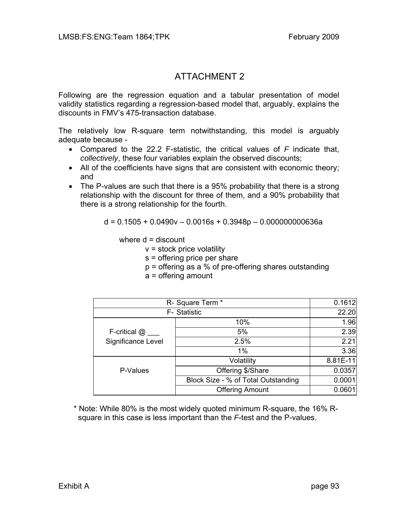# ATTACHMENT 2

Following are the regression equation and a tabular presentation of model validity statistics regarding a regression-based model that, arguably, explains the discounts in FMV's 475-transaction database.

The relatively low R-square term notwithstanding, this model is arguably adequate because -

- Compared to the 22.2 F-statistic, the critical values of *F* indicate that, *collectively*, these four variables explain the observed discounts;
- All of the coefficients have signs that are consistent with economic theory; and
- The P-values are such that there is a 95% probability that there is a strong relationship with the discount for three of them, and a 90% probability that there is a strong relationship for the fourth.

 $d = 0.1505 + 0.0490v - 0.0016s + 0.3948p - 0.000000000636a$ 

where  $d =$  discount

 $v =$  stock price volatility

- s = offering price per share
- p = offering as a % of pre-offering shares outstanding
- a = offering amount

|                    | R- Square Term *                    |          |  |  |  |
|--------------------|-------------------------------------|----------|--|--|--|
|                    | F- Statistic                        |          |  |  |  |
|                    | 10%                                 | 1.96     |  |  |  |
| F-critical @       | 5%                                  | 2.39     |  |  |  |
| Significance Level | 2.5%                                | 2.21     |  |  |  |
|                    | 1%                                  | 3.36     |  |  |  |
|                    | Volatility                          | 8.81E-11 |  |  |  |
| P-Values           | Offering \$/Share                   | 0.0357   |  |  |  |
|                    | Block Size - % of Total Outstanding | 0.0001   |  |  |  |
|                    | <b>Offering Amount</b>              | 0.0601   |  |  |  |

 \* Note: While 80% is the most widely quoted minimum R-square, the 16% R square in this case is less important than the *F*-test and the P-values.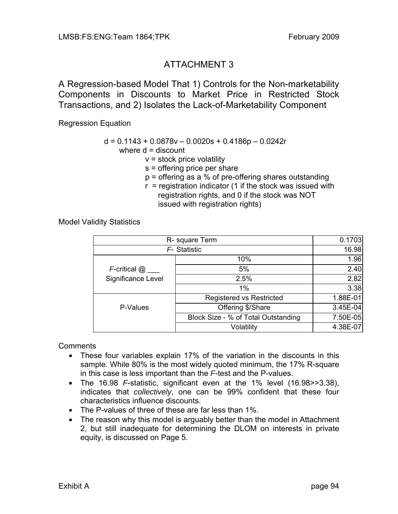# ATTACHMENT 3

A Regression-based Model That 1) Controls for the Non-marketability Components in Discounts to Market Price in Restricted Stock Transactions, and 2) Isolates the Lack-of-Marketability Component

Regression Equation

## $d = 0.1143 + 0.0878v - 0.0020s + 0.4186p - 0.0242r$

where  $d =$  discount

- $v =$  stock price volatility
- s = offering price per share
- p = offering as a % of pre-offering shares outstanding
- $r =$  registration indicator (1 if the stock was issued with registration rights, and 0 if the stock was NOT issued with registration rights)

Model Validity Statistics

|                       | R- square Term                      |          |  |  |  |
|-----------------------|-------------------------------------|----------|--|--|--|
| F-Statistic           | 16.98                               |          |  |  |  |
|                       | 10%                                 | 1.96     |  |  |  |
| $F$ -critical $@$ ___ | 5%                                  | 2.40     |  |  |  |
| Significance Level    | 2.5%                                | 2.82     |  |  |  |
|                       | 1%                                  | 3.38     |  |  |  |
|                       | <b>Registered vs Restricted</b>     | 1.88E-01 |  |  |  |
| P-Values              | Offering \$/Share                   | 3.45E-04 |  |  |  |
|                       | Block Size - % of Total Outstanding | 7.50E-05 |  |  |  |
|                       | Volatility                          | 4.38E-07 |  |  |  |

**Comments** 

- These four variables explain 17% of the variation in the discounts in this sample. While 80% is the most widely quoted minimum, the 17% R-square in this case is less important than the *F*-test and the P-values.
- The 16.98 *F*-statistic, significant even at the 1% level (16.98>>3.38), indicates that *collectively*, one can be 99% confident that these four characteristics influence discounts.
- The P-values of three of these are far less than 1%.
- The reason why this model is arguably better than the model in Attachment 2, but still inadequate for determining the DLOM on interests in private equity, is discussed on Page 5.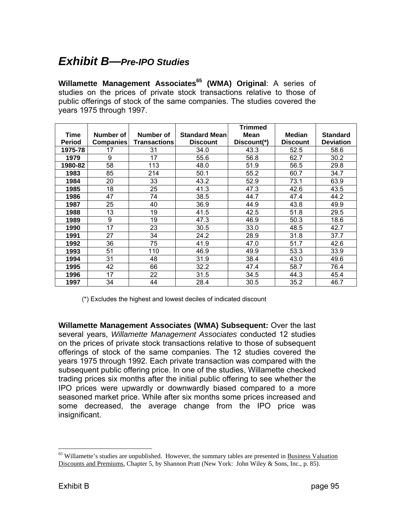# *Exhibit B—Pre-IPO Studies*

**Willamette Management Associates<sup>65</sup> (WMA) Original: A series of** studies on the prices of private stock transactions relative to those of public offerings of stock of the same companies. The studies covered the years 1975 through 1997.

|               |                  |                     |                      | <b>Trimmed</b> |                 |                  |
|---------------|------------------|---------------------|----------------------|----------------|-----------------|------------------|
| <b>Time</b>   | Number of        | Number of           | <b>Standard Mean</b> | <b>Mean</b>    | <b>Median</b>   | <b>Standard</b>  |
| <b>Period</b> | <b>Companies</b> | <b>Transactions</b> | <b>Discount</b>      | Discount(*)    | <b>Discount</b> | <b>Deviation</b> |
| 1975-78       | 17               | 31                  | 34.0                 | 43.3           | 52.5            | 58.6             |
| 1979          | 9                | 17                  | 55.6                 | 56.8           | 62.7            | 30.2             |
| 1980-82       | 58               | 113                 | 48.0                 | 51.9           | 56.5            | 29.8             |
| 1983          | 85               | 214                 | 50.1                 | 55.2           | 60.7            | 34.7             |
| 1984          | 20               | 33                  | 43.2                 | 52.9           | 73.1            | 63.9             |
| 1985          | 18               | 25                  | 41.3                 | 47.3           | 42.6            | 43.5             |
| 1986          | 47               | 74                  | 38.5                 | 44.7           | 47.4            | 44.2             |
| 1987          | 25               | 40                  | 36.9                 | 44.9           | 43.8            | 49.9             |
| 1988          | 13               | 19                  | 41.5                 | 42.5           | 51.8            | 29.5             |
| 1989          | 9                | 19                  | 47.3                 | 46.9           | 50.3            | 18.6             |
| 1990          | 17               | 23                  | 30.5                 | 33.0           | 48.5            | 42.7             |
| 1991          | 27               | 34                  | 24.2                 | 28.9           | 31.8            | 37.7             |
| 1992          | 36               | 75                  | 41.9                 | 47.0           | 51.7            | 42.6             |
| 1993          | 51               | 110                 | 46.9                 | 49.9           | 53.3            | 33.9             |
| 1994          | 31               | 48                  | 31.9                 | 38.4           | 43.0            | 49.6             |
| 1995          | 42               | 66                  | 32.2                 | 47.4           | 58.7            | 76.4             |
| 1996          | 17               | 22                  | 31.5                 | 34.5           | 44.3            | 45.4             |
| 1997          | 34               | 44                  | 28.4                 | 30.5           | 35.2            | 46.7             |

(\*) Excludes the highest and lowest deciles of indicated discount

**Willamette Management Associates (WMA) Subsequent:** Over the last several years, *Willamette Management Associates* conducted 12 studies on the prices of private stock transactions relative to those of subsequent offerings of stock of the same companies. The 12 studies covered the years 1975 through 1992. Each private transaction was compared with the subsequent public offering price. In one of the studies, Willamette checked trading prices six months after the initial public offering to see whether the IPO prices were upwardly or downwardly biased compared to a more seasoned market price. While after six months some prices increased and some decreased, the average change from the IPO price was insignificant.

<sup>&</sup>lt;sup>65</sup> Willamette's studies are unpublished. However, the summary tables are presented in **Business Valuation** Discounts and Premiums, Chapter 5, by Shannon Pratt (New York: John Wiley & Sons, Inc., p. 85).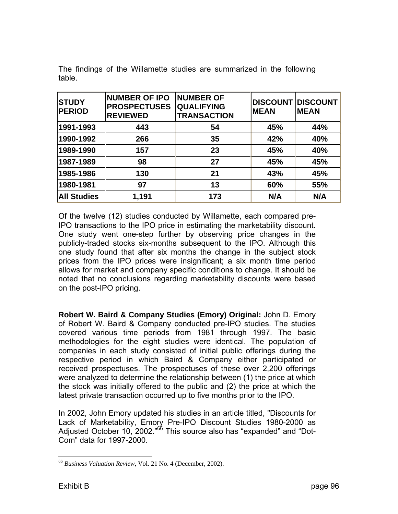| <b>STUDY</b><br><b>PERIOD</b> | <b>NUMBER OF IPO</b><br><b>PROSPECTUSES</b><br><b>REVIEWED</b> | <b>NUMBER OF</b><br><b>QUALIFYING</b><br><b>TRANSACTION</b> | <b>DISCOUNT DISCOUNT</b><br><b>MEAN</b> | <b>MEAN</b> |
|-------------------------------|----------------------------------------------------------------|-------------------------------------------------------------|-----------------------------------------|-------------|
| 1991-1993                     | 443                                                            | 54                                                          | 45%                                     | 44%         |
| 1990-1992                     | 266                                                            | 35                                                          | 42%                                     | 40%         |
| 1989-1990                     | 157                                                            | 23                                                          | 45%                                     | 40%         |
| 1987-1989                     | 98                                                             | 27                                                          | 45%                                     | 45%         |
| 1985-1986                     | 130                                                            | 21                                                          | 43%                                     | 45%         |
| 1980-1981                     | 97                                                             | 13                                                          | 60%                                     | 55%         |
| <b>All Studies</b>            | 1,191                                                          | 173                                                         | N/A                                     | N/A         |

The findings of the Willamette studies are summarized in the following table.

Of the twelve (12) studies conducted by Willamette, each compared pre-IPO transactions to the IPO price in estimating the marketability discount. One study went one-step further by observing price changes in the publicly-traded stocks six-months subsequent to the IPO. Although this one study found that after six months the change in the subject stock prices from the IPO prices were insignificant; a six month time period allows for market and company specific conditions to change. It should be noted that no conclusions regarding marketability discounts were based on the post-IPO pricing.

**Robert W. Baird & Company Studies (Emory) Original:** John D. Emory of Robert W. Baird & Company conducted pre-IPO studies. The studies covered various time periods from 1981 through 1997. The basic methodologies for the eight studies were identical. The population of companies in each study consisted of initial public offerings during the respective period in which Baird & Company either participated or received prospectuses. The prospectuses of these over 2,200 offerings were analyzed to determine the relationship between (1) the price at which the stock was initially offered to the public and (2) the price at which the latest private transaction occurred up to five months prior to the IPO.

In 2002, John Emory updated his studies in an article titled, "Discounts for Lack of Marketability, Emory Pre-IPO Discount Studies 1980-2000 as Adjusted October 10, 2002.<sup>"66</sup> This source also has "expanded" and "Dot-Com" data for 1997-2000.

<sup>66</sup> *Business Valuation Review*, Vol. 21 No. 4 (December, 2002).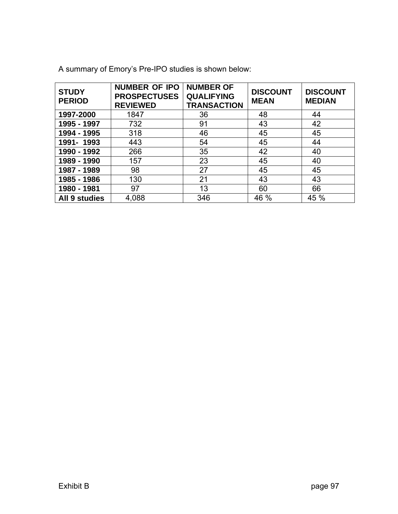| <b>STUDY</b><br><b>PERIOD</b> | <b>NUMBER OF IPO</b><br><b>PROSPECTUSES</b><br><b>REVIEWED</b> | <b>NUMBER OF</b><br><b>QUALIFYING</b><br><b>TRANSACTION</b> | <b>DISCOUNT</b><br><b>MEAN</b> | <b>DISCOUNT</b><br><b>MEDIAN</b> |
|-------------------------------|----------------------------------------------------------------|-------------------------------------------------------------|--------------------------------|----------------------------------|
| 1997-2000                     | 1847                                                           | 36                                                          | 48                             | 44                               |
| 1995 - 1997                   | 732                                                            | 91                                                          | 43                             | 42                               |
| 1994 - 1995                   | 318                                                            | 46                                                          | 45                             | 45                               |
| 1991-1993                     | 443                                                            | 54                                                          | 45                             | 44                               |
| 1990 - 1992                   | 266                                                            | 35                                                          | 42                             | 40                               |
| 1989 - 1990                   | 157                                                            | 23                                                          | 45                             | 40                               |
| 1987 - 1989                   | 98                                                             | 27                                                          | 45                             | 45                               |
| 1985 - 1986                   | 130                                                            | 21                                                          | 43                             | 43                               |
| 1980 - 1981                   | 97                                                             | 13                                                          | 60                             | 66                               |
| All 9 studies                 | 4,088                                                          | 346                                                         | 46 %                           | 45 %                             |

A summary of Emory's Pre-IPO studies is shown below: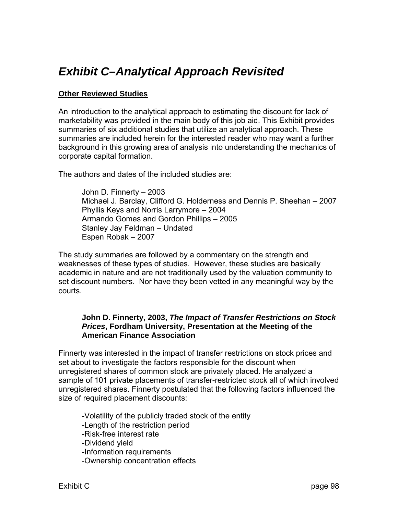# *Exhibit C–Analytical Approach Revisited*

#### **Other Reviewed Studies**

An introduction to the analytical approach to estimating the discount for lack of marketability was provided in the main body of this job aid. This Exhibit provides summaries of six additional studies that utilize an analytical approach. These summaries are included herein for the interested reader who may want a further background in this growing area of analysis into understanding the mechanics of corporate capital formation.

The authors and dates of the included studies are:

 John D. Finnerty – 2003 Michael J. Barclay, Clifford G. Holderness and Dennis P. Sheehan – 2007 Phyllis Keys and Norris Larrymore – 2004 Armando Gomes and Gordon Phillips – 2005 Stanley Jay Feldman – Undated Espen Robak – 2007

The study summaries are followed by a commentary on the strength and weaknesses of these types of studies. However, these studies are basically academic in nature and are not traditionally used by the valuation community to set discount numbers. Nor have they been vetted in any meaningful way by the courts.

#### **John D. Finnerty, 2003,** *The Impact of Transfer Restrictions on Stock Prices***, Fordham University, Presentation at the Meeting of the American Finance Association**

Finnerty was interested in the impact of transfer restrictions on stock prices and set about to investigate the factors responsible for the discount when unregistered shares of common stock are privately placed. He analyzed a sample of 101 private placements of transfer-restricted stock all of which involved unregistered shares. Finnerty postulated that the following factors influenced the size of required placement discounts:

 -Volatility of the publicly traded stock of the entity -Length of the restriction period -Risk-free interest rate -Dividend yield -Information requirements -Ownership concentration effects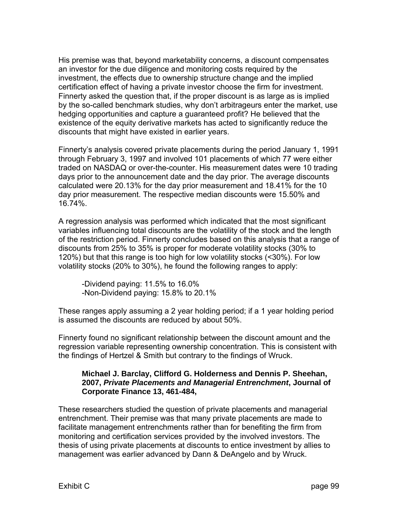His premise was that, beyond marketability concerns, a discount compensates an investor for the due diligence and monitoring costs required by the investment, the effects due to ownership structure change and the implied certification effect of having a private investor choose the firm for investment. Finnerty asked the question that, if the proper discount is as large as is implied by the so-called benchmark studies, why don't arbitrageurs enter the market, use hedging opportunities and capture a guaranteed profit? He believed that the existence of the equity derivative markets has acted to significantly reduce the discounts that might have existed in earlier years.

Finnerty's analysis covered private placements during the period January 1, 1991 through February 3, 1997 and involved 101 placements of which 77 were either traded on NASDAQ or over-the-counter. His measurement dates were 10 trading days prior to the announcement date and the day prior. The average discounts calculated were 20.13% for the day prior measurement and 18.41% for the 10 day prior measurement. The respective median discounts were 15.50% and 16.74%.

A regression analysis was performed which indicated that the most significant variables influencing total discounts are the volatility of the stock and the length of the restriction period. Finnerty concludes based on this analysis that a range of discounts from 25% to 35% is proper for moderate volatility stocks (30% to 120%) but that this range is too high for low volatility stocks (<30%). For low volatility stocks (20% to 30%), he found the following ranges to apply:

 -Dividend paying: 11.5% to 16.0% -Non-Dividend paying: 15.8% to 20.1%

These ranges apply assuming a 2 year holding period; if a 1 year holding period is assumed the discounts are reduced by about 50%.

Finnerty found no significant relationship between the discount amount and the regression variable representing ownership concentration. This is consistent with the findings of Hertzel & Smith but contrary to the findings of Wruck.

#### **Michael J. Barclay, Clifford G. Holderness and Dennis P. Sheehan, 2007,** *Private Placements and Managerial Entrenchment***, Journal of Corporate Finance 13, 461-484,**

These researchers studied the question of private placements and managerial entrenchment. Their premise was that many private placements are made to facilitate management entrenchments rather than for benefiting the firm from monitoring and certification services provided by the involved investors. The thesis of using private placements at discounts to entice investment by allies to management was earlier advanced by Dann & DeAngelo and by Wruck.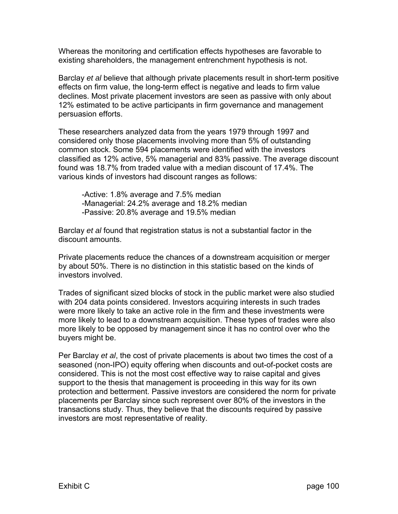Whereas the monitoring and certification effects hypotheses are favorable to existing shareholders, the management entrenchment hypothesis is not.

Barclay *et al* believe that although private placements result in short-term positive effects on firm value, the long-term effect is negative and leads to firm value declines. Most private placement investors are seen as passive with only about 12% estimated to be active participants in firm governance and management persuasion efforts.

These researchers analyzed data from the years 1979 through 1997 and considered only those placements involving more than 5% of outstanding common stock. Some 594 placements were identified with the investors classified as 12% active, 5% managerial and 83% passive. The average discount found was 18.7% from traded value with a median discount of 17.4%. The various kinds of investors had discount ranges as follows:

 -Active: 1.8% average and 7.5% median -Managerial: 24.2% average and 18.2% median -Passive: 20.8% average and 19.5% median

Barclay *et al* found that registration status is not a substantial factor in the discount amounts.

Private placements reduce the chances of a downstream acquisition or merger by about 50%. There is no distinction in this statistic based on the kinds of investors involved.

Trades of significant sized blocks of stock in the public market were also studied with 204 data points considered. Investors acquiring interests in such trades were more likely to take an active role in the firm and these investments were more likely to lead to a downstream acquisition. These types of trades were also more likely to be opposed by management since it has no control over who the buyers might be.

Per Barclay *et al*, the cost of private placements is about two times the cost of a seasoned (non-IPO) equity offering when discounts and out-of-pocket costs are considered. This is not the most cost effective way to raise capital and gives support to the thesis that management is proceeding in this way for its own protection and betterment. Passive investors are considered the norm for private placements per Barclay since such represent over 80% of the investors in the transactions study. Thus, they believe that the discounts required by passive investors are most representative of reality.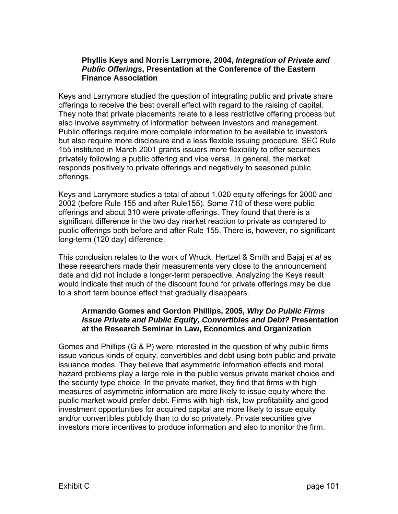#### **Phyllis Keys and Norris Larrymore, 2004,** *Integration of Private and Public Offerings***, Presentation at the Conference of the Eastern Finance Association**

Keys and Larrymore studied the question of integrating public and private share offerings to receive the best overall effect with regard to the raising of capital. They note that private placements relate to a less restrictive offering process but also involve asymmetry of information between investors and management. Public offerings require more complete information to be available to investors but also require more disclosure and a less flexible issuing procedure. SEC Rule 155 instituted in March 2001 grants issuers more flexibility to offer securities privately following a public offering and vice versa. In general, the market responds positively to private offerings and negatively to seasoned public offerings.

Keys and Larrymore studies a total of about 1,020 equity offerings for 2000 and 2002 (before Rule 155 and after Rule155). Some 710 of these were public offerings and about 310 were private offerings. They found that there is a significant difference in the two day market reaction to private as compared to public offerings both before and after Rule 155. There is, however, no significant long-term (120 day) difference.

This conclusion relates to the work of Wruck, Hertzel & Smith and Bajaj *et al* as these researchers made their measurements very close to the announcement date and did not include a longer-term perspective. Analyzing the Keys result would indicate that much of the discount found for private offerings may be due to a short term bounce effect that gradually disappears.

#### **Armando Gomes and Gordon Phillips, 2005,** *Why Do Public Firms Issue Private and Public Equity, Convertibles and Debt?* **Presentation at the Research Seminar in Law, Economics and Organization**

Gomes and Phillips (G & P) were interested in the question of why public firms issue various kinds of equity, convertibles and debt using both public and private issuance modes. They believe that asymmetric information effects and moral hazard problems play a large role in the public versus private market choice and the security type choice. In the private market, they find that firms with high measures of asymmetric information are more likely to issue equity where the public market would prefer debt. Firms with high risk, low profitability and good investment opportunities for acquired capital are more likely to issue equity and/or convertibles publicly than to do so privately. Private securities give investors more incentives to produce information and also to monitor the firm.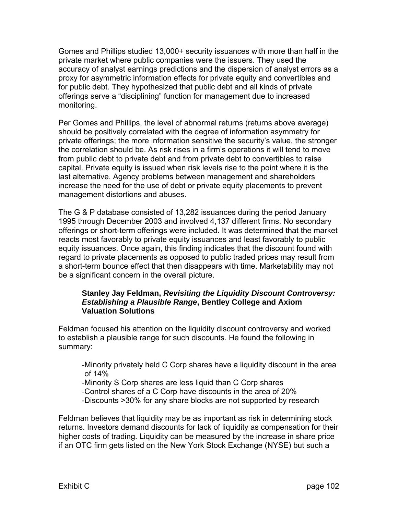Gomes and Phillips studied 13,000+ security issuances with more than half in the private market where public companies were the issuers. They used the accuracy of analyst earnings predictions and the dispersion of analyst errors as a proxy for asymmetric information effects for private equity and convertibles and for public debt. They hypothesized that public debt and all kinds of private offerings serve a "disciplining" function for management due to increased monitoring.

Per Gomes and Phillips, the level of abnormal returns (returns above average) should be positively correlated with the degree of information asymmetry for private offerings; the more information sensitive the security's value, the stronger the correlation should be. As risk rises in a firm's operations it will tend to move from public debt to private debt and from private debt to convertibles to raise capital. Private equity is issued when risk levels rise to the point where it is the last alternative. Agency problems between management and shareholders increase the need for the use of debt or private equity placements to prevent management distortions and abuses.

The G & P database consisted of 13,282 issuances during the period January 1995 through December 2003 and involved 4,137 different firms. No secondary offerings or short-term offerings were included. It was determined that the market reacts most favorably to private equity issuances and least favorably to public equity issuances. Once again, this finding indicates that the discount found with regard to private placements as opposed to public traded prices may result from a short-term bounce effect that then disappears with time. Marketability may not be a significant concern in the overall picture.

#### **Stanley Jay Feldman,** *Revisiting the Liquidity Discount Controversy: Establishing a Plausible Range***, Bentley College and Axiom Valuation Solutions**

Feldman focused his attention on the liquidity discount controversy and worked to establish a plausible range for such discounts. He found the following in summary:

 -Minority privately held C Corp shares have a liquidity discount in the area of 14%

 -Minority S Corp shares are less liquid than C Corp shares -Control shares of a C Corp have discounts in the area of 20% -Discounts >30% for any share blocks are not supported by research

Feldman believes that liquidity may be as important as risk in determining stock returns. Investors demand discounts for lack of liquidity as compensation for their higher costs of trading. Liquidity can be measured by the increase in share price if an OTC firm gets listed on the New York Stock Exchange (NYSE) but such a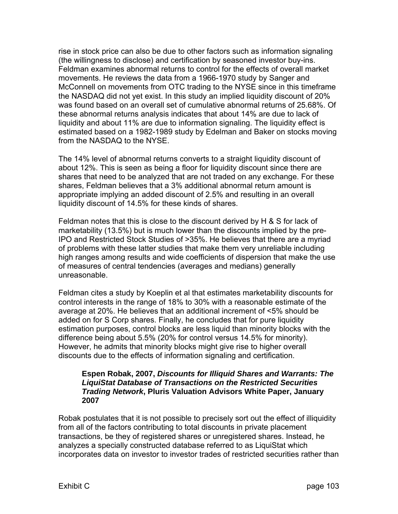rise in stock price can also be due to other factors such as information signaling (the willingness to disclose) and certification by seasoned investor buy-ins. Feldman examines abnormal returns to control for the effects of overall market movements. He reviews the data from a 1966-1970 study by Sanger and McConnell on movements from OTC trading to the NYSE since in this timeframe the NASDAQ did not yet exist. In this study an implied liquidity discount of 20% was found based on an overall set of cumulative abnormal returns of 25.68%. Of these abnormal returns analysis indicates that about 14% are due to lack of liquidity and about 11% are due to information signaling. The liquidity effect is estimated based on a 1982-1989 study by Edelman and Baker on stocks moving from the NASDAQ to the NYSE.

The 14% level of abnormal returns converts to a straight liquidity discount of about 12%. This is seen as being a floor for liquidity discount since there are shares that need to be analyzed that are not traded on any exchange. For these shares, Feldman believes that a 3% additional abnormal return amount is appropriate implying an added discount of 2.5% and resulting in an overall liquidity discount of 14.5% for these kinds of shares.

Feldman notes that this is close to the discount derived by H & S for lack of marketability (13.5%) but is much lower than the discounts implied by the pre-IPO and Restricted Stock Studies of >35%. He believes that there are a myriad of problems with these latter studies that make them very unreliable including high ranges among results and wide coefficients of dispersion that make the use of measures of central tendencies (averages and medians) generally unreasonable.

Feldman cites a study by Koeplin et al that estimates marketability discounts for control interests in the range of 18% to 30% with a reasonable estimate of the average at 20%. He believes that an additional increment of <5% should be added on for S Corp shares. Finally, he concludes that for pure liquidity estimation purposes, control blocks are less liquid than minority blocks with the difference being about 5.5% (20% for control versus 14.5% for minority). However, he admits that minority blocks might give rise to higher overall discounts due to the effects of information signaling and certification.

#### **Espen Robak, 2007,** *Discounts for Illiquid Shares and Warrants: The LiquiStat Database of Transactions on the Restricted Securities Trading Network***, Pluris Valuation Advisors White Paper, January 2007**

Robak postulates that it is not possible to precisely sort out the effect of illiquidity from all of the factors contributing to total discounts in private placement transactions, be they of registered shares or unregistered shares. Instead, he analyzes a specially constructed database referred to as LiquiStat which incorporates data on investor to investor trades of restricted securities rather than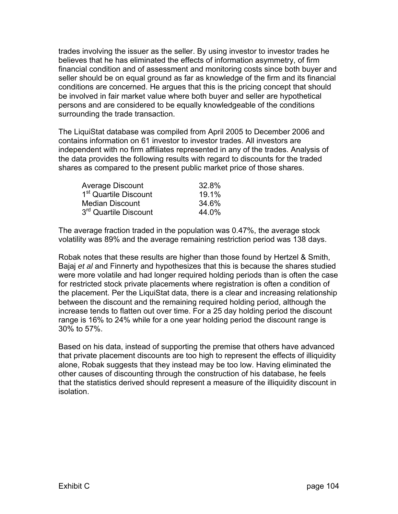trades involving the issuer as the seller. By using investor to investor trades he believes that he has eliminated the effects of information asymmetry, of firm financial condition and of assessment and monitoring costs since both buyer and seller should be on equal ground as far as knowledge of the firm and its financial conditions are concerned. He argues that this is the pricing concept that should be involved in fair market value where both buyer and seller are hypothetical persons and are considered to be equally knowledgeable of the conditions surrounding the trade transaction.

The LiquiStat database was compiled from April 2005 to December 2006 and contains information on 61 investor to investor trades. All investors are independent with no firm affiliates represented in any of the trades. Analysis of the data provides the following results with regard to discounts for the traded shares as compared to the present public market price of those shares.

| Average Discount                  | 32.8% |
|-----------------------------------|-------|
| 1 <sup>st</sup> Quartile Discount | 19.1% |
| <b>Median Discount</b>            | 34.6% |
| 3 <sup>rd</sup> Quartile Discount | 44.0% |

The average fraction traded in the population was 0.47%, the average stock volatility was 89% and the average remaining restriction period was 138 days.

Robak notes that these results are higher than those found by Hertzel & Smith, Bajaj *et al* and Finnerty and hypothesizes that this is because the shares studied were more volatile and had longer required holding periods than is often the case for restricted stock private placements where registration is often a condition of the placement. Per the LiquiStat data, there is a clear and increasing relationship between the discount and the remaining required holding period, although the increase tends to flatten out over time. For a 25 day holding period the discount range is 16% to 24% while for a one year holding period the discount range is 30% to 57%.

Based on his data, instead of supporting the premise that others have advanced that private placement discounts are too high to represent the effects of illiquidity alone, Robak suggests that they instead may be too low. Having eliminated the other causes of discounting through the construction of his database, he feels that the statistics derived should represent a measure of the illiquidity discount in isolation.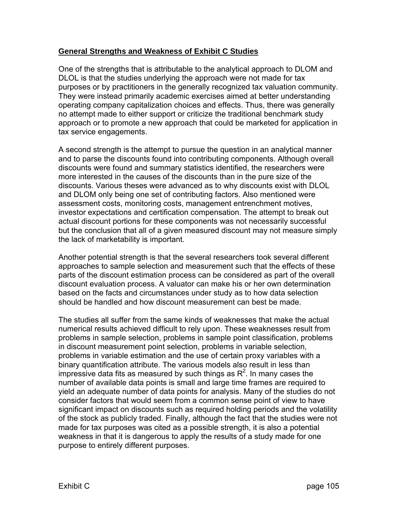## **General Strengths and Weakness of Exhibit C Studies**

One of the strengths that is attributable to the analytical approach to DLOM and DLOL is that the studies underlying the approach were not made for tax purposes or by practitioners in the generally recognized tax valuation community. They were instead primarily academic exercises aimed at better understanding operating company capitalization choices and effects. Thus, there was generally no attempt made to either support or criticize the traditional benchmark study approach or to promote a new approach that could be marketed for application in tax service engagements.

A second strength is the attempt to pursue the question in an analytical manner and to parse the discounts found into contributing components. Although overall discounts were found and summary statistics identified, the researchers were more interested in the causes of the discounts than in the pure size of the discounts. Various theses were advanced as to why discounts exist with DLOL and DLOM only being one set of contributing factors. Also mentioned were assessment costs, monitoring costs, management entrenchment motives, investor expectations and certification compensation. The attempt to break out actual discount portions for these components was not necessarily successful but the conclusion that all of a given measured discount may not measure simply the lack of marketability is important.

Another potential strength is that the several researchers took several different approaches to sample selection and measurement such that the effects of these parts of the discount estimation process can be considered as part of the overall discount evaluation process. A valuator can make his or her own determination based on the facts and circumstances under study as to how data selection should be handled and how discount measurement can best be made.

The studies all suffer from the same kinds of weaknesses that make the actual numerical results achieved difficult to rely upon. These weaknesses result from problems in sample selection, problems in sample point classification, problems in discount measurement point selection, problems in variable selection, problems in variable estimation and the use of certain proxy variables with a binary quantification attribute. The various models also result in less than impressive data fits as measured by such things as  $R^2$ . In many cases the number of available data points is small and large time frames are required to yield an adequate number of data points for analysis. Many of the studies do not consider factors that would seem from a common sense point of view to have significant impact on discounts such as required holding periods and the volatility of the stock as publicly traded. Finally, although the fact that the studies were not made for tax purposes was cited as a possible strength, it is also a potential weakness in that it is dangerous to apply the results of a study made for one purpose to entirely different purposes.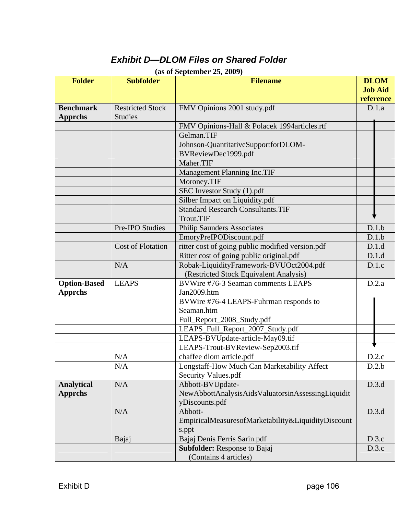## *Exhibit D—DLOM Files on Shared Folder*

| <b>Folder</b>                         | <b>Subfolder</b>                          | (as of depiendict $23, 2002$ )<br><b>Filename</b>                                       | <b>DLOM</b>                 |  |
|---------------------------------------|-------------------------------------------|-----------------------------------------------------------------------------------------|-----------------------------|--|
|                                       |                                           |                                                                                         | <b>Job Aid</b><br>reference |  |
| <b>Benchmark</b><br><b>Apprchs</b>    | <b>Restricted Stock</b><br><b>Studies</b> | FMV Opinions 2001 study.pdf                                                             | D.1.a                       |  |
|                                       |                                           | FMV Opinions-Hall & Polacek 1994 articles.rtf                                           |                             |  |
|                                       |                                           | Gelman.TIF                                                                              |                             |  |
|                                       |                                           | Johnson-QuantitativeSupportforDLOM-<br>BVReviewDec1999.pdf                              |                             |  |
|                                       |                                           | Maher.TIF                                                                               |                             |  |
|                                       |                                           | Management Planning Inc.TIF                                                             |                             |  |
|                                       |                                           | Moroney.TIF                                                                             |                             |  |
|                                       |                                           | SEC Investor Study (1).pdf                                                              |                             |  |
|                                       |                                           | Silber Impact on Liquidity.pdf                                                          |                             |  |
|                                       |                                           | <b>Standard Research Consultants.TIF</b>                                                |                             |  |
|                                       |                                           | Trout.TIF                                                                               |                             |  |
|                                       | Pre-IPO Studies                           | <b>Philip Saunders Associates</b>                                                       | D.1.b                       |  |
|                                       |                                           | EmoryPreIPODiscount.pdf                                                                 | D.1.b                       |  |
|                                       | <b>Cost of Flotation</b>                  | ritter cost of going public modified version.pdf                                        | D.1.d                       |  |
|                                       |                                           | Ritter cost of going public original.pdf                                                | D.1.d                       |  |
|                                       | N/A                                       | Robak-LiquidityFramework-BVUOct2004.pdf<br>(Restricted Stock Equivalent Analysis)       | D.1.c                       |  |
| <b>Option-Based</b><br><b>Apprchs</b> | <b>LEAPS</b>                              | BVWire #76-3 Seaman comments LEAPS<br>Jan2009.htm                                       | D.2.a                       |  |
|                                       |                                           | BVWire #76-4 LEAPS-Fuhrman responds to<br>Seaman.htm                                    |                             |  |
|                                       |                                           | Full_Report_2008_Study.pdf                                                              |                             |  |
|                                       |                                           | LEAPS_Full_Report_2007_Study.pdf                                                        |                             |  |
|                                       |                                           | LEAPS-BVUpdate-article-May09.tif                                                        |                             |  |
|                                       |                                           | LEAPS-Trout-BVReview-Sep2003.tif                                                        |                             |  |
|                                       | N/A                                       | chaffee dlom article.pdf                                                                | D.2.c                       |  |
|                                       | N/A                                       | Longstaff-How Much Can Marketability Affect<br>Security Values.pdf                      | D.2.b                       |  |
| <b>Analytical</b><br><b>Apprchs</b>   | N/A                                       | Abbott-BVUpdate-<br>NewAbbottAnalysisAidsValuatorsinAssessingLiquidit<br>yDiscounts.pdf | D.3.d                       |  |
|                                       | N/A                                       | Abbott-<br>EmpiricalMeasuresofMarketability&LiquidityDiscount<br>s.ppt                  | D.3.d                       |  |
|                                       | Bajaj                                     | Bajaj Denis Ferris Sarin.pdf                                                            | D.3.c                       |  |
|                                       |                                           | <b>Subfolder:</b> Response to Bajaj<br>(Contains 4 articles)                            | D.3.c                       |  |

## **(as of September 25, 2009)**